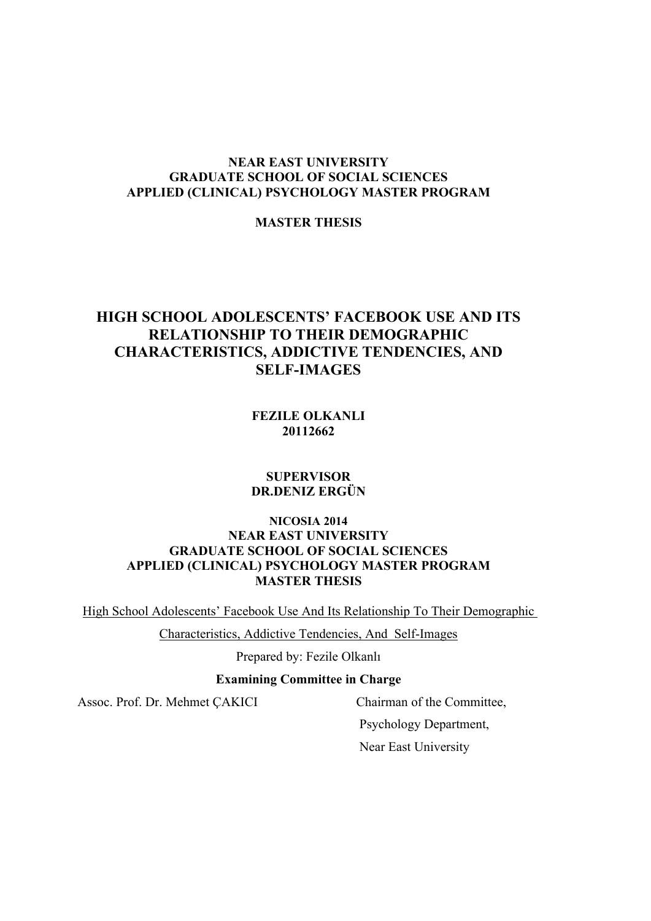# **NEAR EAST UNIVERSITY GRADUATE SCHOOL OF SOCIAL SCIENCES APPLIED (CLINICAL) PSYCHOLOGY MASTER PROGRAM**

# **MASTER THESIS**

# **HIGH SCHOOL ADOLESCENTS' FACEBOOK USE AND ITS RELATIONSHIP TO THEIR DEMOGRAPHIC CHARACTERISTICS, ADDICTIVE TENDENCIES, AND SELF-IMAGES**

**FEZILE OLKANLI 20112662**

# **SUPERVISOR DR.DENIZ ERGÜN**

# **NICOSIA 2014 NEAR EAST UNIVERSITY GRADUATE SCHOOL OF SOCIAL SCIENCES APPLIED (CLINICAL) PSYCHOLOGY MASTER PROGRAM MASTER THESIS**

High School Adolescents' Facebook Use And Its Relationship To Their Demographic

Characteristics, Addictive Tendencies, And Self-Images

Prepared by: Fezile Olkanlı

# **Examining Committee in Charge**

Assoc. Prof. Dr. Mehmet ÇAKICI Chairman of the Committee,

 Psychology Department, Near East University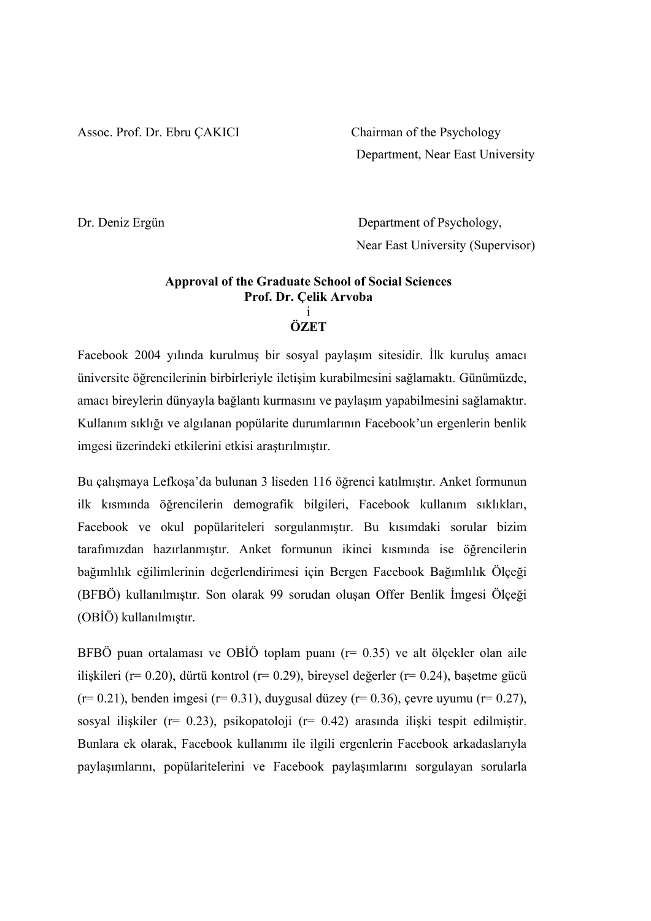Assoc. Prof. Dr. Ebru ÇAKICI Chairman of the Psychology

Department, Near East University

Dr. Deniz Ergün Department of Psychology, Near East University (Supervisor)

# **Approval of the Graduate School of Social Sciences Prof. Dr. Çelik Arvoba** i

**ÖZET**

Facebook 2004 yılında kurulmuş bir sosyal paylaşım sitesidir. İlk kuruluş amacı üniversite öğrencilerinin birbirleriyle iletişim kurabilmesini sağlamaktı. Günümüzde, amacı bireylerin dünyayla bağlantı kurmasını ve paylaşım yapabilmesini sağlamaktır. Kullanım sıklığı ve algılanan popülarite durumlarının Facebook'un ergenlerin benlik imgesi üzerindeki etkilerini etkisi araştırılmıştır.

Bu çalışmaya Lefkoşa'da bulunan 3 liseden 116 öğrenci katılmıştır. Anket formunun ilk kısmında öğrencilerin demografik bilgileri, Facebook kullanım sıklıkları, Facebook ve okul popülariteleri sorgulanmıştır. Bu kısımdaki sorular bizim tarafımızdan hazırlanmıştır. Anket formunun ikinci kısmında ise öğrencilerin bağımlılık eğilimlerinin değerlendirimesi için Bergen Facebook Bağımlılık Ölçeği (BFBÖ) kullanılmıştır. Son olarak 99 sorudan oluşan Offer Benlik İmgesi Ölçeği (OBİÖ) kullanılmıştır.

BFBÖ puan ortalaması ve OBİÖ toplam puanı (r= 0.35) ve alt ölçekler olan aile ilişkileri (r= 0.20), dürtü kontrol (r= 0.29), bireysel değerler (r= 0.24), başetme gücü (r= 0.21), benden imgesi (r= 0.31), duygusal düzey (r= 0.36), çevre uyumu (r= 0.27), sosyal ilişkiler (r= 0.23), psikopatoloji (r= 0.42) arasında ilişki tespit edilmiştir. Bunlara ek olarak, Facebook kullanımı ile ilgili ergenlerin Facebook arkadaslarıyla paylaşımlarını, popülaritelerini ve Facebook paylaşımlarını sorgulayan sorularla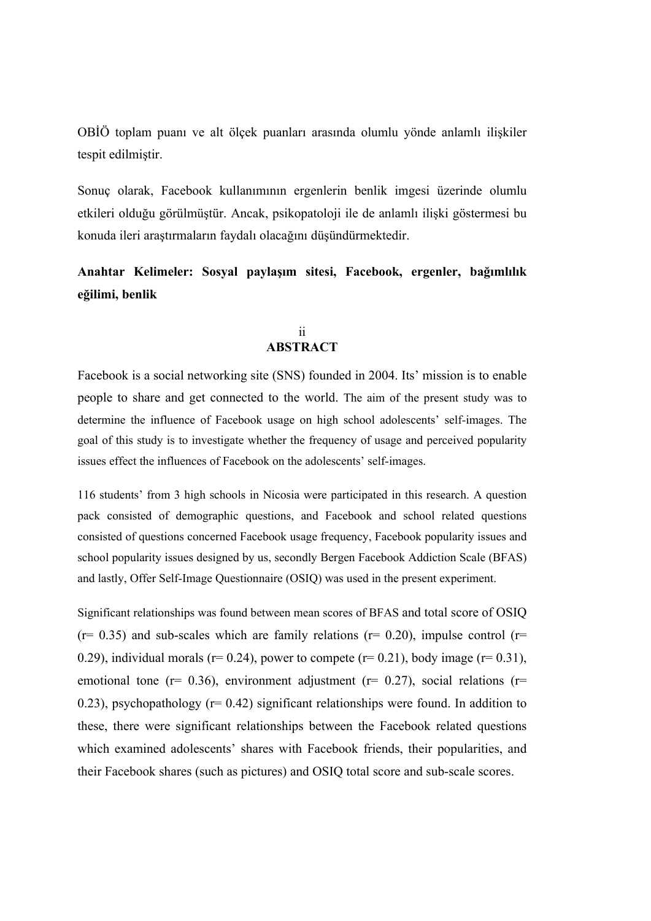OBİÖ toplam puanı ve alt ölçek puanları arasında olumlu yönde anlamlı ilişkiler tespit edilmiştir.

Sonuç olarak, Facebook kullanımının ergenlerin benlik imgesi üzerinde olumlu etkileri olduğu görülmüştür. Ancak, psikopatoloji ile de anlamlı ilişki göstermesi bu konuda ileri araştırmaların faydalı olacağını düşündürmektedir.

# **Anahtar Kelimeler: Sosyal paylaşım sitesi, Facebook, ergenler, bağımlılık eğilimi, benlik**

# ii **ABSTRACT**

Facebook is a social networking site (SNS) founded in 2004. Its' mission is to enable people to share and get connected to the world. The aim of the present study was to determine the influence of Facebook usage on high school adolescents' self-images. The goal of this study is to investigate whether the frequency of usage and perceived popularity issues effect the influences of Facebook on the adolescents' self-images.

116 students' from 3 high schools in Nicosia were participated in this research. A question pack consisted of demographic questions, and Facebook and school related questions consisted of questions concerned Facebook usage frequency, Facebook popularity issues and school popularity issues designed by us, secondly Bergen Facebook Addiction Scale (BFAS) and lastly, Offer Self-Image Questionnaire (OSIQ) was used in the present experiment.

Significant relationships was found between mean scores of BFAS and total score of OSIQ  $(r= 0.35)$  and sub-scales which are family relations  $(r= 0.20)$ , impulse control  $(r= 0.35)$ 0.29), individual morals ( $r= 0.24$ ), power to compete ( $r= 0.21$ ), body image ( $r= 0.31$ ), emotional tone ( $r= 0.36$ ), environment adjustment ( $r= 0.27$ ), social relations ( $r=$ 0.23), psychopathology ( $r= 0.42$ ) significant relationships were found. In addition to these, there were significant relationships between the Facebook related questions which examined adolescents' shares with Facebook friends, their popularities, and their Facebook shares (such as pictures) and OSIQ total score and sub-scale scores.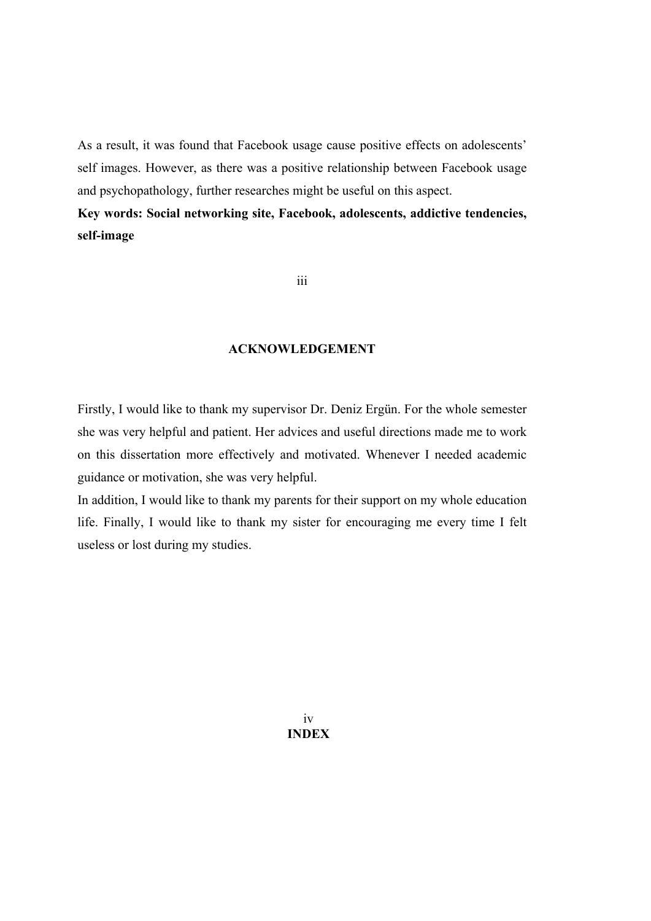As a result, it was found that Facebook usage cause positive effects on adolescents' self images. However, as there was a positive relationship between Facebook usage and psychopathology, further researches might be useful on this aspect.

**Key words: Social networking site, Facebook, adolescents, addictive tendencies, self-image**

iii

# **ACKNOWLEDGEMENT**

Firstly, I would like to thank my supervisor Dr. Deniz Ergün. For the whole semester she was very helpful and patient. Her advices and useful directions made me to work on this dissertation more effectively and motivated. Whenever I needed academic guidance or motivation, she was very helpful.

In addition, I would like to thank my parents for their support on my whole education life. Finally, I would like to thank my sister for encouraging me every time I felt useless or lost during my studies.

> iv **INDEX**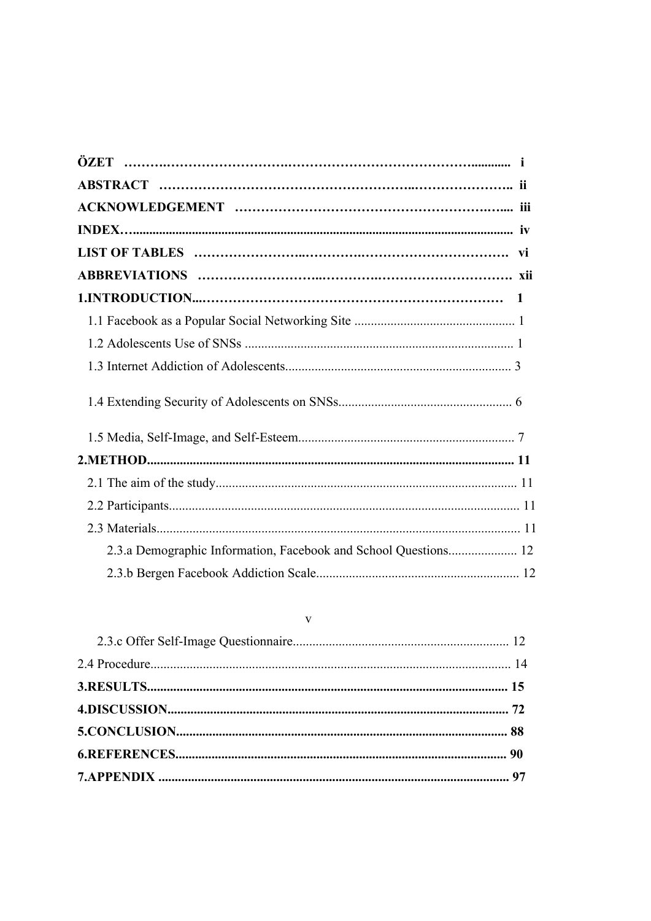| 2.3.a Demographic Information, Facebook and School Questions 12 |  |
|-----------------------------------------------------------------|--|
|                                                                 |  |

# $\bar{V}$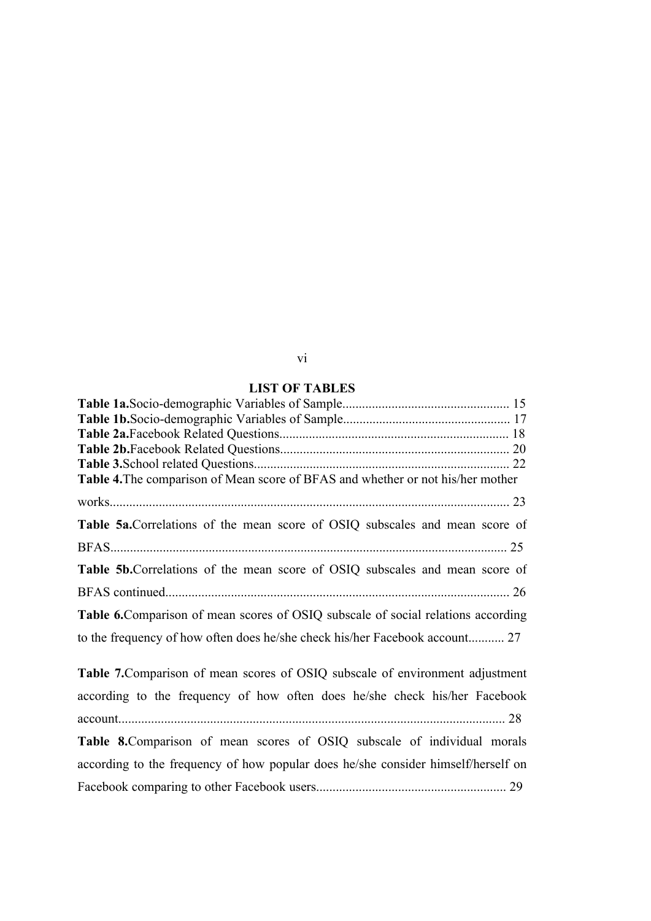# vi

| <b>LIST OF TABLES</b>                                                                    |  |
|------------------------------------------------------------------------------------------|--|
|                                                                                          |  |
|                                                                                          |  |
|                                                                                          |  |
|                                                                                          |  |
|                                                                                          |  |
| <b>Table 4.</b> The comparison of Mean score of BFAS and whether or not his/her mother   |  |
|                                                                                          |  |
| <b>Table 5a.</b> Correlations of the mean score of OSIQ subscales and mean score of      |  |
|                                                                                          |  |
| <b>Table 5b.</b> Correlations of the mean score of OSIQ subscales and mean score of      |  |
|                                                                                          |  |
| <b>Table 6.</b> Comparison of mean scores of OSIQ subscale of social relations according |  |
|                                                                                          |  |

**Table 7.**Comparison of mean scores of OSIQ subscale of environment adjustment according to the frequency of how often does he/she check his/her Facebook account...................................................................................................................... 28 **Table 8.**Comparison of mean scores of OSIQ subscale of individual morals according to the frequency of how popular does he/she consider himself/herself on Facebook comparing to other Facebook users.......................................................... 29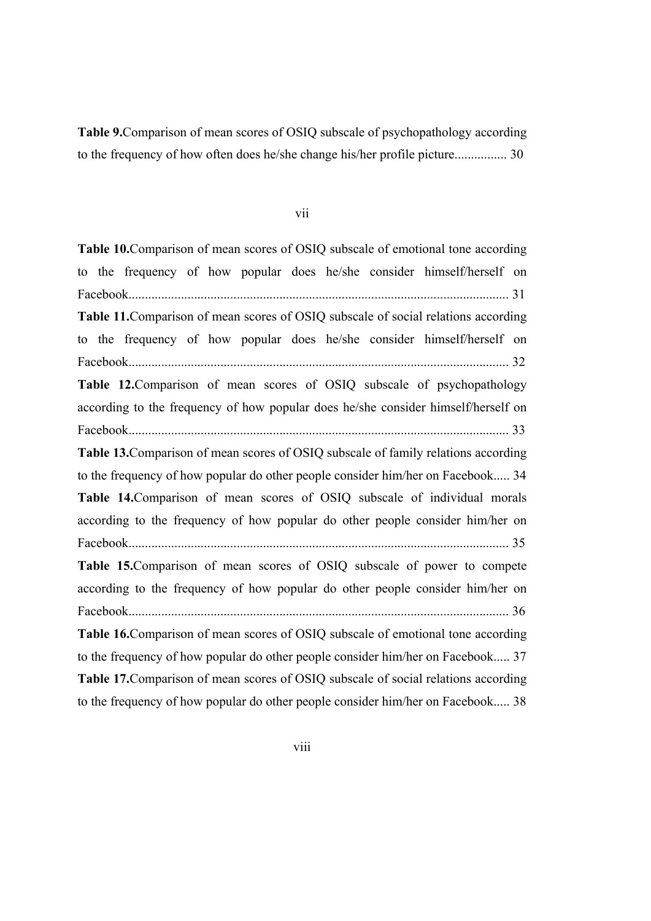**Table 9.**Comparison of mean scores of OSIQ subscale of psychopathology according to the frequency of how often does he/she change his/her profile picture................ 30

#### vii

**Table 10.**Comparison of mean scores of OSIQ subscale of emotional tone according to the frequency of how popular does he/she consider himself/herself on Facebook.................................................................................................................... 31 **Table 11.**Comparison of mean scores of OSIQ subscale of social relations according to the frequency of how popular does he/she consider himself/herself on Facebook.................................................................................................................... 32 **Table 12.**Comparison of mean scores of OSIQ subscale of psychopathology according to the frequency of how popular does he/she consider himself/herself on Facebook.................................................................................................................... 33 **Table 13.**Comparison of mean scores of OSIQ subscale of family relations according to the frequency of how popular do other people consider him/her on Facebook..... 34 **Table 14.**Comparison of mean scores of OSIQ subscale of individual morals according to the frequency of how popular do other people consider him/her on Facebook.................................................................................................................... 35 **Table 15.**Comparison of mean scores of OSIQ subscale of power to compete according to the frequency of how popular do other people consider him/her on Facebook.................................................................................................................... 36 **Table 16.**Comparison of mean scores of OSIQ subscale of emotional tone according to the frequency of how popular do other people consider him/her on Facebook..... 37 **Table 17.**Comparison of mean scores of OSIQ subscale of social relations according to the frequency of how popular do other people consider him/her on Facebook..... 38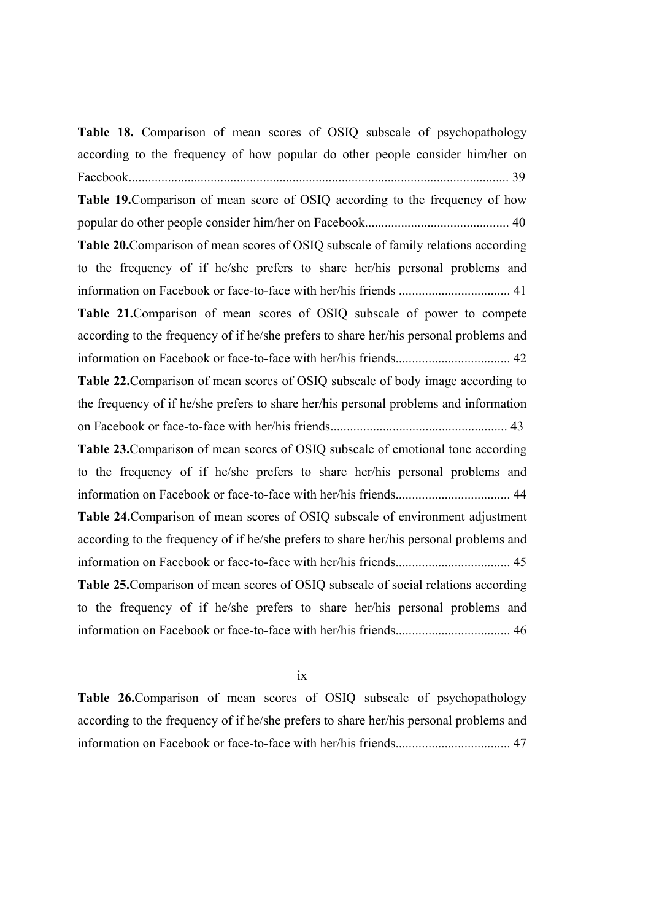**Table 18.** Comparison of mean scores of OSIQ subscale of psychopathology according to the frequency of how popular do other people consider him/her on Facebook.................................................................................................................... 39 **Table 19.**Comparison of mean score of OSIQ according to the frequency of how popular do other people consider him/her on Facebook............................................ 40 **Table 20.**Comparison of mean scores of OSIQ subscale of family relations according to the frequency of if he/she prefers to share her/his personal problems and information on Facebook or face-to-face with her/his friends .................................. 41 **Table 21.**Comparison of mean scores of OSIQ subscale of power to compete according to the frequency of if he/she prefers to share her/his personal problems and information on Facebook or face-to-face with her/his friends................................... 42 **Table 22.**Comparison of mean scores of OSIQ subscale of body image according to the frequency of if he/she prefers to share her/his personal problems and information on Facebook or face-to-face with her/his friends...................................................... 43 **Table 23.**Comparison of mean scores of OSIQ subscale of emotional tone according to the frequency of if he/she prefers to share her/his personal problems and information on Facebook or face-to-face with her/his friends................................... 44 **Table 24.**Comparison of mean scores of OSIQ subscale of environment adjustment according to the frequency of if he/she prefers to share her/his personal problems and information on Facebook or face-to-face with her/his friends................................... 45 **Table 25.**Comparison of mean scores of OSIQ subscale of social relations according to the frequency of if he/she prefers to share her/his personal problems and information on Facebook or face-to-face with her/his friends................................... 46

ix

**Table 26.**Comparison of mean scores of OSIQ subscale of psychopathology according to the frequency of if he/she prefers to share her/his personal problems and information on Facebook or face-to-face with her/his friends................................... 47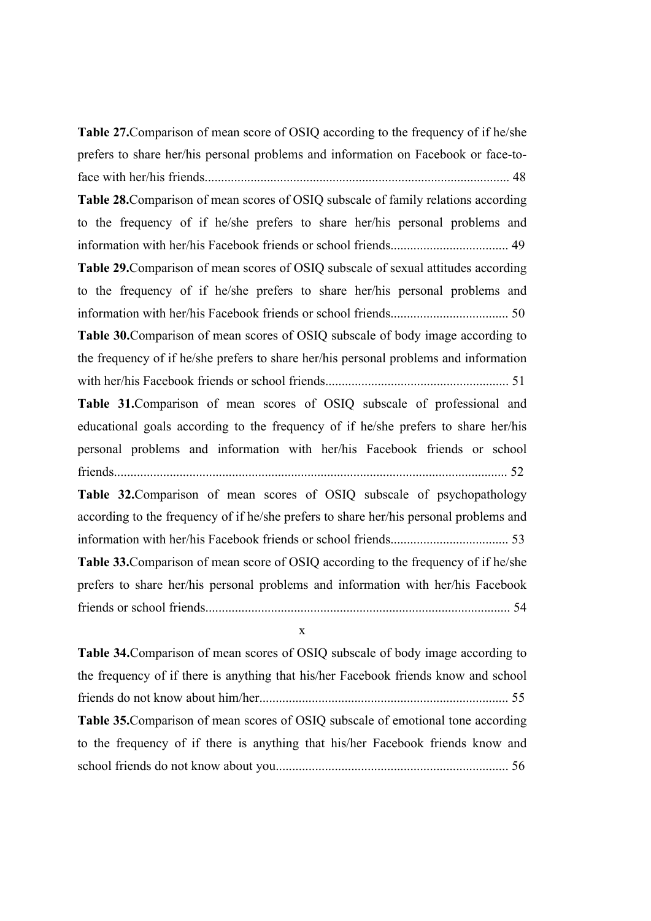**Table 27.**Comparison of mean score of OSIQ according to the frequency of if he/she prefers to share her/his personal problems and information on Facebook or face-toface with her/his friends............................................................................................. 48 **Table 28.**Comparison of mean scores of OSIQ subscale of family relations according to the frequency of if he/she prefers to share her/his personal problems and information with her/his Facebook friends or school friends.................................... 49 **Table 29.**Comparison of mean scores of OSIQ subscale of sexual attitudes according to the frequency of if he/she prefers to share her/his personal problems and information with her/his Facebook friends or school friends.................................... 50 **Table 30.**Comparison of mean scores of OSIQ subscale of body image according to the frequency of if he/she prefers to share her/his personal problems and information with her/his Facebook friends or school friends........................................................ 51 **Table 31.**Comparison of mean scores of OSIQ subscale of professional and educational goals according to the frequency of if he/she prefers to share her/his personal problems and information with her/his Facebook friends or school friends........................................................................................................................ 52 **Table 32.**Comparison of mean scores of OSIQ subscale of psychopathology according to the frequency of if he/she prefers to share her/his personal problems and information with her/his Facebook friends or school friends.................................... 53

**Table 33.**Comparison of mean score of OSIQ according to the frequency of if he/she prefers to share her/his personal problems and information with her/his Facebook friends or school friends............................................................................................. 54

x

**Table 34.**Comparison of mean scores of OSIQ subscale of body image according to the frequency of if there is anything that his/her Facebook friends know and school friends do not know about him/her............................................................................ 55 **Table 35.**Comparison of mean scores of OSIQ subscale of emotional tone according to the frequency of if there is anything that his/her Facebook friends know and school friends do not know about you....................................................................... 56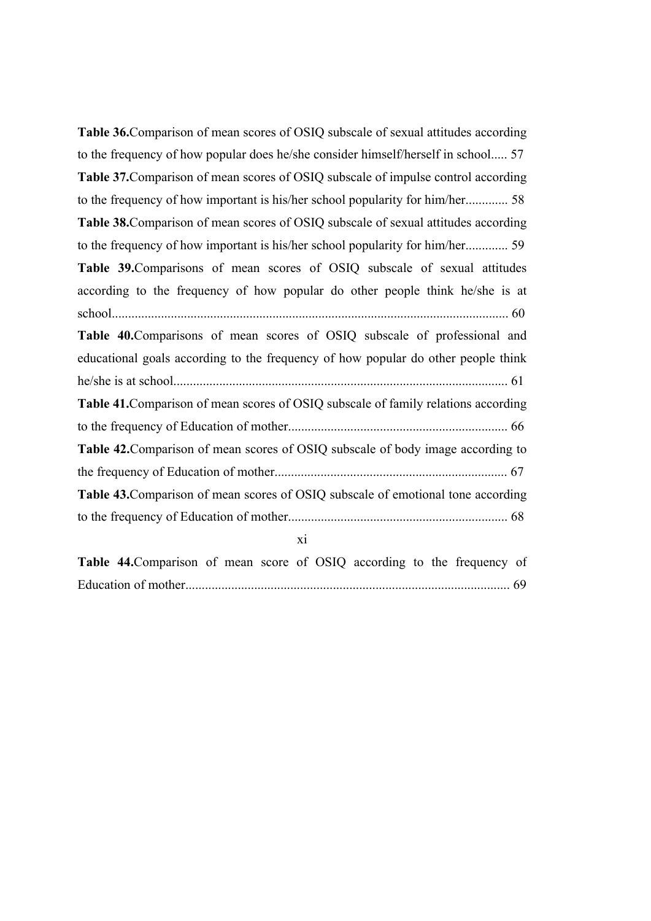**Table 36.**Comparison of mean scores of OSIQ subscale of sexual attitudes according to the frequency of how popular does he/she consider himself/herself in school..... 57 **Table 37.**Comparison of mean scores of OSIQ subscale of impulse control according to the frequency of how important is his/her school popularity for him/her............. 58 **Table 38.**Comparison of mean scores of OSIQ subscale of sexual attitudes according to the frequency of how important is his/her school popularity for him/her............. 59 **Table 39.**Comparisons of mean scores of OSIQ subscale of sexual attitudes according to the frequency of how popular do other people think he/she is at school......................................................................................................................... 60 **Table 40.**Comparisons of mean scores of OSIQ subscale of professional and educational goals according to the frequency of how popular do other people think he/she is at school...................................................................................................... 61 **Table 41.**Comparison of mean scores of OSIQ subscale of family relations according to the frequency of Education of mother................................................................... 66 **Table 42.**Comparison of mean scores of OSIQ subscale of body image according to the frequency of Education of mother....................................................................... 67 **Table 43.**Comparison of mean scores of OSIQ subscale of emotional tone according to the frequency of Education of mother................................................................... 68 xi

| Table 44. Comparison of mean score of OSIQ according to the frequency of |  |  |  |  |  |
|--------------------------------------------------------------------------|--|--|--|--|--|
|                                                                          |  |  |  |  |  |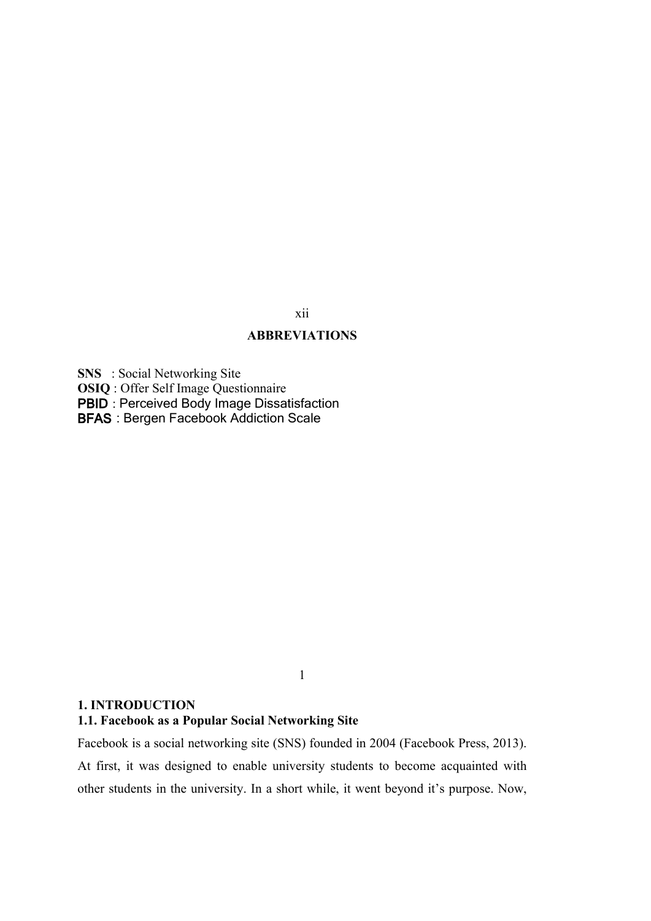## xii

# **ABBREVIATIONS**

**SNS** : Social Networking Site

**OSIQ** : Offer Self Image Questionnaire

**PBID** : Perceived Body Image Dissatisfaction

**BFAS** : Bergen Facebook Addiction Scale

1

#### **1. INTRODUCTION**

# **1.1. Facebook as a Popular Social Networking Site**

Facebook is a social networking site (SNS) founded in 2004 (Facebook Press, 2013). At first, it was designed to enable university students to become acquainted with other students in the university. In a short while, it went beyond it's purpose. Now,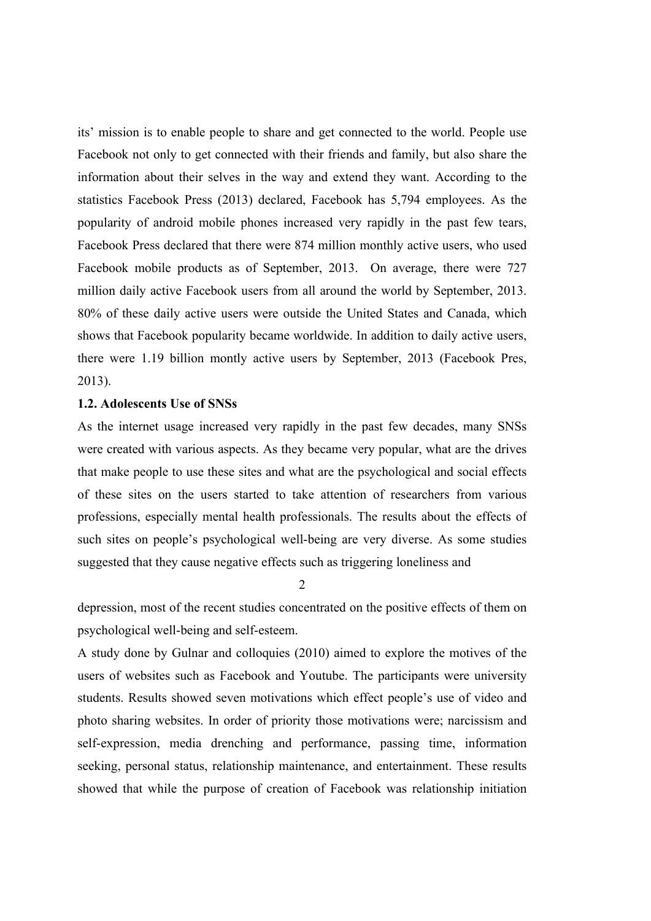its' mission is to enable people to share and get connected to the world. People use Facebook not only to get connected with their friends and family, but also share the information about their selves in the way and extend they want. According to the statistics Facebook Press (2013) declared, Facebook has 5,794 employees. As the popularity of android mobile phones increased very rapidly in the past few tears, Facebook Press declared that there were 874 million monthly active users, who used Facebook mobile products as of September, 2013. On average, there were 727 million daily active Facebook users from all around the world by September, 2013. 80% of these daily active users were outside the United States and Canada, which shows that Facebook popularity became worldwide. In addition to daily active users, there were 1.19 billion montly active users by September, 2013 (Facebook Pres, 2013).

#### **1.2. Adolescents Use of SNSs**

As the internet usage increased very rapidly in the past few decades, many SNSs were created with various aspects. As they became very popular, what are the drives that make people to use these sites and what are the psychological and social effects of these sites on the users started to take attention of researchers from various professions, especially mental health professionals. The results about the effects of such sites on people's psychological well-being are very diverse. As some studies suggested that they cause negative effects such as triggering loneliness and

2

depression, most of the recent studies concentrated on the positive effects of them on psychological well-being and self-esteem.

A study done by Gulnar and colloquies (2010) aimed to explore the motives of the users of websites such as Facebook and Youtube. The participants were university students. Results showed seven motivations which effect people's use of video and photo sharing websites. In order of priority those motivations were; narcissism and self-expression, media drenching and performance, passing time, information seeking, personal status, relationship maintenance, and entertainment. These results showed that while the purpose of creation of Facebook was relationship initiation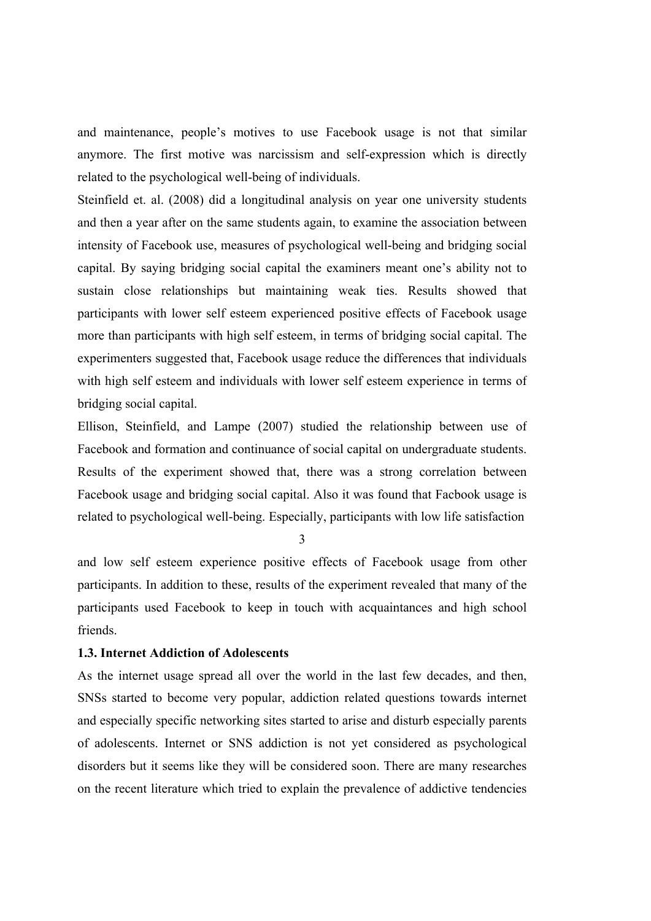and maintenance, people's motives to use Facebook usage is not that similar anymore. The first motive was narcissism and self-expression which is directly related to the psychological well-being of individuals.

Steinfield et. al. (2008) did a longitudinal analysis on year one university students and then a year after on the same students again, to examine the association between intensity of Facebook use, measures of psychological well-being and bridging social capital. By saying bridging social capital the examiners meant one's ability not to sustain close relationships but maintaining weak ties. Results showed that participants with lower self esteem experienced positive effects of Facebook usage more than participants with high self esteem, in terms of bridging social capital. The experimenters suggested that, Facebook usage reduce the differences that individuals with high self esteem and individuals with lower self esteem experience in terms of bridging social capital.

Ellison, Steinfield, and Lampe (2007) studied the relationship between use of Facebook and formation and continuance of social capital on undergraduate students. Results of the experiment showed that, there was a strong correlation between Facebook usage and bridging social capital. Also it was found that Facbook usage is related to psychological well-being. Especially, participants with low life satisfaction

3

and low self esteem experience positive effects of Facebook usage from other participants. In addition to these, results of the experiment revealed that many of the participants used Facebook to keep in touch with acquaintances and high school friends.

# **1.3. Internet Addiction of Adolescents**

As the internet usage spread all over the world in the last few decades, and then, SNSs started to become very popular, addiction related questions towards internet and especially specific networking sites started to arise and disturb especially parents of adolescents. Internet or SNS addiction is not yet considered as psychological disorders but it seems like they will be considered soon. There are many researches on the recent literature which tried to explain the prevalence of addictive tendencies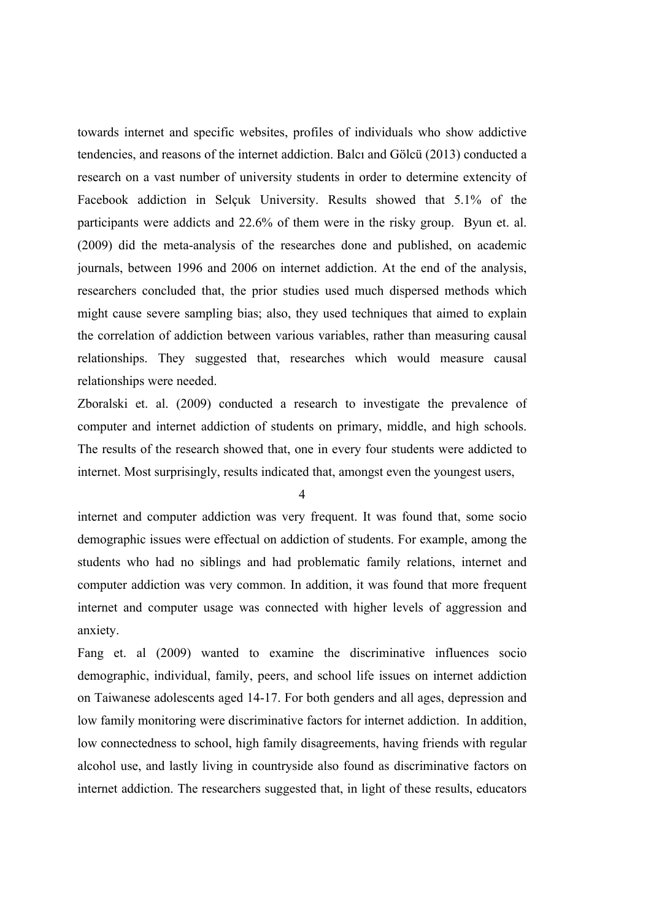towards internet and specific websites, profiles of individuals who show addictive tendencies, and reasons of the internet addiction. Balcı and Gölcü (2013) conducted a research on a vast number of university students in order to determine extencity of Facebook addiction in Selçuk University. Results showed that 5.1% of the participants were addicts and 22.6% of them were in the risky group. Byun et. al. (2009) did the meta-analysis of the researches done and published, on academic journals, between 1996 and 2006 on internet addiction. At the end of the analysis, researchers concluded that, the prior studies used much dispersed methods which might cause severe sampling bias; also, they used techniques that aimed to explain the correlation of addiction between various variables, rather than measuring causal relationships. They suggested that, researches which would measure causal relationships were needed.

Zboralski et. al. (2009) conducted a research to investigate the prevalence of computer and internet addiction of students on primary, middle, and high schools. The results of the research showed that, one in every four students were addicted to internet. Most surprisingly, results indicated that, amongst even the youngest users,

4

internet and computer addiction was very frequent. It was found that, some socio demographic issues were effectual on addiction of students. For example, among the students who had no siblings and had problematic family relations, internet and computer addiction was very common. In addition, it was found that more frequent internet and computer usage was connected with higher levels of aggression and anxiety.

Fang et. al (2009) wanted to examine the discriminative influences socio demographic, individual, family, peers, and school life issues on internet addiction on Taiwanese adolescents aged 14-17. For both genders and all ages, depression and low family monitoring were discriminative factors for internet addiction. In addition, low connectedness to school, high family disagreements, having friends with regular alcohol use, and lastly living in countryside also found as discriminative factors on internet addiction. The researchers suggested that, in light of these results, educators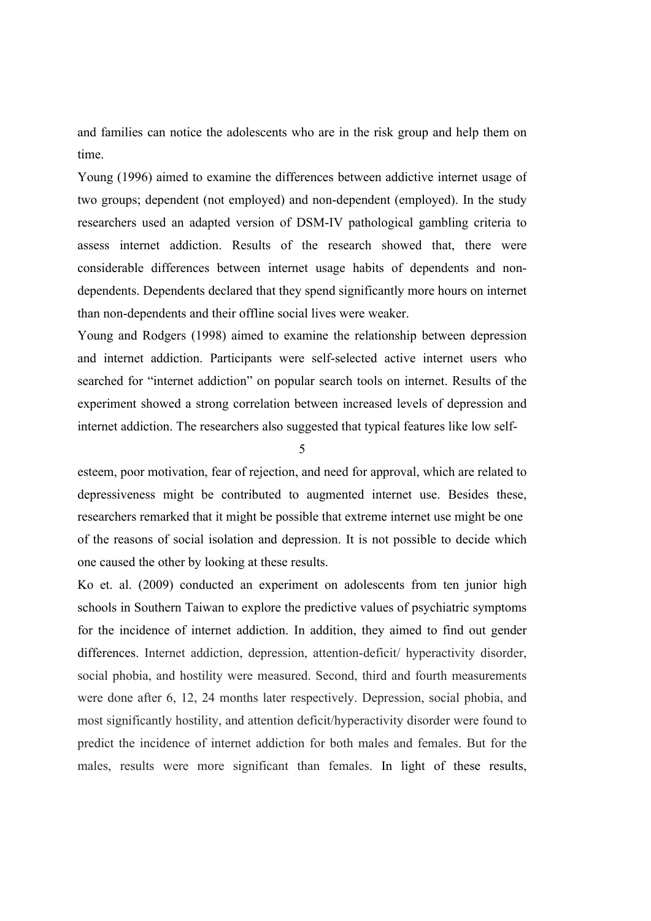and families can notice the adolescents who are in the risk group and help them on time.

Young (1996) aimed to examine the differences between addictive internet usage of two groups; dependent (not employed) and non-dependent (employed). In the study researchers used an adapted version of DSM-IV pathological gambling criteria to assess internet addiction. Results of the research showed that, there were considerable differences between internet usage habits of dependents and nondependents. Dependents declared that they spend significantly more hours on internet than non-dependents and their offline social lives were weaker.

Young and Rodgers (1998) aimed to examine the relationship between depression and internet addiction. Participants were self-selected active internet users who searched for "internet addiction" on popular search tools on internet. Results of the experiment showed a strong correlation between increased levels of depression and internet addiction. The researchers also suggested that typical features like low self-

5

esteem, poor motivation, fear of rejection, and need for approval, which are related to depressiveness might be contributed to augmented internet use. Besides these, researchers remarked that it might be possible that extreme internet use might be one of the reasons of social isolation and depression. It is not possible to decide which one caused the other by looking at these results.

Ko et. al. (2009) conducted an experiment on adolescents from ten junior high schools in Southern Taiwan to explore the predictive values of psychiatric symptoms for the incidence of internet addiction. In addition, they aimed to find out gender differences. Internet addiction, depression, attention-deficit/ hyperactivity disorder, social phobia, and hostility were measured. Second, third and fourth measurements were done after 6, 12, 24 months later respectively. Depression, social phobia, and most significantly hostility, and attention deficit/hyperactivity disorder were found to predict the incidence of internet addiction for both males and females. But for the males, results were more significant than females. In light of these results,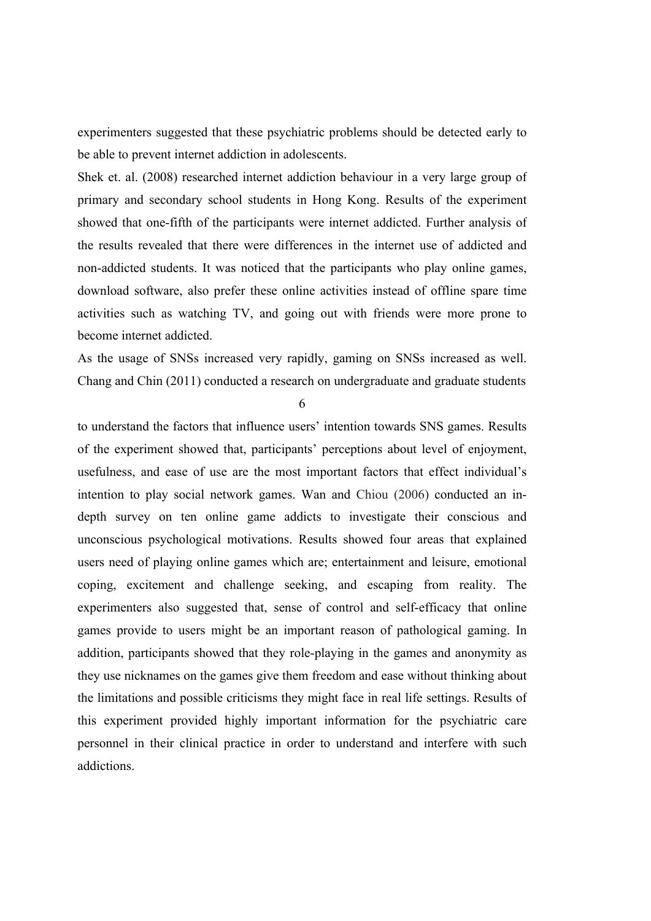experimenters suggested that these psychiatric problems should be detected early to be able to prevent internet addiction in adolescents.

Shek et. al. (2008) researched internet addiction behaviour in a very large group of primary and secondary school students in Hong Kong. Results of the experiment showed that one-fifth of the participants were internet addicted. Further analysis of the results revealed that there were differences in the internet use of addicted and non-addicted students. It was noticed that the participants who play online games, download software, also prefer these online activities instead of offline spare time activities such as watching TV, and going out with friends were more prone to become internet addicted.

As the usage of SNSs increased very rapidly, gaming on SNSs increased as well. Chang and Chin (2011) conducted a research on undergraduate and graduate students

6

to understand the factors that influence users' intention towards SNS games. Results of the experiment showed that, participants' perceptions about level of enjoyment, usefulness, and ease of use are the most important factors that effect individual's intention to play social network games. Wan and Chiou (2006) conducted an indepth survey on ten online game addicts to investigate their conscious and unconscious psychological motivations. Results showed four areas that explained users need of playing online games which are; entertainment and leisure, emotional coping, excitement and challenge seeking, and escaping from reality. The experimenters also suggested that, sense of control and self-efficacy that online games provide to users might be an important reason of pathological gaming. In addition, participants showed that they role-playing in the games and anonymity as they use nicknames on the games give them freedom and ease without thinking about the limitations and possible criticisms they might face in real life settings. Results of this experiment provided highly important information for the psychiatric care personnel in their clinical practice in order to understand and interfere with such addictions.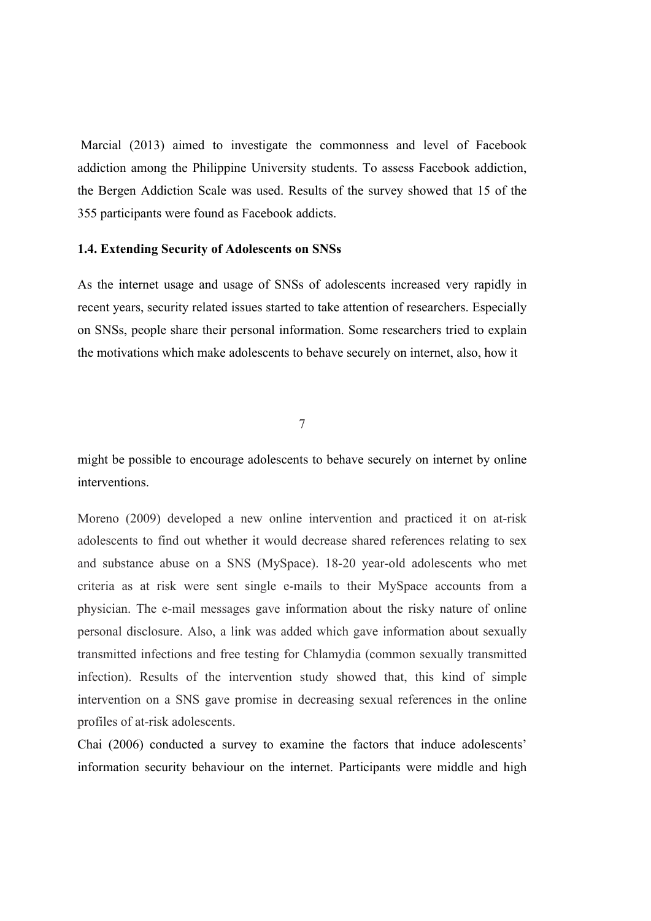Marcial (2013) aimed to investigate the commonness and level of Facebook addiction among the Philippine University students. To assess Facebook addiction, the Bergen Addiction Scale was used. Results of the survey showed that 15 of the 355 participants were found as Facebook addicts.

#### **1.4. Extending Security of Adolescents on SNSs**

As the internet usage and usage of SNSs of adolescents increased very rapidly in recent years, security related issues started to take attention of researchers. Especially on SNSs, people share their personal information. Some researchers tried to explain the motivations which make adolescents to behave securely on internet, also, how it

7

might be possible to encourage adolescents to behave securely on internet by online interventions.

Moreno (2009) developed a new online intervention and practiced it on at-risk adolescents to find out whether it would decrease shared references relating to sex and substance abuse on a SNS (MySpace). 18-20 year-old adolescents who met criteria as at risk were sent single e-mails to their MySpace accounts from a physician. The e-mail messages gave information about the risky nature of online personal disclosure. Also, a link was added which gave information about sexually transmitted infections and free testing for Chlamydia (common sexually transmitted infection). Results of the intervention study showed that, this kind of simple intervention on a SNS gave promise in decreasing sexual references in the online profiles of at-risk adolescents.

Chai (2006) conducted a survey to examine the factors that induce adolescents' information security behaviour on the internet. Participants were middle and high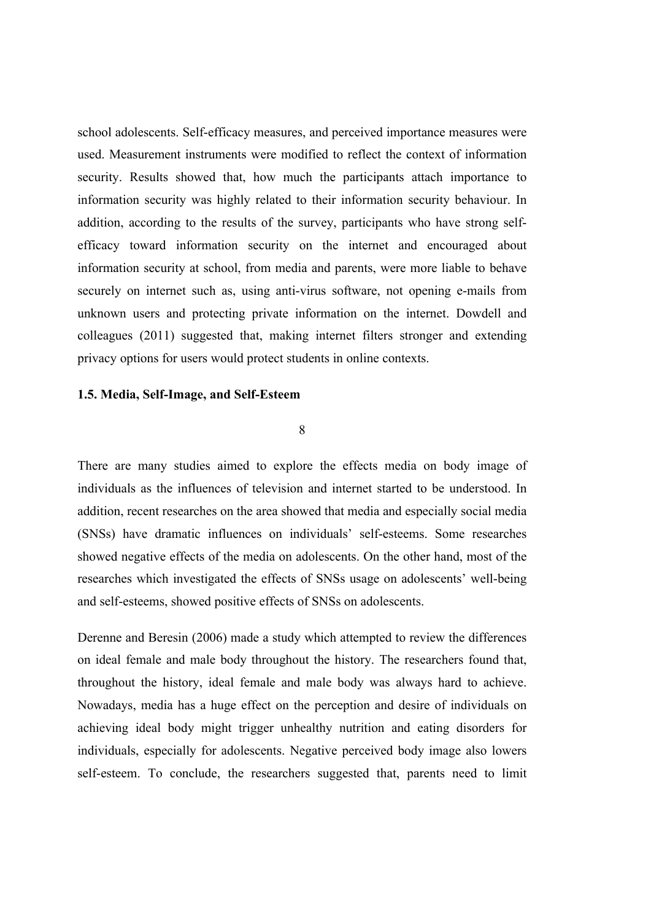school adolescents. Self-efficacy measures, and perceived importance measures were used. Measurement instruments were modified to reflect the context of information security. Results showed that, how much the participants attach importance to information security was highly related to their information security behaviour. In addition, according to the results of the survey, participants who have strong selfefficacy toward information security on the internet and encouraged about information security at school, from media and parents, were more liable to behave securely on internet such as, using anti-virus software, not opening e-mails from unknown users and protecting private information on the internet. Dowdell and colleagues (2011) suggested that, making internet filters stronger and extending privacy options for users would protect students in online contexts.

#### **1.5. Media, Self-Image, and Self-Esteem**

8

There are many studies aimed to explore the effects media on body image of individuals as the influences of television and internet started to be understood. In addition, recent researches on the area showed that media and especially social media (SNSs) have dramatic influences on individuals' self-esteems. Some researches showed negative effects of the media on adolescents. On the other hand, most of the researches which investigated the effects of SNSs usage on adolescents' well-being and self-esteems, showed positive effects of SNSs on adolescents.

Derenne and Beresin (2006) made a study which attempted to review the differences on ideal female and male body throughout the history. The researchers found that, throughout the history, ideal female and male body was always hard to achieve. Nowadays, media has a huge effect on the perception and desire of individuals on achieving ideal body might trigger unhealthy nutrition and eating disorders for individuals, especially for adolescents. Negative perceived body image also lowers self-esteem. To conclude, the researchers suggested that, parents need to limit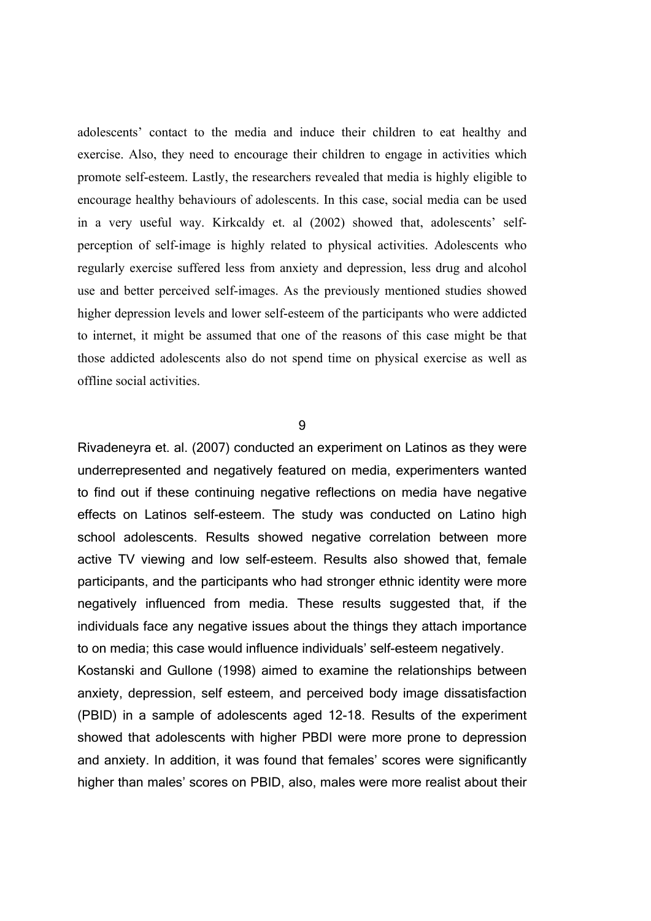adolescents' contact to the media and induce their children to eat healthy and exercise. Also, they need to encourage their children to engage in activities which promote self-esteem. Lastly, the researchers revealed that media is highly eligible to encourage healthy behaviours of adolescents. In this case, social media can be used in a very useful way. Kirkcaldy et. al (2002) showed that, adolescents' selfperception of self-image is highly related to physical activities. Adolescents who regularly exercise suffered less from anxiety and depression, less drug and alcohol use and better perceived self-images. As the previously mentioned studies showed higher depression levels and lower self-esteem of the participants who were addicted to internet, it might be assumed that one of the reasons of this case might be that those addicted adolescents also do not spend time on physical exercise as well as offline social activities.

9

Rivadeneyra et. al. (2007) conducted an experiment on Latinos as they were underrepresented and negatively featured on media, experimenters wanted to find out if these continuing negative reflections on media have negative effects on Latinos self-esteem. The study was conducted on Latino high school adolescents. Results showed negative correlation between more active TV viewing and low self-esteem. Results also showed that, female participants, and the participants who had stronger ethnic identity were more negatively influenced from media. These results suggested that, if the individuals face any negative issues about the things they attach importance to on media; this case would influence individuals' self-esteem negatively.

Kostanski and Gullone (1998) aimed to examine the relationships between anxiety, depression, self esteem, and perceived body image dissatisfaction (PBID) in a sample of adolescents aged 12-18. Results of the experiment showed that adolescents with higher PBDI were more prone to depression and anxiety. In addition, it was found that females' scores were significantly higher than males' scores on PBID, also, males were more realist about their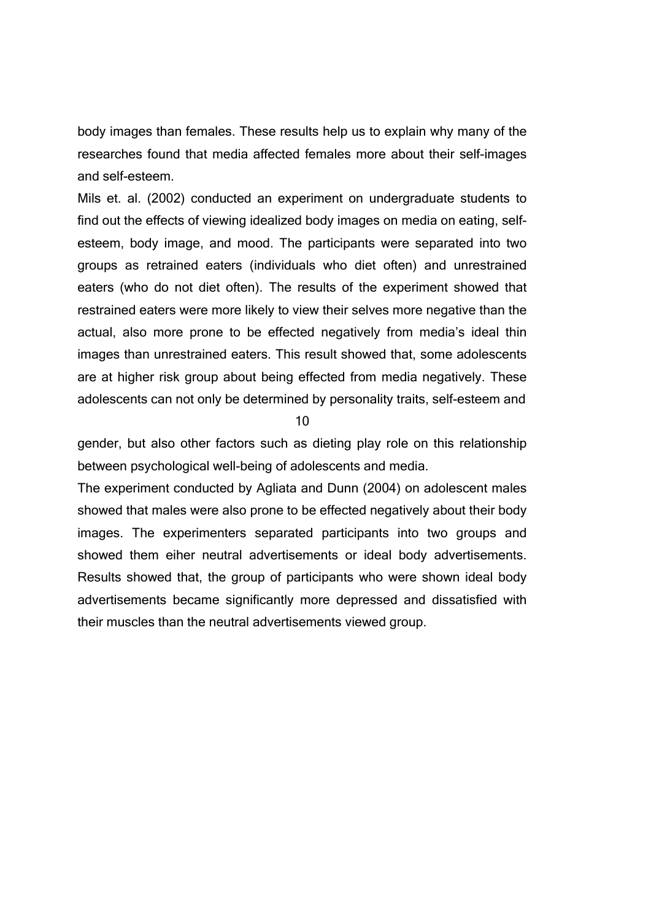body images than females. These results help us to explain why many of the researches found that media affected females more about their self-images and self-esteem.

Mils et. al. (2002) conducted an experiment on undergraduate students to find out the effects of viewing idealized body images on media on eating, selfesteem, body image, and mood. The participants were separated into two groups as retrained eaters (individuals who diet often) and unrestrained eaters (who do not diet often). The results of the experiment showed that restrained eaters were more likely to view their selves more negative than the actual, also more prone to be effected negatively from media's ideal thin images than unrestrained eaters. This result showed that, some adolescents are at higher risk group about being effected from media negatively. These adolescents can not only be determined by personality traits, self-esteem and

10

gender, but also other factors such as dieting play role on this relationship between psychological well-being of adolescents and media.

The experiment conducted by Agliata and Dunn (2004) on adolescent males showed that males were also prone to be effected negatively about their body images. The experimenters separated participants into two groups and showed them eiher neutral advertisements or ideal body advertisements. Results showed that, the group of participants who were shown ideal body advertisements became significantly more depressed and dissatisfied with their muscles than the neutral advertisements viewed group.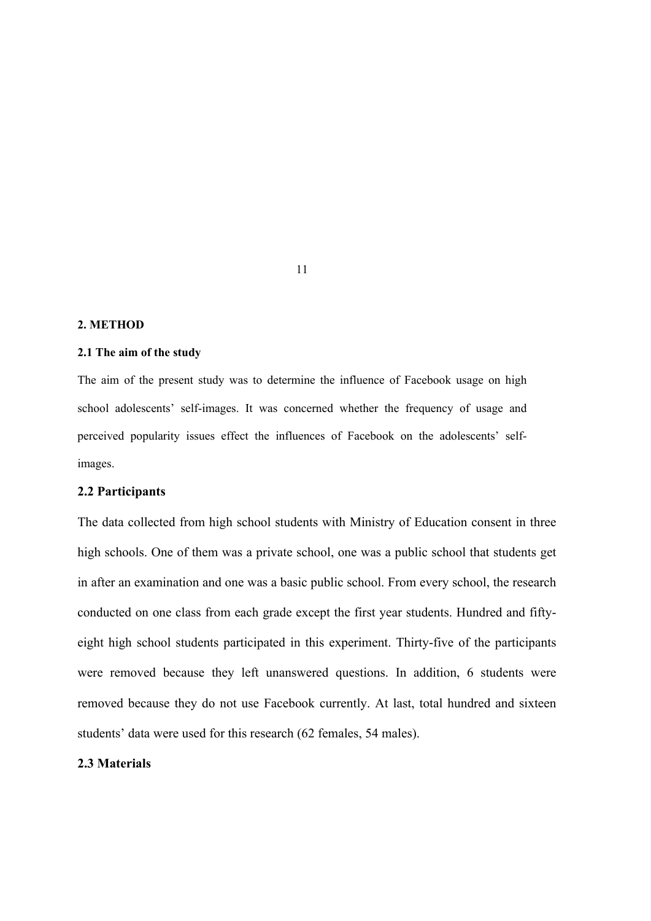#### **2. METHOD**

#### **2.1 The aim of the study**

The aim of the present study was to determine the influence of Facebook usage on high school adolescents' self-images. It was concerned whether the frequency of usage and perceived popularity issues effect the influences of Facebook on the adolescents' selfimages.

#### **2.2 Participants**

The data collected from high school students with Ministry of Education consent in three high schools. One of them was a private school, one was a public school that students get in after an examination and one was a basic public school. From every school, the research conducted on one class from each grade except the first year students. Hundred and fiftyeight high school students participated in this experiment. Thirty-five of the participants were removed because they left unanswered questions. In addition, 6 students were removed because they do not use Facebook currently. At last, total hundred and sixteen students' data were used for this research (62 females, 54 males).

### **2.3 Materials**

11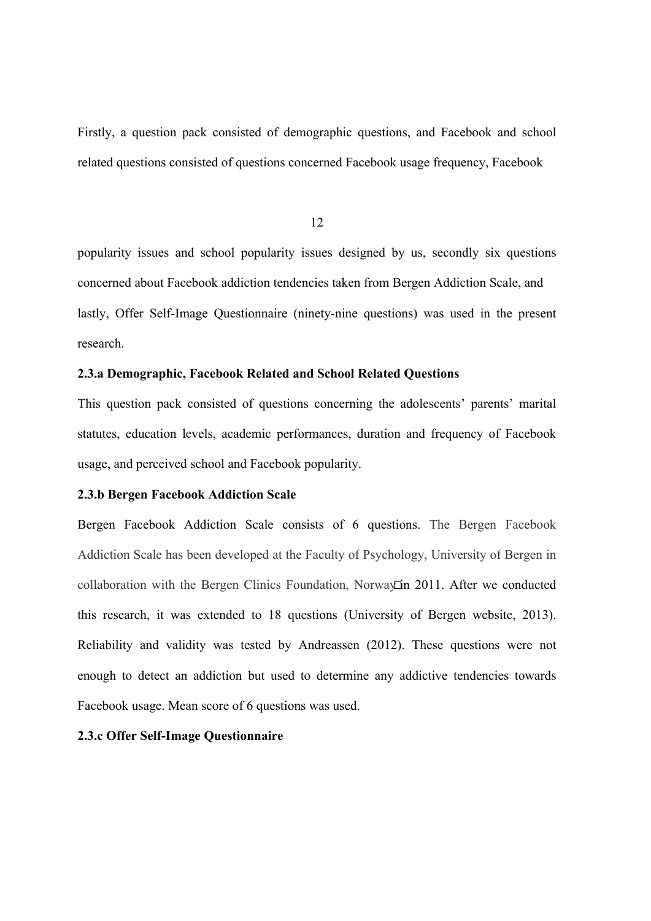Firstly, a question pack consisted of demographic questions, and Facebook and school related questions consisted of questions concerned Facebook usage frequency, Facebook

12

popularity issues and school popularity issues designed by us, secondly six questions concerned about Facebook addiction tendencies taken from Bergen Addiction Scale, and lastly, Offer Self-Image Questionnaire (ninety-nine questions) was used in the present research.

# **2.3.a Demographic, Facebook Related and School Related Questions**

This question pack consisted of questions concerning the adolescents' parents' marital statutes, education levels, academic performances, duration and frequency of Facebook usage, and perceived school and Facebook popularity.

#### **2.3.b Bergen Facebook Addiction Scale**

Bergen Facebook Addiction Scale consists of 6 questions. The Bergen Facebook Addiction Scale has been developed at the Faculty of Psychology, University of Bergen in collaboration with the Bergen Clinics Foundation, Norway  $\overline{a}$  2011. After we conducted this research, it was extended to 18 questions (University of Bergen website, 2013). Reliability and validity was tested by Andreassen (2012). These questions were not enough to detect an addiction but used to determine any addictive tendencies towards Facebook usage. Mean score of 6 questions was used.

# **2.3.c Offer Self-Image Questionnaire**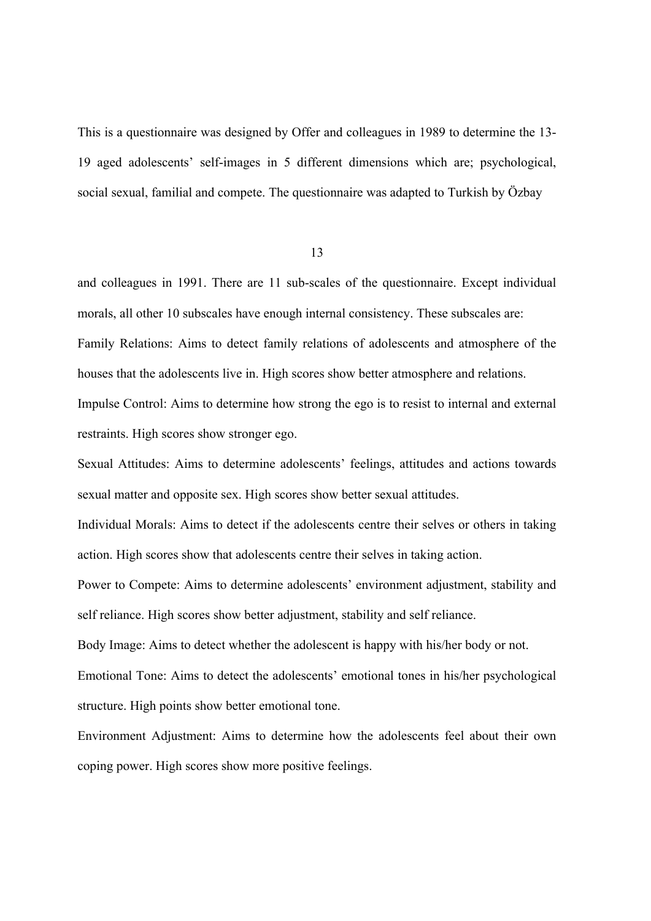This is a questionnaire was designed by Offer and colleagues in 1989 to determine the 13- 19 aged adolescents' self-images in 5 different dimensions which are; psychological, social sexual, familial and compete. The questionnaire was adapted to Turkish by Özbay

13

and colleagues in 1991. There are 11 sub-scales of the questionnaire. Except individual morals, all other 10 subscales have enough internal consistency. These subscales are: Family Relations: Aims to detect family relations of adolescents and atmosphere of the houses that the adolescents live in. High scores show better atmosphere and relations. Impulse Control: Aims to determine how strong the ego is to resist to internal and external restraints. High scores show stronger ego.

Sexual Attitudes: Aims to determine adolescents' feelings, attitudes and actions towards sexual matter and opposite sex. High scores show better sexual attitudes.

Individual Morals: Aims to detect if the adolescents centre their selves or others in taking action. High scores show that adolescents centre their selves in taking action.

Power to Compete: Aims to determine adolescents' environment adjustment, stability and self reliance. High scores show better adjustment, stability and self reliance.

Body Image: Aims to detect whether the adolescent is happy with his/her body or not.

Emotional Tone: Aims to detect the adolescents' emotional tones in his/her psychological structure. High points show better emotional tone.

Environment Adjustment: Aims to determine how the adolescents feel about their own coping power. High scores show more positive feelings.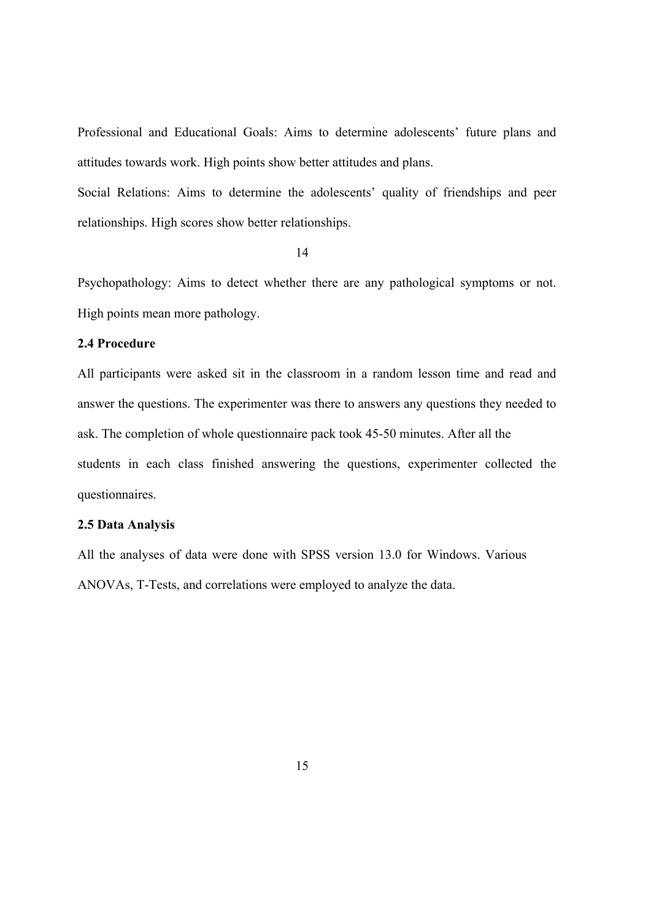Professional and Educational Goals: Aims to determine adolescents' future plans and attitudes towards work. High points show better attitudes and plans.

Social Relations: Aims to determine the adolescents' quality of friendships and peer relationships. High scores show better relationships.

14

Psychopathology: Aims to detect whether there are any pathological symptoms or not. High points mean more pathology.

# **2.4 Procedure**

All participants were asked sit in the classroom in a random lesson time and read and answer the questions. The experimenter was there to answers any questions they needed to ask. The completion of whole questionnaire pack took 45-50 minutes. After all the students in each class finished answering the questions, experimenter collected the questionnaires.

#### **2.5 Data Analysis**

All the analyses of data were done with SPSS version 13.0 for Windows. Various ANOVAs, T-Tests, and correlations were employed to analyze the data.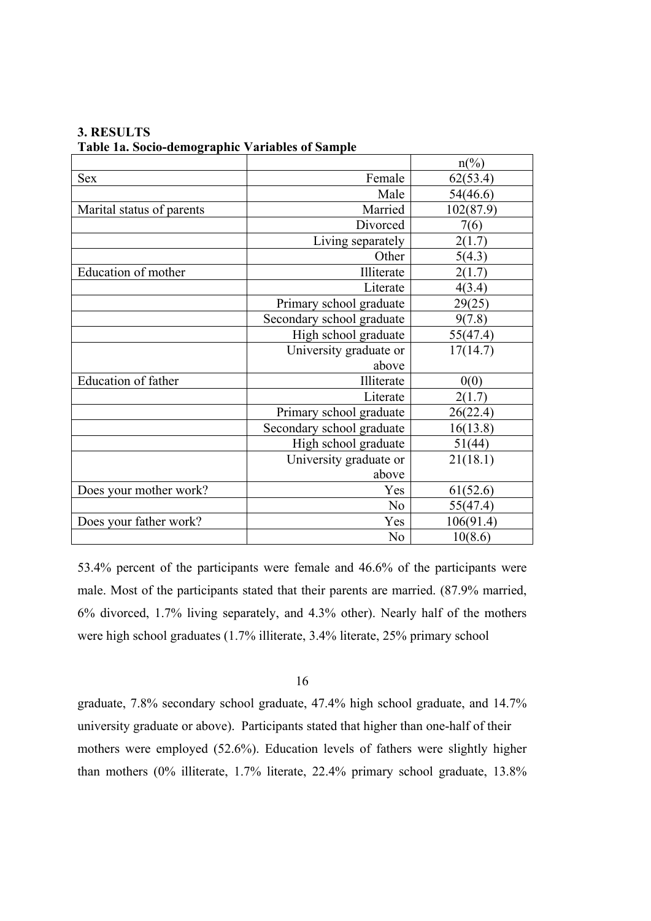|                            |                           | $n\frac{\sqrt{6}}{2}$ |
|----------------------------|---------------------------|-----------------------|
| <b>Sex</b>                 | Female                    | 62(53.4)              |
|                            | Male                      | 54(46.6)              |
| Marital status of parents  | Married                   | 102(87.9)             |
|                            | Divorced                  | 7(6)                  |
|                            | Living separately         | 2(1.7)                |
|                            | Other                     | 5(4.3)                |
| Education of mother        | Illiterate                | 2(1.7)                |
|                            | Literate                  | 4(3.4)                |
|                            | Primary school graduate   | 29(25)                |
|                            | Secondary school graduate | 9(7.8)                |
|                            | High school graduate      | 55(47.4)              |
|                            | University graduate or    | 17(14.7)              |
|                            | above                     |                       |
| <b>Education of father</b> | Illiterate                | 0(0)                  |
|                            | Literate                  | 2(1.7)                |
|                            | Primary school graduate   | 26(22.4)              |
|                            | Secondary school graduate | 16(13.8)              |
|                            | High school graduate      | 51(44)                |
|                            | University graduate or    | 21(18.1)              |
|                            | above                     |                       |
| Does your mother work?     | Yes                       | 61(52.6)              |
|                            | N <sub>0</sub>            | 55(47.4)              |
| Does your father work?     | Yes                       | 106(91.4)             |
|                            | N <sub>0</sub>            | 10(8.6)               |

**3. RESULTS Table 1a. Socio-demographic Variables of Sample**

53.4% percent of the participants were female and 46.6% of the participants were male. Most of the participants stated that their parents are married. (87.9% married, 6% divorced, 1.7% living separately, and 4.3% other). Nearly half of the mothers were high school graduates (1.7% illiterate, 3.4% literate, 25% primary school

#### 16

graduate, 7.8% secondary school graduate, 47.4% high school graduate, and 14.7% university graduate or above). Participants stated that higher than one-half of their mothers were employed (52.6%). Education levels of fathers were slightly higher than mothers (0% illiterate, 1.7% literate, 22.4% primary school graduate, 13.8%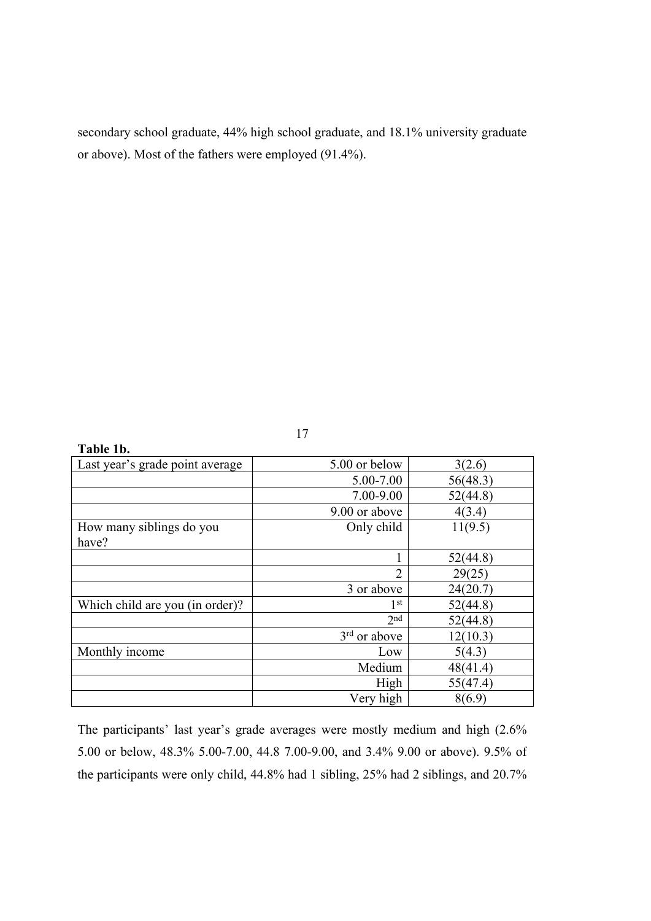secondary school graduate, 44% high school graduate, and 18.1% university graduate or above). Most of the fathers were employed (91.4%).

| Table 1b.                       |                          |          |
|---------------------------------|--------------------------|----------|
| Last year's grade point average | 5.00 or below            | 3(2.6)   |
|                                 | 5.00-7.00                | 56(48.3) |
|                                 | 7.00-9.00                | 52(44.8) |
|                                 | 9.00 or above            | 4(3.4)   |
| How many siblings do you        | Only child               | 11(9.5)  |
| have?                           |                          |          |
|                                 |                          | 52(44.8) |
|                                 | $\overline{2}$           | 29(25)   |
|                                 | 3 or above               | 24(20.7) |
| Which child are you (in order)? | 1 <sup>st</sup>          | 52(44.8) |
|                                 | 2 <sub>nd</sub>          | 52(44.8) |
|                                 | 3 <sup>rd</sup> or above | 12(10.3) |
| Monthly income                  | Low                      | 5(4.3)   |
|                                 | Medium                   | 48(41.4) |
|                                 | High                     | 55(47.4) |
|                                 | Very high                | 8(6.9)   |

The participants' last year's grade averages were mostly medium and high (2.6% 5.00 or below, 48.3% 5.00-7.00, 44.8 7.00-9.00, and 3.4% 9.00 or above). 9.5% of the participants were only child, 44.8% had 1 sibling, 25% had 2 siblings, and 20.7%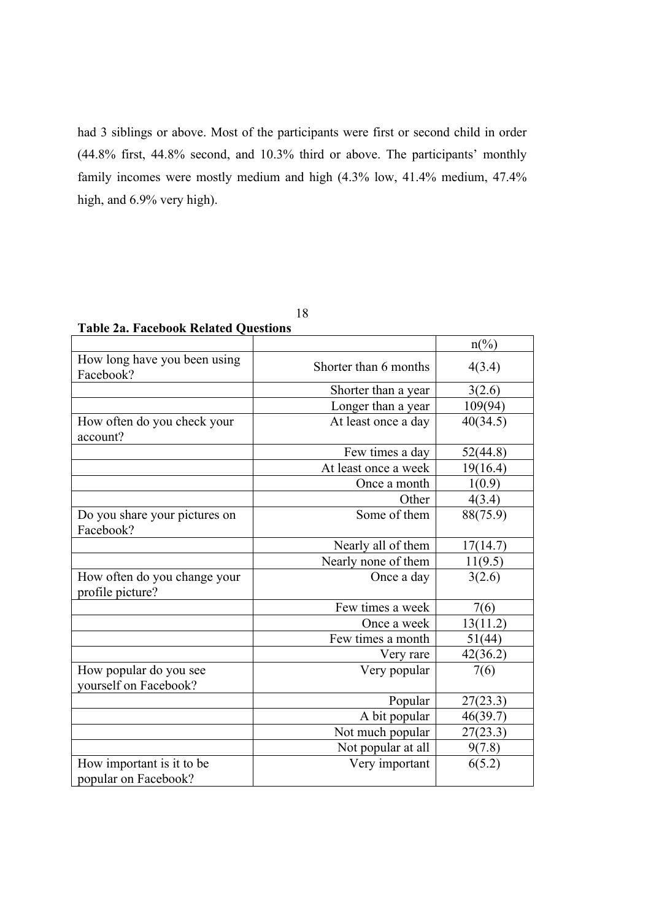had 3 siblings or above. Most of the participants were first or second child in order (44.8% first, 44.8% second, and 10.3% third or above. The participants' monthly family incomes were mostly medium and high (4.3% low, 41.4% medium, 47.4% high, and 6.9% very high).

| I<br>۰,<br>× |  |
|--------------|--|
|--------------|--|

**Table 2a. Facebook Related Questions**

|                                                  |                       | $n\frac{\omega}{\omega}$ |
|--------------------------------------------------|-----------------------|--------------------------|
| How long have you been using<br>Facebook?        | Shorter than 6 months | 4(3.4)                   |
|                                                  | Shorter than a year   | 3(2.6)                   |
|                                                  | Longer than a year    | 109(94)                  |
| How often do you check your<br>account?          | At least once a day   | 40(34.5)                 |
|                                                  | Few times a day       | 52(44.8)                 |
|                                                  | At least once a week  | 19(16.4)                 |
|                                                  | Once a month          | 1(0.9)                   |
|                                                  | Other                 | 4(3.4)                   |
| Do you share your pictures on<br>Facebook?       | Some of them          | 88(75.9)                 |
|                                                  | Nearly all of them    | 17(14.7)                 |
|                                                  | Nearly none of them   | 11(9.5)                  |
| How often do you change your<br>profile picture? | Once a day            | 3(2.6)                   |
|                                                  | Few times a week      | 7(6)                     |
|                                                  | Once a week           | 13(11.2)                 |
|                                                  | Few times a month     | 51(44)                   |
|                                                  | Very rare             | 42(36.2)                 |
| How popular do you see<br>yourself on Facebook?  | Very popular          | 7(6)                     |
|                                                  | Popular               | 27(23.3)                 |
|                                                  | A bit popular         | 46(39.7)                 |
|                                                  | Not much popular      | 27(23.3)                 |
|                                                  | Not popular at all    | 9(7.8)                   |
| How important is it to be                        | Very important        | 6(5.2)                   |
| popular on Facebook?                             |                       |                          |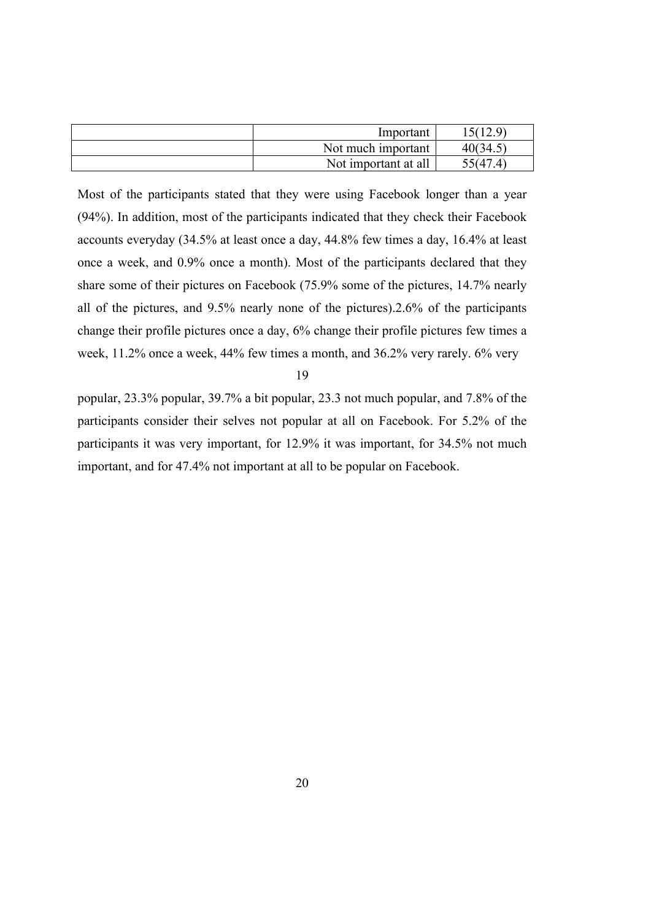| Important            | 15(129)  |
|----------------------|----------|
| Not much important   | 40(34.5) |
| Not important at all | 55(47.4) |

Most of the participants stated that they were using Facebook longer than a year (94%). In addition, most of the participants indicated that they check their Facebook accounts everyday (34.5% at least once a day, 44.8% few times a day, 16.4% at least once a week, and 0.9% once a month). Most of the participants declared that they share some of their pictures on Facebook (75.9% some of the pictures, 14.7% nearly all of the pictures, and 9.5% nearly none of the pictures).2.6% of the participants change their profile pictures once a day, 6% change their profile pictures few times a week, 11.2% once a week, 44% few times a month, and 36.2% very rarely. 6% very

19

popular, 23.3% popular, 39.7% a bit popular, 23.3 not much popular, and 7.8% of the participants consider their selves not popular at all on Facebook. For 5.2% of the participants it was very important, for 12.9% it was important, for 34.5% not much important, and for 47.4% not important at all to be popular on Facebook.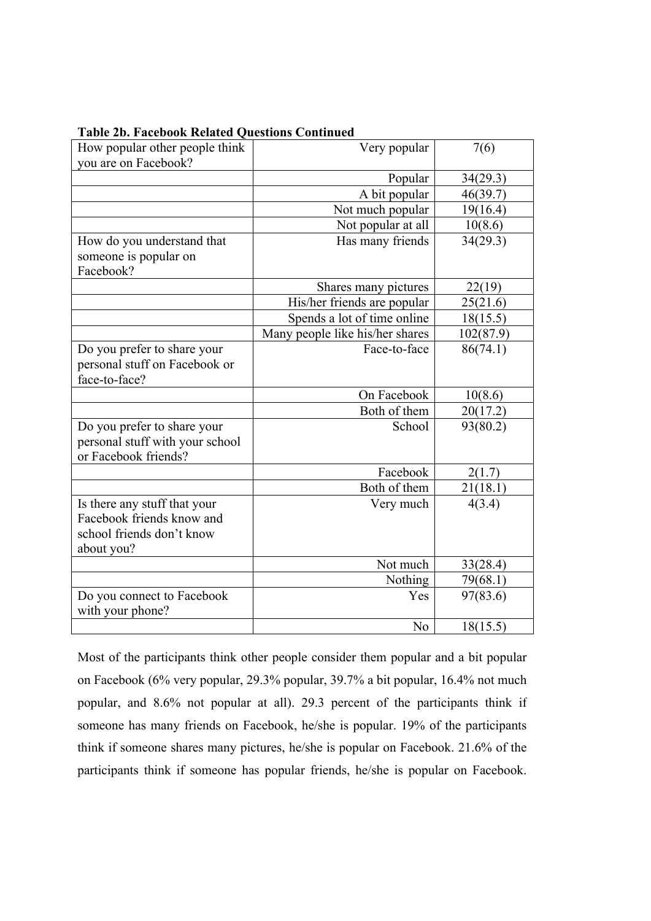| How popular other people think  | Very popular                    | 7(6)      |
|---------------------------------|---------------------------------|-----------|
| you are on Facebook?            |                                 |           |
|                                 | Popular                         | 34(29.3)  |
|                                 | A bit popular                   | 46(39.7)  |
|                                 | Not much popular                | 19(16.4)  |
|                                 | Not popular at all              | 10(8.6)   |
| How do you understand that      | Has many friends                | 34(29.3)  |
| someone is popular on           |                                 |           |
| Facebook?                       |                                 |           |
|                                 | Shares many pictures            | 22(19)    |
|                                 | His/her friends are popular     | 25(21.6)  |
|                                 | Spends a lot of time online     | 18(15.5)  |
|                                 | Many people like his/her shares | 102(87.9) |
| Do you prefer to share your     | Face-to-face                    | 86(74.1)  |
| personal stuff on Facebook or   |                                 |           |
| face-to-face?                   |                                 |           |
|                                 | On Facebook                     | 10(8.6)   |
|                                 | Both of them                    | 20(17.2)  |
| Do you prefer to share your     | School                          | 93(80.2)  |
| personal stuff with your school |                                 |           |
| or Facebook friends?            |                                 |           |
|                                 | Facebook                        | 2(1.7)    |
|                                 | Both of them                    | 21(18.1)  |
| Is there any stuff that your    | Very much                       | 4(3.4)    |
| Facebook friends know and       |                                 |           |
| school friends don't know       |                                 |           |
| about you?                      |                                 |           |
|                                 | Not much                        | 33(28.4)  |
|                                 | Nothing                         | 79(68.1)  |
| Do you connect to Facebook      | Yes                             | 97(83.6)  |
| with your phone?                |                                 |           |
|                                 | N <sub>o</sub>                  | 18(15.5)  |

#### **Table 2b. Facebook Related Questions Continued**

Most of the participants think other people consider them popular and a bit popular on Facebook (6% very popular, 29.3% popular, 39.7% a bit popular, 16.4% not much popular, and 8.6% not popular at all). 29.3 percent of the participants think if someone has many friends on Facebook, he/she is popular. 19% of the participants think if someone shares many pictures, he/she is popular on Facebook. 21.6% of the participants think if someone has popular friends, he/she is popular on Facebook.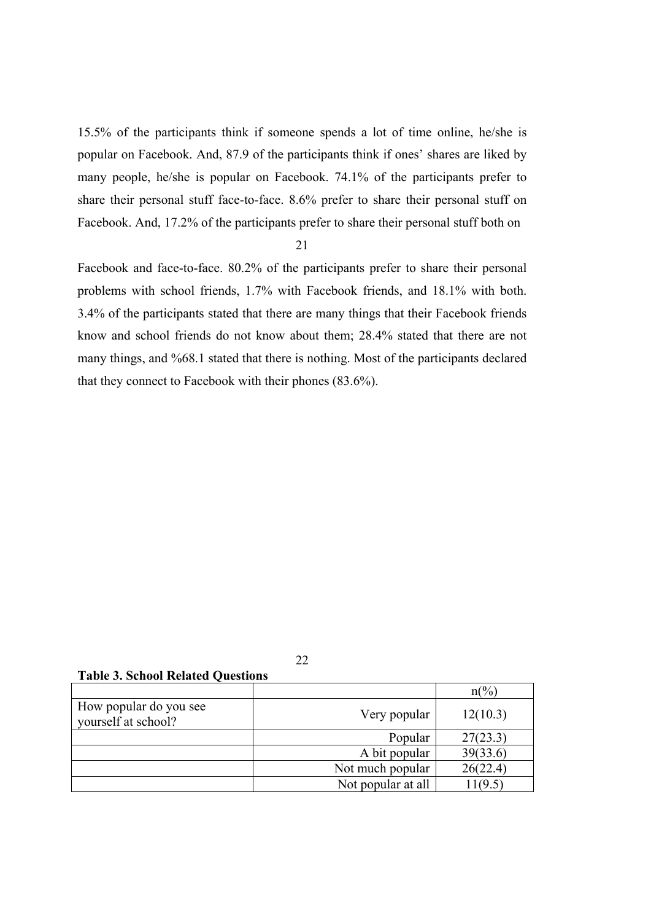15.5% of the participants think if someone spends a lot of time online, he/she is popular on Facebook. And, 87.9 of the participants think if ones' shares are liked by many people, he/she is popular on Facebook. 74.1% of the participants prefer to share their personal stuff face-to-face. 8.6% prefer to share their personal stuff on Facebook. And, 17.2% of the participants prefer to share their personal stuff both on

#### 21

Facebook and face-to-face. 80.2% of the participants prefer to share their personal problems with school friends, 1.7% with Facebook friends, and 18.1% with both. 3.4% of the participants stated that there are many things that their Facebook friends know and school friends do not know about them; 28.4% stated that there are not many things, and %68.1 stated that there is nothing. Most of the participants declared that they connect to Facebook with their phones (83.6%).

**Table 3. School Related Questions**

|                                               |                    | $n\binom{0}{0}$ |
|-----------------------------------------------|--------------------|-----------------|
| How popular do you see<br>vourself at school? | Very popular       | 12(10.3)        |
|                                               | Popular            | 27(23.3)        |
|                                               | A bit popular      | 39(33.6)        |
|                                               | Not much popular   | 26(22.4)        |
|                                               | Not popular at all | 11(9.5)         |

22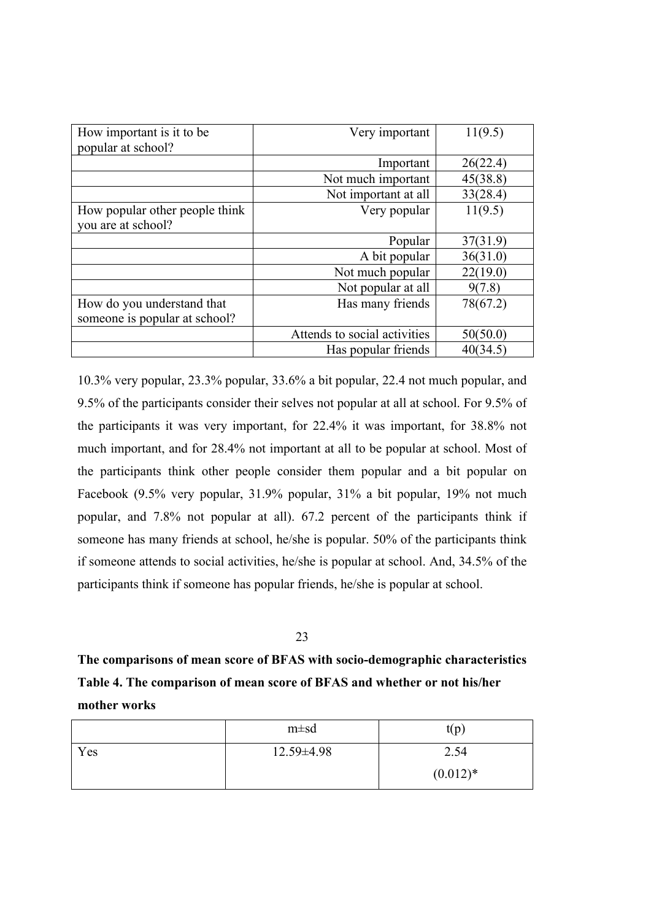| How important is it to be      | Very important               | 11(9.5)  |
|--------------------------------|------------------------------|----------|
| popular at school?             |                              |          |
|                                | Important                    | 26(22.4) |
|                                | Not much important           | 45(38.8) |
|                                | Not important at all         | 33(28.4) |
| How popular other people think | Very popular                 | 11(9.5)  |
| you are at school?             |                              |          |
|                                | Popular                      | 37(31.9) |
|                                | A bit popular                | 36(31.0) |
|                                | Not much popular             | 22(19.0) |
|                                | Not popular at all           | 9(7.8)   |
| How do you understand that     | Has many friends             | 78(67.2) |
| someone is popular at school?  |                              |          |
|                                | Attends to social activities | 50(50.0) |
|                                | Has popular friends          | 40(34.5) |

10.3% very popular, 23.3% popular, 33.6% a bit popular, 22.4 not much popular, and 9.5% of the participants consider their selves not popular at all at school. For 9.5% of the participants it was very important, for 22.4% it was important, for 38.8% not much important, and for 28.4% not important at all to be popular at school. Most of the participants think other people consider them popular and a bit popular on Facebook (9.5% very popular, 31.9% popular, 31% a bit popular, 19% not much popular, and 7.8% not popular at all). 67.2 percent of the participants think if someone has many friends at school, he/she is popular. 50% of the participants think if someone attends to social activities, he/she is popular at school. And, 34.5% of the participants think if someone has popular friends, he/she is popular at school.

#### 23

**The comparisons of mean score of BFAS with socio-demographic characteristics Table 4. The comparison of mean score of BFAS and whether or not his/her mother works**

|     | $m \pm sd$       | t(p)       |
|-----|------------------|------------|
| Yes | $12.59 \pm 4.98$ | 2.54       |
|     |                  | $(0.012)*$ |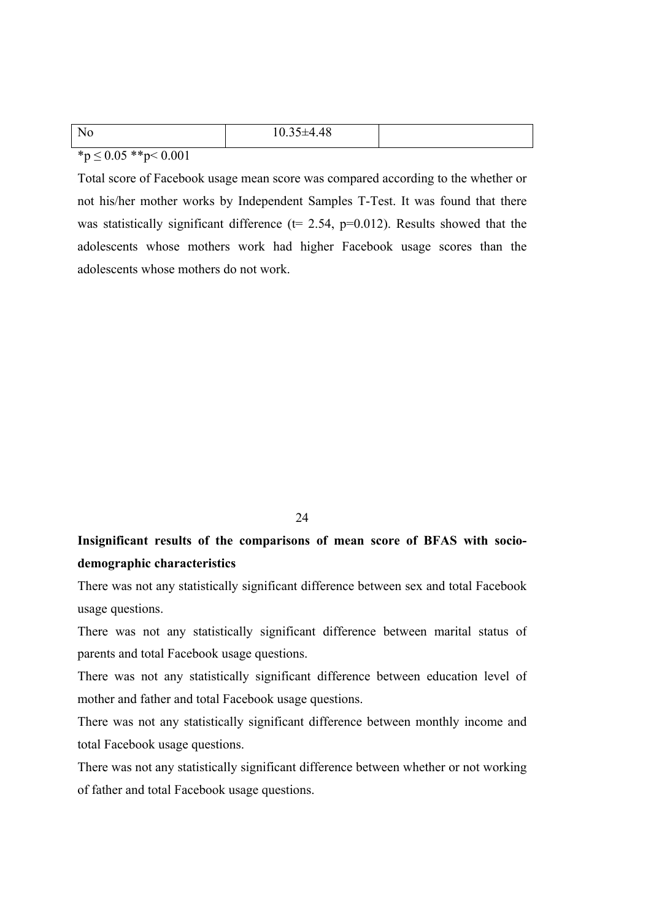| N<br>-111 | $\sim$ $\sim$ $\sim$<br>$\sim$<br>$\sqrt{ }$<br>$10.33 + 4.40$ |  |
|-----------|----------------------------------------------------------------|--|
|           |                                                                |  |

 $\binom{*}{p} \leq 0.05$  \*\*p< 0.001

Total score of Facebook usage mean score was compared according to the whether or not his/her mother works by Independent Samples T-Test. It was found that there was statistically significant difference ( $t= 2.54$ ,  $p=0.012$ ). Results showed that the adolescents whose mothers work had higher Facebook usage scores than the adolescents whose mothers do not work.

24

# **Insignificant results of the comparisons of mean score of BFAS with sociodemographic characteristics**

There was not any statistically significant difference between sex and total Facebook usage questions.

There was not any statistically significant difference between marital status of parents and total Facebook usage questions.

There was not any statistically significant difference between education level of mother and father and total Facebook usage questions.

There was not any statistically significant difference between monthly income and total Facebook usage questions.

There was not any statistically significant difference between whether or not working of father and total Facebook usage questions.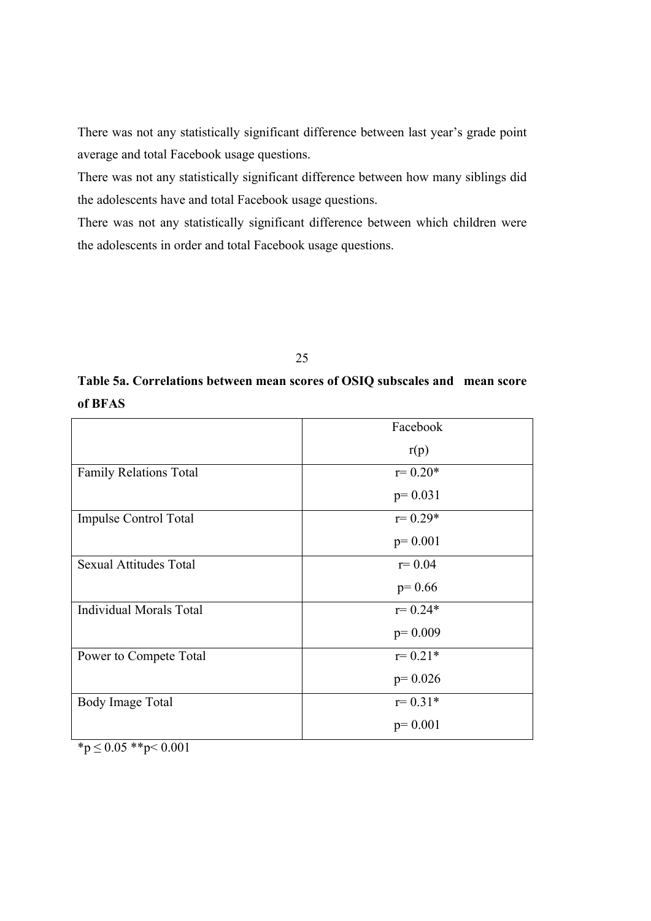There was not any statistically significant difference between last year's grade point average and total Facebook usage questions.

There was not any statistically significant difference between how many siblings did the adolescents have and total Facebook usage questions.

There was not any statistically significant difference between which children were the adolescents in order and total Facebook usage questions.

25

# **Table 5a. Correlations between mean scores of OSIQ subscales and mean score of BFAS**

|                                | Facebook    |
|--------------------------------|-------------|
|                                | r(p)        |
| <b>Family Relations Total</b>  | $r = 0.20*$ |
|                                | $p=0.031$   |
| <b>Impulse Control Total</b>   | $r = 0.29*$ |
|                                | $p=0.001$   |
| <b>Sexual Attitudes Total</b>  | $r = 0.04$  |
|                                | $p=0.66$    |
| <b>Individual Morals Total</b> | $r = 0.24*$ |
|                                | $p=0.009$   |
| Power to Compete Total         | $r = 0.21*$ |
|                                | $p=0.026$   |
| Body Image Total               | $r = 0.31*$ |
|                                | $p=0.001$   |

 $*<sub>p</sub> \le 0.05$  \*\*p $< 0.001$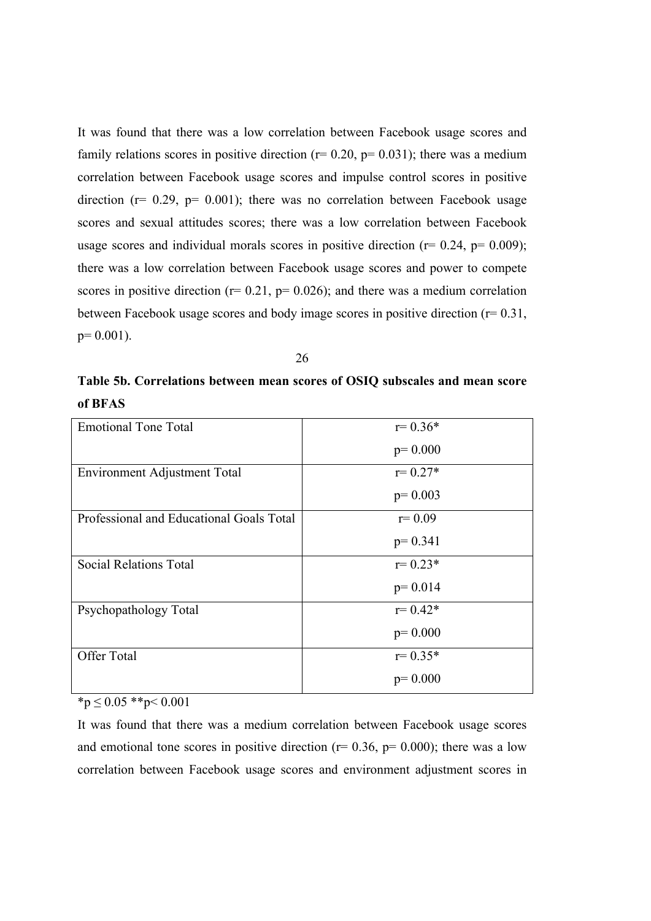It was found that there was a low correlation between Facebook usage scores and family relations scores in positive direction ( $r= 0.20$ ,  $p= 0.031$ ); there was a medium correlation between Facebook usage scores and impulse control scores in positive direction ( $r= 0.29$ ,  $p= 0.001$ ); there was no correlation between Facebook usage scores and sexual attitudes scores; there was a low correlation between Facebook usage scores and individual morals scores in positive direction  $(r= 0.24, p= 0.009)$ ; there was a low correlation between Facebook usage scores and power to compete scores in positive direction ( $r= 0.21$ ,  $p= 0.026$ ); and there was a medium correlation between Facebook usage scores and body image scores in positive direction (r= 0.31,  $p= 0.001$ ).

26

**Table 5b. Correlations between mean scores of OSIQ subscales and mean score of BFAS**

| <b>Emotional Tone Total</b>              | $r = 0.36*$ |
|------------------------------------------|-------------|
|                                          | $p=0.000$   |
| <b>Environment Adjustment Total</b>      | $r = 0.27*$ |
|                                          | $p=0.003$   |
| Professional and Educational Goals Total | $r = 0.09$  |
|                                          | $p=0.341$   |
| <b>Social Relations Total</b>            | $r = 0.23*$ |
|                                          | $p=0.014$   |
| Psychopathology Total                    | $r = 0.42*$ |
|                                          | $p=0.000$   |
| Offer Total                              | $r = 0.35*$ |
|                                          | $p=0.000$   |

 $\overline{p}$  < 0.05 \*\*p < 0.001

It was found that there was a medium correlation between Facebook usage scores and emotional tone scores in positive direction ( $r= 0.36$ ,  $p= 0.000$ ); there was a low correlation between Facebook usage scores and environment adjustment scores in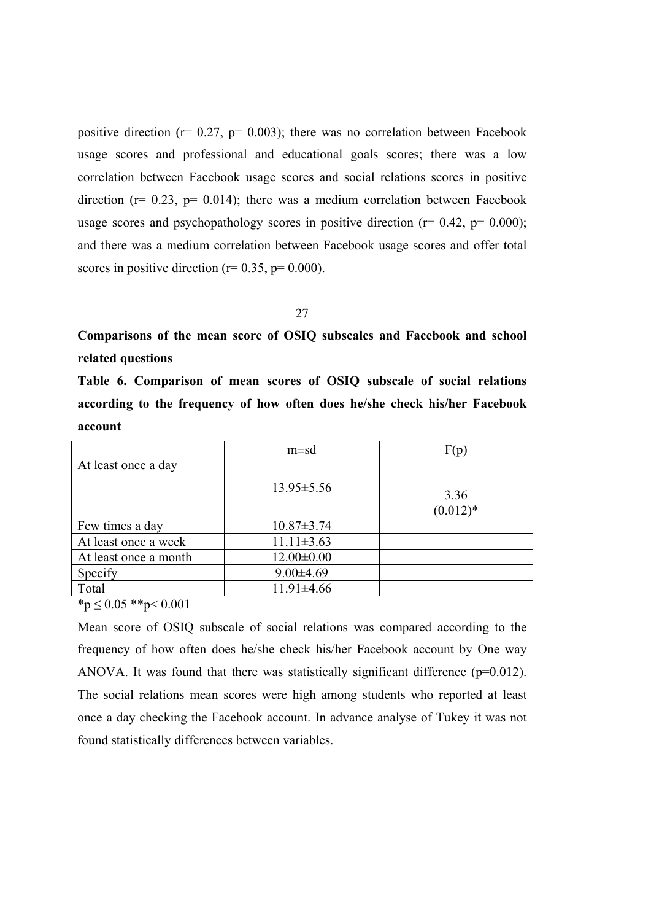positive direction ( $r= 0.27$ ,  $p= 0.003$ ); there was no correlation between Facebook usage scores and professional and educational goals scores; there was a low correlation between Facebook usage scores and social relations scores in positive direction ( $r= 0.23$ ,  $p= 0.014$ ); there was a medium correlation between Facebook usage scores and psychopathology scores in positive direction ( $r = 0.42$ ,  $p = 0.000$ ); and there was a medium correlation between Facebook usage scores and offer total scores in positive direction ( $r= 0.35$ ,  $p= 0.000$ ).

27

**Comparisons of the mean score of OSIQ subscales and Facebook and school related questions**

**Table 6. Comparison of mean scores of OSIQ subscale of social relations according to the frequency of how often does he/she check his/her Facebook account**

|                       | $m \pm sd$       | F(p)               |
|-----------------------|------------------|--------------------|
| At least once a day   | $13.95 \pm 5.56$ |                    |
|                       |                  | 3.36<br>$(0.012)*$ |
| Few times a day       | $10.87 \pm 3.74$ |                    |
| At least once a week  | $11.11 \pm 3.63$ |                    |
| At least once a month | $12.00 \pm 0.00$ |                    |
| Specify               | $9.00 \pm 4.69$  |                    |
| Total                 | $11.91 \pm 4.66$ |                    |

 $*_p$  < 0.05  $*_p$  < 0.001

Mean score of OSIQ subscale of social relations was compared according to the frequency of how often does he/she check his/her Facebook account by One way ANOVA. It was found that there was statistically significant difference  $(p=0.012)$ . The social relations mean scores were high among students who reported at least once a day checking the Facebook account. In advance analyse of Tukey it was not found statistically differences between variables.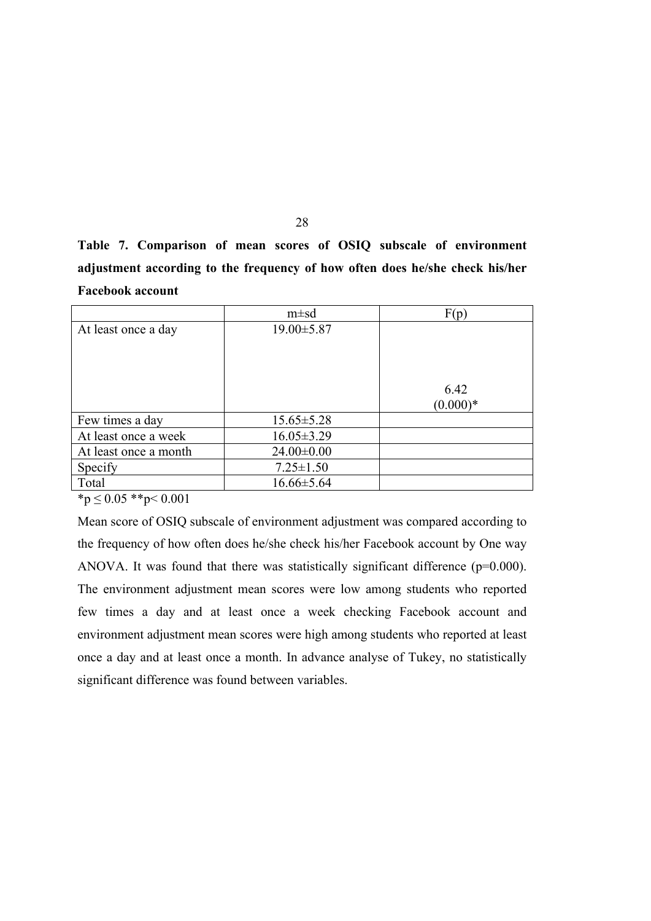**Table 7. Comparison of mean scores of OSIQ subscale of environment adjustment according to the frequency of how often does he/she check his/her Facebook account**

|                       | $m \pm sd$       | F(p)       |
|-----------------------|------------------|------------|
| At least once a day   | $19.00 \pm 5.87$ |            |
|                       |                  |            |
|                       |                  |            |
|                       |                  | 6.42       |
|                       |                  | $(0.000)*$ |
| Few times a day       | $15.65 \pm 5.28$ |            |
| At least once a week  | $16.05 \pm 3.29$ |            |
| At least once a month | $24.00 \pm 0.00$ |            |
| Specify               | $7.25 \pm 1.50$  |            |
| Total                 | $16.66 \pm 5.64$ |            |

 $*_{p} \leq 0.05$  \*\*p $\leq 0.001$ 

Mean score of OSIQ subscale of environment adjustment was compared according to the frequency of how often does he/she check his/her Facebook account by One way ANOVA. It was found that there was statistically significant difference (p=0.000). The environment adjustment mean scores were low among students who reported few times a day and at least once a week checking Facebook account and environment adjustment mean scores were high among students who reported at least once a day and at least once a month. In advance analyse of Tukey, no statistically significant difference was found between variables.

28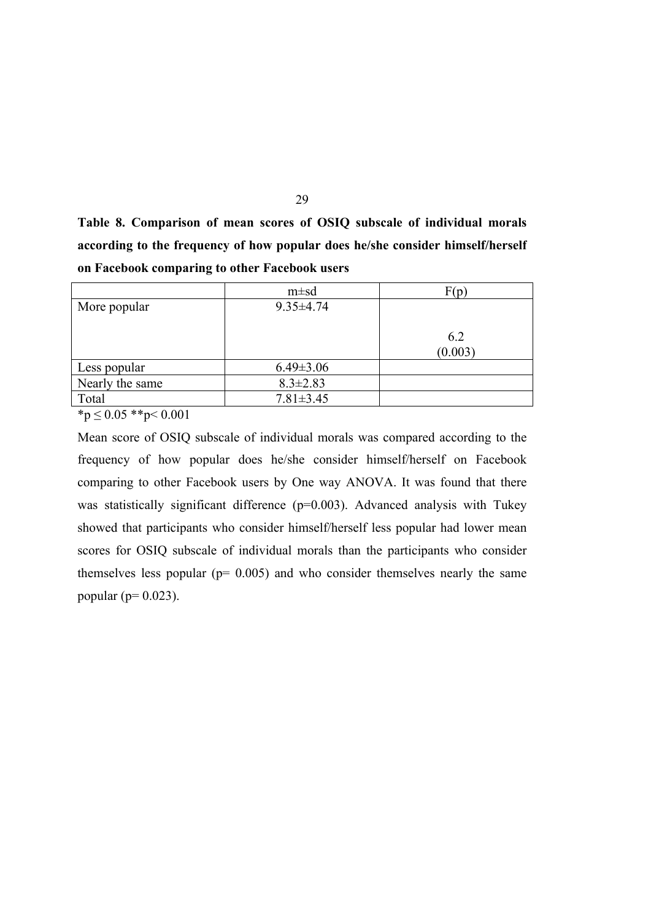**Table 8. Comparison of mean scores of OSIQ subscale of individual morals according to the frequency of how popular does he/she consider himself/herself on Facebook comparing to other Facebook users**

29

|                 | $m \pm sd$      | F(p)           |
|-----------------|-----------------|----------------|
| More popular    | $9.35 \pm 4.74$ |                |
|                 |                 | 6.2<br>(0.003) |
| Less popular    | $6.49 \pm 3.06$ |                |
| Nearly the same | $8.3 \pm 2.83$  |                |
| Total           | $7.81 \pm 3.45$ |                |

 $*_{p} \leq 0.05$  \*\*p< 0.001

Mean score of OSIQ subscale of individual morals was compared according to the frequency of how popular does he/she consider himself/herself on Facebook comparing to other Facebook users by One way ANOVA. It was found that there was statistically significant difference (p=0.003). Advanced analysis with Tukey showed that participants who consider himself/herself less popular had lower mean scores for OSIQ subscale of individual morals than the participants who consider themselves less popular ( $p= 0.005$ ) and who consider themselves nearly the same popular ( $p= 0.023$ ).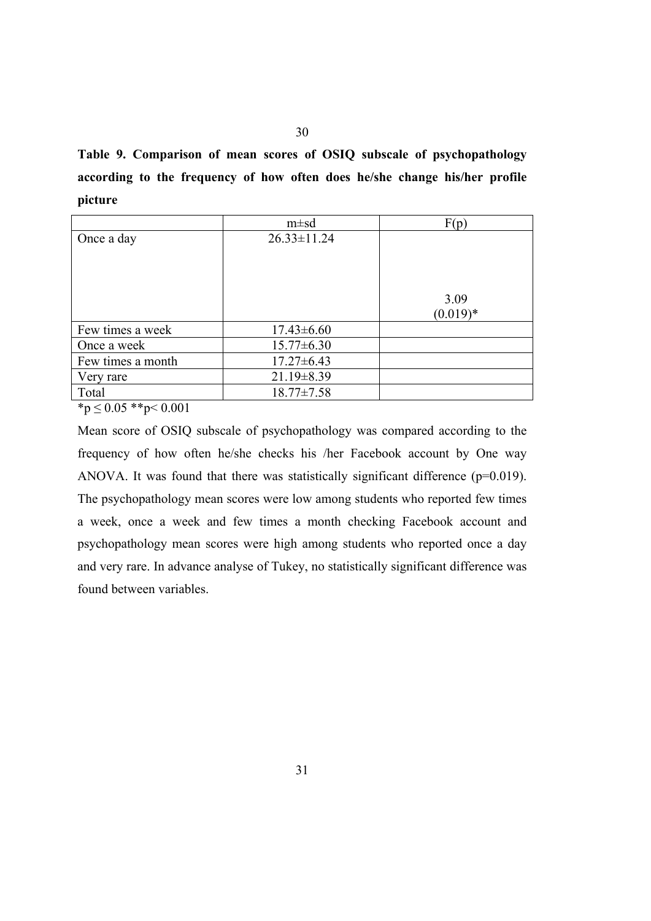**Table 9. Comparison of mean scores of OSIQ subscale of psychopathology according to the frequency of how often does he/she change his/her profile picture**

|                   | $m \pm sd$        | F(p)               |
|-------------------|-------------------|--------------------|
| Once a day        | $26.33 \pm 11.24$ | 3.09<br>$(0.019)*$ |
| Few times a week  | $17.43\pm 6.60$   |                    |
| Once a week       | $15.77 \pm 6.30$  |                    |
| Few times a month | $17.27 \pm 6.43$  |                    |
| Very rare         | $21.19 \pm 8.39$  |                    |
| Total             | $18.77 \pm 7.58$  |                    |

 $\binom{*}{p} \leq 0.05 \binom{*}{p} < 0.001$ 

Mean score of OSIQ subscale of psychopathology was compared according to the frequency of how often he/she checks his /her Facebook account by One way ANOVA. It was found that there was statistically significant difference  $(p=0.019)$ . The psychopathology mean scores were low among students who reported few times a week, once a week and few times a month checking Facebook account and psychopathology mean scores were high among students who reported once a day and very rare. In advance analyse of Tukey, no statistically significant difference was found between variables.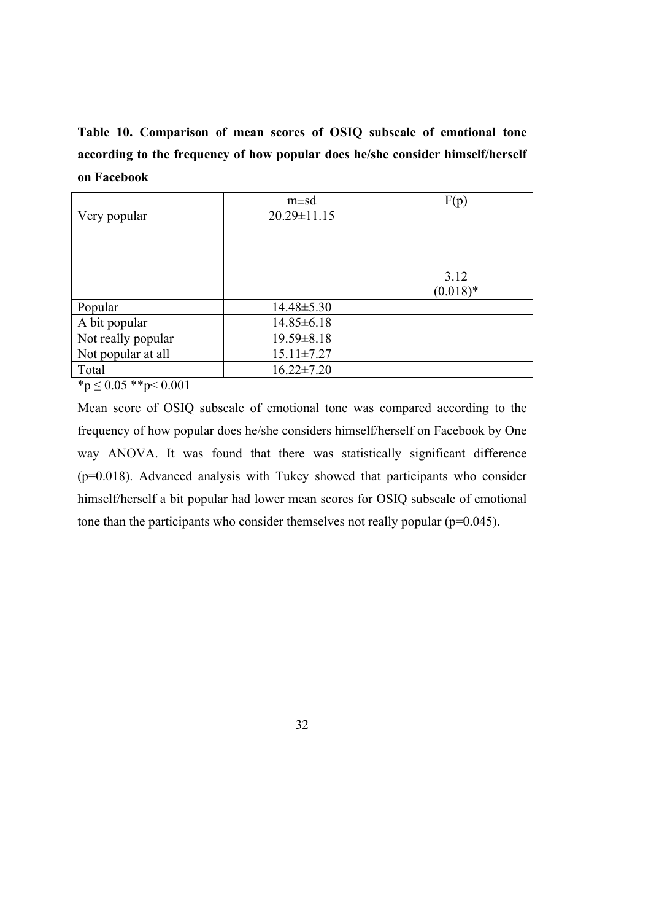**Table 10. Comparison of mean scores of OSIQ subscale of emotional tone according to the frequency of how popular does he/she consider himself/herself on Facebook**

|                    | $m \pm sd$        | F(p)               |
|--------------------|-------------------|--------------------|
| Very popular       | $20.29 \pm 11.15$ | 3.12<br>$(0.018)*$ |
| Popular            | $14.48 \pm 5.30$  |                    |
| A bit popular      | $14.85 \pm 6.18$  |                    |
| Not really popular | $19.59 \pm 8.18$  |                    |
| Not popular at all | $15.11 \pm 7.27$  |                    |
| Total              | $16.22 \pm 7.20$  |                    |

 $*p \leq 0.05$  \*\*p< 0.001

Mean score of OSIQ subscale of emotional tone was compared according to the frequency of how popular does he/she considers himself/herself on Facebook by One way ANOVA. It was found that there was statistically significant difference (p=0.018). Advanced analysis with Tukey showed that participants who consider himself/herself a bit popular had lower mean scores for OSIQ subscale of emotional tone than the participants who consider themselves not really popular  $(p=0.045)$ .

32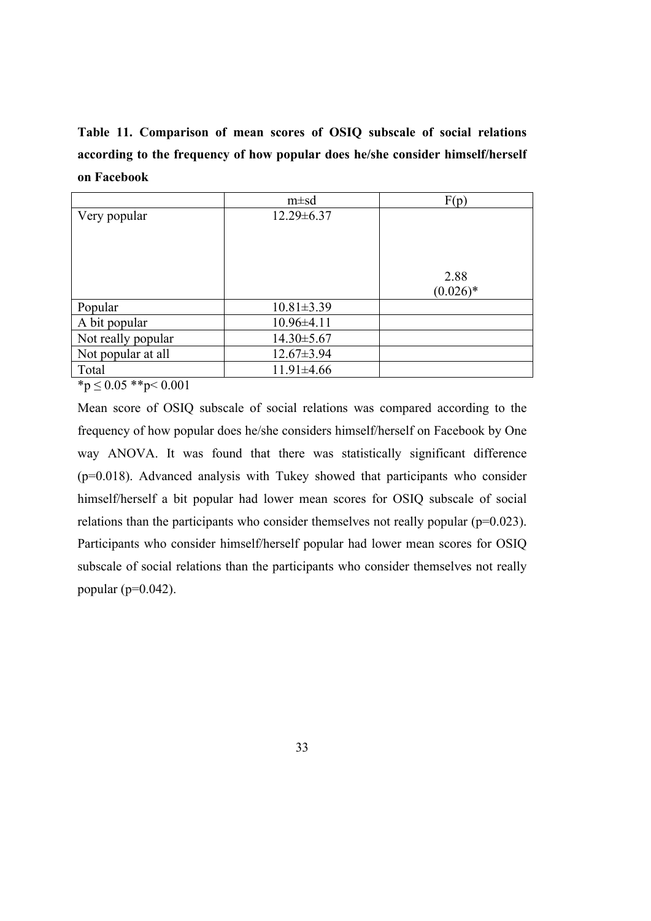**Table 11. Comparison of mean scores of OSIQ subscale of social relations according to the frequency of how popular does he/she consider himself/herself on Facebook**

|                    | $m \pm sd$       | F(p)                |
|--------------------|------------------|---------------------|
| Very popular       | $12.29 \pm 6.37$ | 2.88<br>$(0.026)^*$ |
| Popular            | $10.81 \pm 3.39$ |                     |
| A bit popular      | $10.96 \pm 4.11$ |                     |
| Not really popular | $14.30 \pm 5.67$ |                     |
| Not popular at all | $12.67 \pm 3.94$ |                     |
| Total              | $11.91 \pm 4.66$ |                     |

 $*_{p} \leq 0.05$  \*\*p $< 0.001$ 

Mean score of OSIQ subscale of social relations was compared according to the frequency of how popular does he/she considers himself/herself on Facebook by One way ANOVA. It was found that there was statistically significant difference (p=0.018). Advanced analysis with Tukey showed that participants who consider himself/herself a bit popular had lower mean scores for OSIQ subscale of social relations than the participants who consider themselves not really popular (p=0.023). Participants who consider himself/herself popular had lower mean scores for OSIQ subscale of social relations than the participants who consider themselves not really popular ( $p=0.042$ ).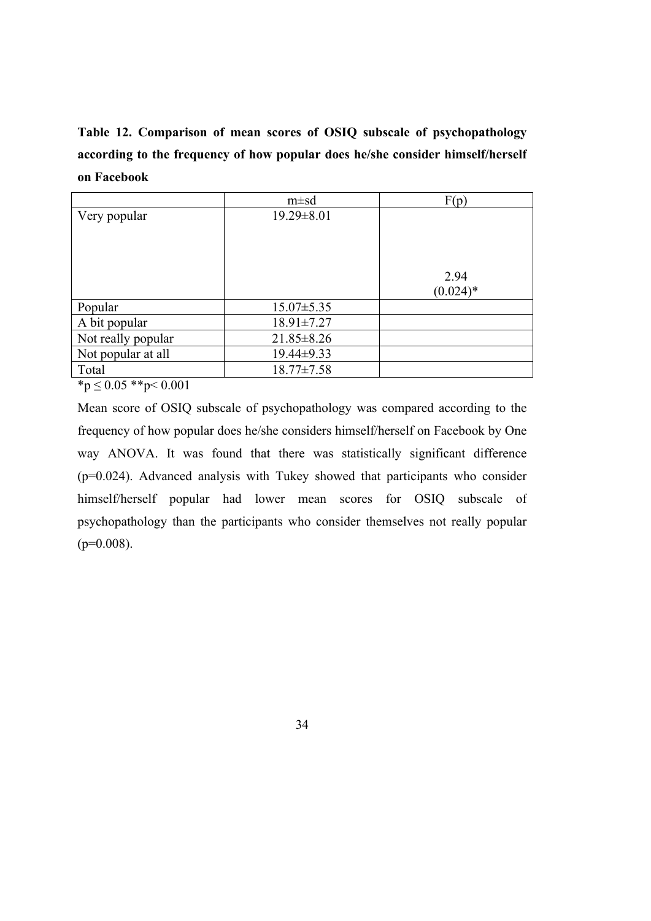**Table 12. Comparison of mean scores of OSIQ subscale of psychopathology according to the frequency of how popular does he/she consider himself/herself on Facebook**

|                    | $m \pm sd$       | F(p)                |
|--------------------|------------------|---------------------|
| Very popular       | $19.29 \pm 8.01$ | 2.94<br>$(0.024)$ * |
| Popular            | $15.07 \pm 5.35$ |                     |
| A bit popular      | $18.91 \pm 7.27$ |                     |
| Not really popular | $21.85 \pm 8.26$ |                     |
| Not popular at all | 19.44±9.33       |                     |
| Total              | $18.77 \pm 7.58$ |                     |

 ${}^*p \leq 0.05$   ${}^*p < 0.001$ 

Mean score of OSIQ subscale of psychopathology was compared according to the frequency of how popular does he/she considers himself/herself on Facebook by One way ANOVA. It was found that there was statistically significant difference (p=0.024). Advanced analysis with Tukey showed that participants who consider himself/herself popular had lower mean scores for OSIQ subscale of psychopathology than the participants who consider themselves not really popular  $(p=0.008)$ .

34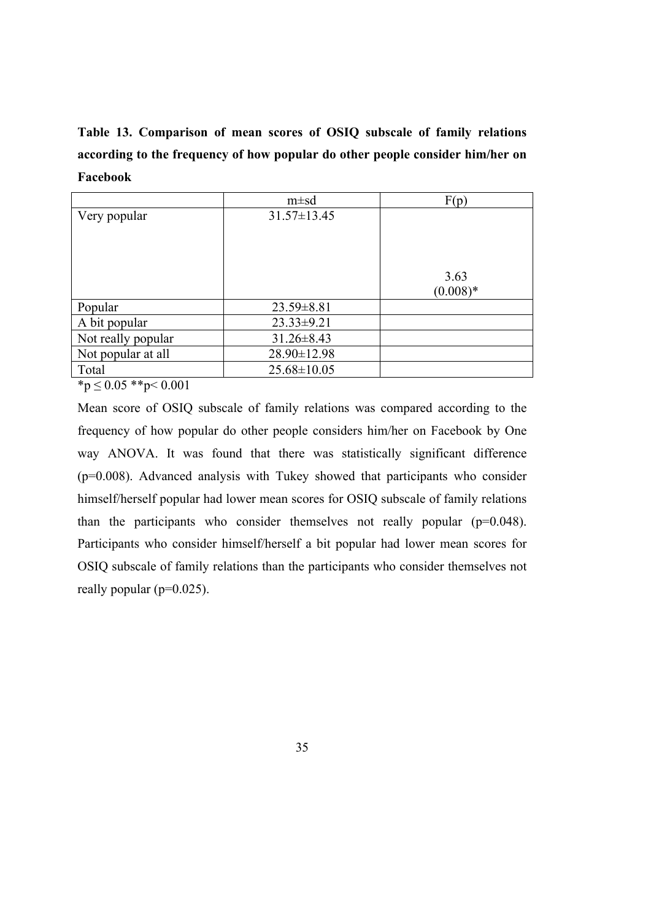**Table 13. Comparison of mean scores of OSIQ subscale of family relations according to the frequency of how popular do other people consider him/her on Facebook**

|                    | $m \pm sd$        | F(p)               |
|--------------------|-------------------|--------------------|
| Very popular       | $31.57 \pm 13.45$ | 3.63<br>$(0.008)*$ |
| Popular            | $23.59 \pm 8.81$  |                    |
| A bit popular      | $23.33 \pm 9.21$  |                    |
| Not really popular | $31.26 \pm 8.43$  |                    |
| Not popular at all | 28.90±12.98       |                    |
| Total              | $25.68 \pm 10.05$ |                    |

 $*_{p} \leq 0.05$  \*\*p $< 0.001$ 

Mean score of OSIQ subscale of family relations was compared according to the frequency of how popular do other people considers him/her on Facebook by One way ANOVA. It was found that there was statistically significant difference (p=0.008). Advanced analysis with Tukey showed that participants who consider himself/herself popular had lower mean scores for OSIQ subscale of family relations than the participants who consider themselves not really popular  $(p=0.048)$ . Participants who consider himself/herself a bit popular had lower mean scores for OSIQ subscale of family relations than the participants who consider themselves not really popular ( $p=0.025$ ).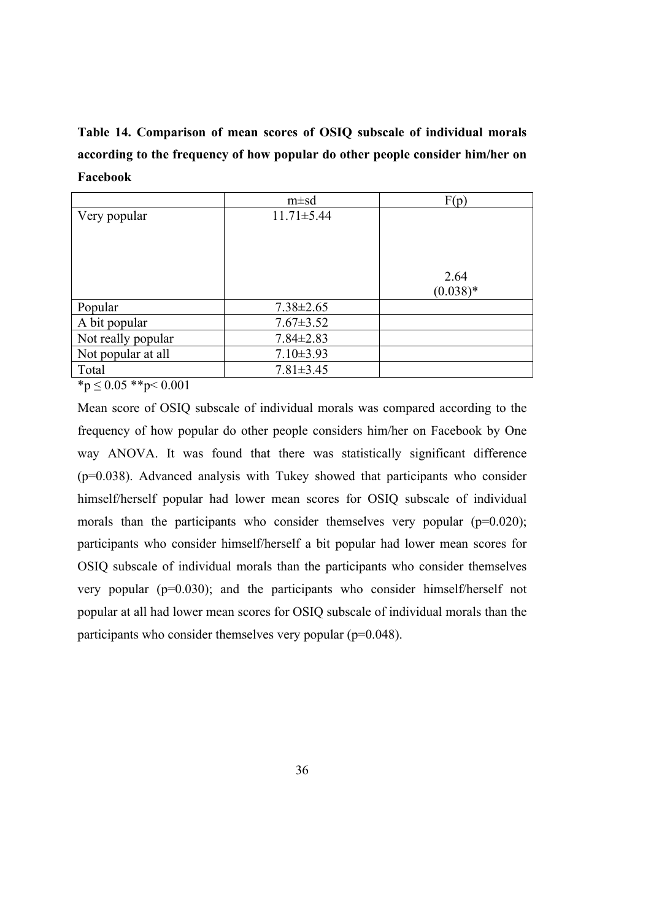**Table 14. Comparison of mean scores of OSIQ subscale of individual morals according to the frequency of how popular do other people consider him/her on Facebook**

|                             | $m \pm sd$       | F(p)               |
|-----------------------------|------------------|--------------------|
| Very popular                | $11.71 \pm 5.44$ | 2.64<br>$(0.038)*$ |
| Popular                     | $7.38 \pm 2.65$  |                    |
| A bit popular               | $7.67 \pm 3.52$  |                    |
| Not really popular          | $7.84 \pm 2.83$  |                    |
| Not popular at all          | $7.10\pm3.93$    |                    |
| Total<br>- - - - <b>.</b> . | $7.81 \pm 3.45$  |                    |

 $*_{p} \leq 0.05$  \*\*p $< 0.001$ 

Mean score of OSIQ subscale of individual morals was compared according to the frequency of how popular do other people considers him/her on Facebook by One way ANOVA. It was found that there was statistically significant difference (p=0.038). Advanced analysis with Tukey showed that participants who consider himself/herself popular had lower mean scores for OSIQ subscale of individual morals than the participants who consider themselves very popular  $(p=0.020)$ ; participants who consider himself/herself a bit popular had lower mean scores for OSIQ subscale of individual morals than the participants who consider themselves very popular (p=0.030); and the participants who consider himself/herself not popular at all had lower mean scores for OSIQ subscale of individual morals than the participants who consider themselves very popular (p=0.048).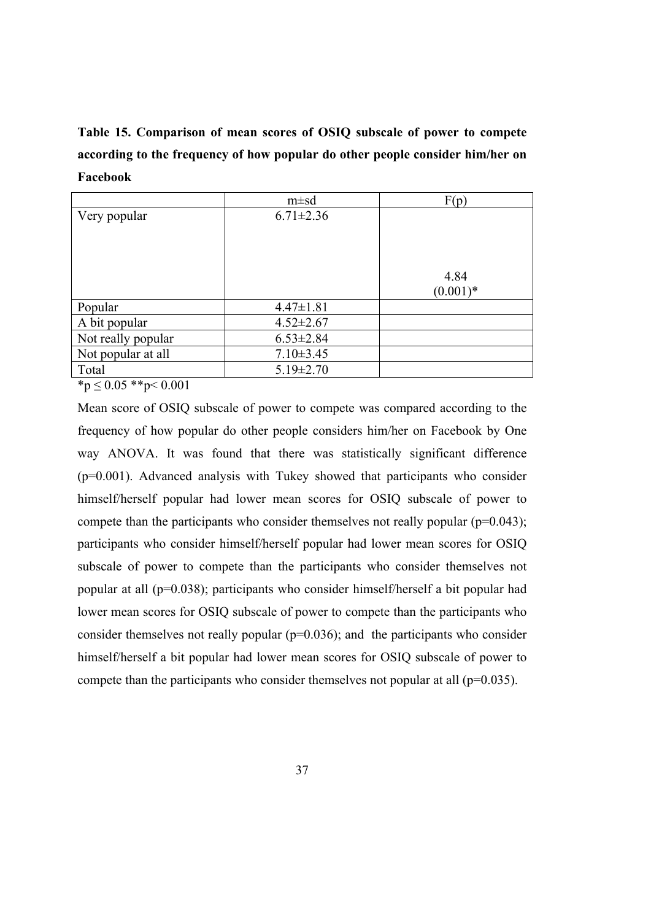**Table 15. Comparison of mean scores of OSIQ subscale of power to compete according to the frequency of how popular do other people consider him/her on Facebook**

|                    | $m \pm sd$      | F(p)        |
|--------------------|-----------------|-------------|
| Very popular       | $6.71 \pm 2.36$ | 4.84        |
|                    |                 | $(0.001)^*$ |
| Popular            | $4.47 \pm 1.81$ |             |
| A bit popular      | $4.52 \pm 2.67$ |             |
| Not really popular | $6.53 \pm 2.84$ |             |
| Not popular at all | $7.10 \pm 3.45$ |             |
| Total              | $5.19 \pm 2.70$ |             |

 $~^{\ast}p \leq 0.05~^{\ast} \frac{p}{9} < 0.001$ 

Mean score of OSIQ subscale of power to compete was compared according to the frequency of how popular do other people considers him/her on Facebook by One way ANOVA. It was found that there was statistically significant difference (p=0.001). Advanced analysis with Tukey showed that participants who consider himself/herself popular had lower mean scores for OSIQ subscale of power to compete than the participants who consider themselves not really popular  $(p=0.043)$ ; participants who consider himself/herself popular had lower mean scores for OSIQ subscale of power to compete than the participants who consider themselves not popular at all (p=0.038); participants who consider himself/herself a bit popular had lower mean scores for OSIQ subscale of power to compete than the participants who consider themselves not really popular  $(p=0.036)$ ; and the participants who consider himself/herself a bit popular had lower mean scores for OSIQ subscale of power to compete than the participants who consider themselves not popular at all  $(p=0.035)$ .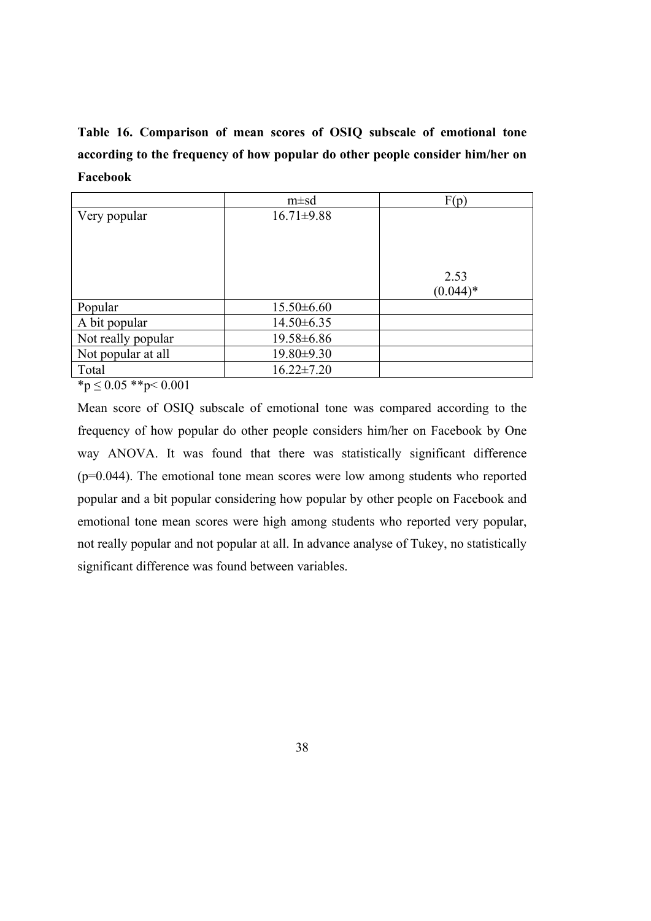**Table 16. Comparison of mean scores of OSIQ subscale of emotional tone according to the frequency of how popular do other people consider him/her on Facebook**

|                    | $m \pm sd$       | F(p)               |
|--------------------|------------------|--------------------|
| Very popular       | $16.71 \pm 9.88$ | 2.53<br>$(0.044)*$ |
| Popular            | $15.50\pm 6.60$  |                    |
| A bit popular      | $14.50 \pm 6.35$ |                    |
| Not really popular | 19.58±6.86       |                    |
| Not popular at all | $19.80 \pm 9.30$ |                    |
| Total              | $16.22 \pm 7.20$ |                    |

 $*p \leq 0.05$  \*\*p< 0.001

Mean score of OSIQ subscale of emotional tone was compared according to the frequency of how popular do other people considers him/her on Facebook by One way ANOVA. It was found that there was statistically significant difference (p=0.044). The emotional tone mean scores were low among students who reported popular and a bit popular considering how popular by other people on Facebook and emotional tone mean scores were high among students who reported very popular, not really popular and not popular at all. In advance analyse of Tukey, no statistically significant difference was found between variables.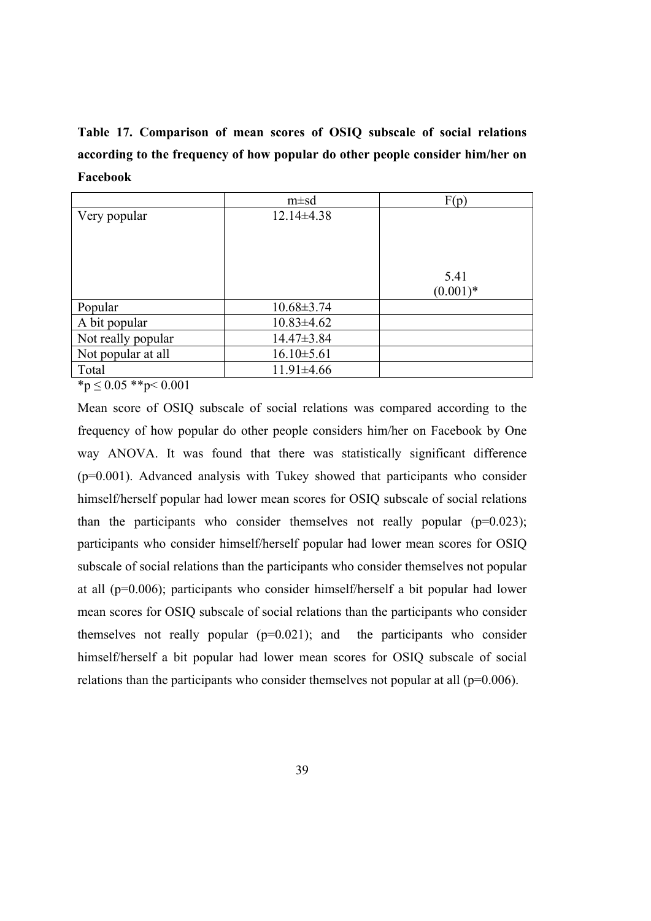**Table 17. Comparison of mean scores of OSIQ subscale of social relations according to the frequency of how popular do other people consider him/her on Facebook**

|                    | $m \pm sd$       | F(p)               |
|--------------------|------------------|--------------------|
| Very popular       | $12.14\pm4.38$   | 5.41<br>$(0.001)*$ |
| Popular            | $10.68 \pm 3.74$ |                    |
| A bit popular      | $10.83 \pm 4.62$ |                    |
| Not really popular | $14.47 \pm 3.84$ |                    |
| Not popular at all | $16.10 \pm 5.61$ |                    |
| Total<br>.<br>.    | $11.91 \pm 4.66$ |                    |

 $*_{p} \leq 0.05$  \*\*p $< 0.001$ 

Mean score of OSIQ subscale of social relations was compared according to the frequency of how popular do other people considers him/her on Facebook by One way ANOVA. It was found that there was statistically significant difference (p=0.001). Advanced analysis with Tukey showed that participants who consider himself/herself popular had lower mean scores for OSIQ subscale of social relations than the participants who consider themselves not really popular  $(p=0.023)$ ; participants who consider himself/herself popular had lower mean scores for OSIQ subscale of social relations than the participants who consider themselves not popular at all (p=0.006); participants who consider himself/herself a bit popular had lower mean scores for OSIQ subscale of social relations than the participants who consider themselves not really popular  $(p=0.021)$ ; and the participants who consider himself/herself a bit popular had lower mean scores for OSIQ subscale of social relations than the participants who consider themselves not popular at all  $(p=0.006)$ .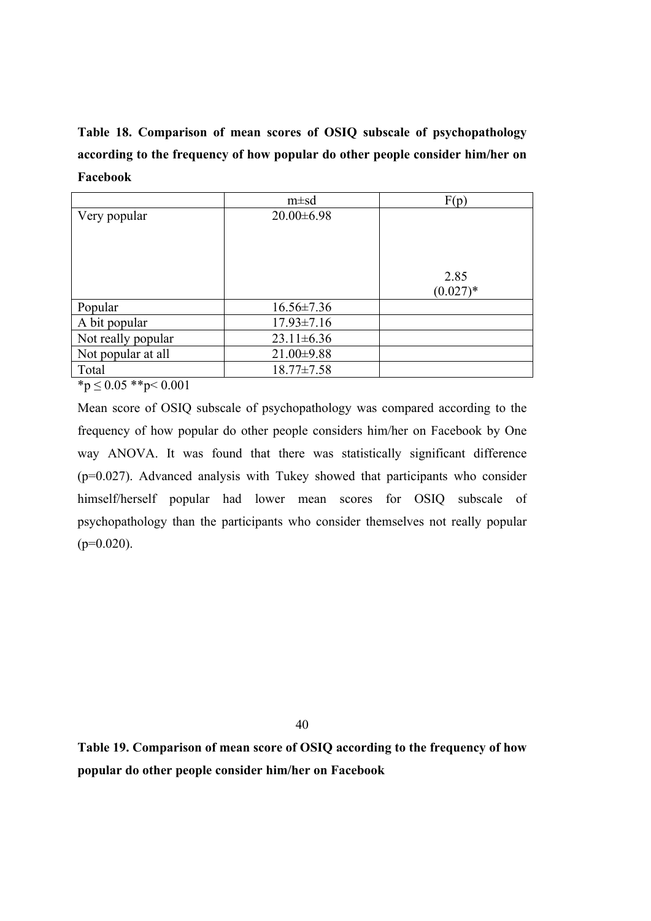**Table 18. Comparison of mean scores of OSIQ subscale of psychopathology according to the frequency of how popular do other people consider him/her on Facebook**

|                    | $m \pm sd$       | F(p)                |
|--------------------|------------------|---------------------|
| Very popular       | $20.00\pm6.98$   | 2.85<br>$(0.027)^*$ |
| Popular            | $16.56 \pm 7.36$ |                     |
| A bit popular      | $17.93 \pm 7.16$ |                     |
| Not really popular | $23.11 \pm 6.36$ |                     |
| Not popular at all | $21.00\pm9.88$   |                     |
| Total              | $18.77 \pm 7.58$ |                     |

 $*_{p} \leq 0.05$  \*\*p $< 0.001$ 

Mean score of OSIQ subscale of psychopathology was compared according to the frequency of how popular do other people considers him/her on Facebook by One way ANOVA. It was found that there was statistically significant difference (p=0.027). Advanced analysis with Tukey showed that participants who consider himself/herself popular had lower mean scores for OSIQ subscale of psychopathology than the participants who consider themselves not really popular  $(p=0.020)$ .

40

**Table 19. Comparison of mean score of OSIQ according to the frequency of how popular do other people consider him/her on Facebook**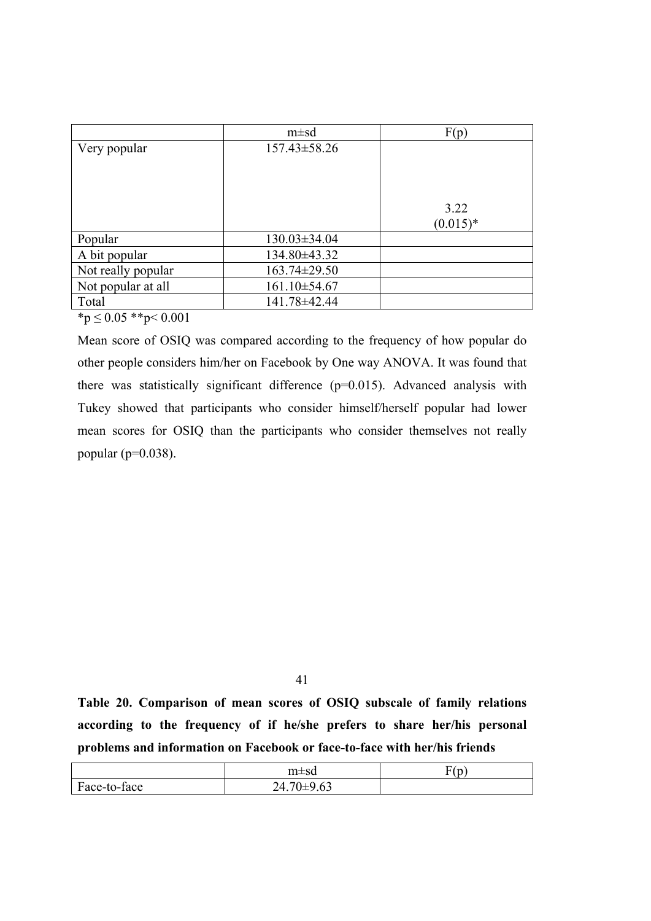|                    | $m \pm sd$         | F(p)       |
|--------------------|--------------------|------------|
| Very popular       | $157.43 \pm 58.26$ |            |
|                    |                    |            |
|                    |                    |            |
|                    |                    |            |
|                    |                    | 3.22       |
|                    |                    | $(0.015)*$ |
| Popular            | $130.03 \pm 34.04$ |            |
| A bit popular      | 134.80±43.32       |            |
| Not really popular | 163.74±29.50       |            |
| Not popular at all | 161.10±54.67       |            |
| Total              | 141.78±42.44       |            |

 $*_{p} \leq 0.05$  \*\*p< 0.001

Mean score of OSIQ was compared according to the frequency of how popular do other people considers him/her on Facebook by One way ANOVA. It was found that there was statistically significant difference (p=0.015). Advanced analysis with Tukey showed that participants who consider himself/herself popular had lower mean scores for OSIQ than the participants who consider themselves not really popular ( $p=0.038$ ).

41

**Table 20. Comparison of mean scores of OSIQ subscale of family relations according to the frequency of if he/she prefers to share her/his personal problems and information on Facebook or face-to-face with her/his friends**

|              | $m \pm sd$                                      | $\overline{\phantom{a}}$<br>$\overline{ }$<br>- |
|--------------|-------------------------------------------------|-------------------------------------------------|
| Face-to-face | $\sim$ $\sim$<br>$\sqrt{2}$<br>24.7<br>/ ∪⊥フ.∪J |                                                 |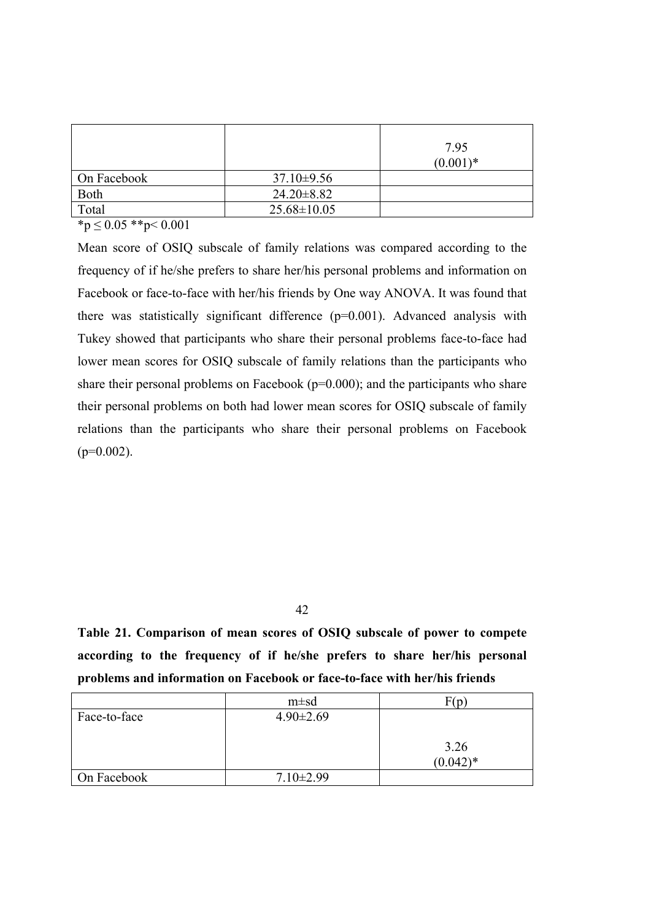|             |                   | 7.95<br>$(0.001)*$ |
|-------------|-------------------|--------------------|
| On Facebook | $37.10\pm9.56$    |                    |
| Both        | $24.20 \pm 8.82$  |                    |
| Total       | $25.68 \pm 10.05$ |                    |

 $*p \leq 0.05$  \*\*p< 0.001

Mean score of OSIQ subscale of family relations was compared according to the frequency of if he/she prefers to share her/his personal problems and information on Facebook or face-to-face with her/his friends by One way ANOVA. It was found that there was statistically significant difference (p=0.001). Advanced analysis with Tukey showed that participants who share their personal problems face-to-face had lower mean scores for OSIQ subscale of family relations than the participants who share their personal problems on Facebook  $(p=0.000)$ ; and the participants who share their personal problems on both had lower mean scores for OSIQ subscale of family relations than the participants who share their personal problems on Facebook  $(p=0.002)$ .

42

**Table 21. Comparison of mean scores of OSIQ subscale of power to compete according to the frequency of if he/she prefers to share her/his personal problems and information on Facebook or face-to-face with her/his friends**

|              | $m \pm sd$      | F(n                |
|--------------|-----------------|--------------------|
| Face-to-face | $4.90 \pm 2.69$ |                    |
|              |                 | 3.26<br>$(0.042)*$ |
| On Facebook  | $7.10 \pm 2.99$ |                    |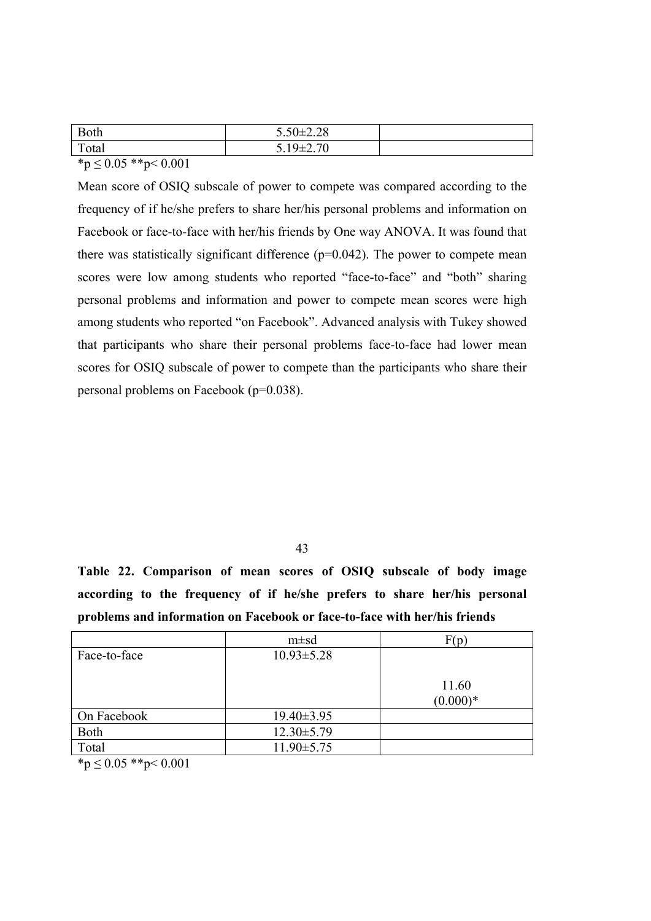| <b>Both</b>                                                                                                     | $5.50 \pm 2.28$     |  |
|-----------------------------------------------------------------------------------------------------------------|---------------------|--|
| Total                                                                                                           | $519+270$<br>7–4.7V |  |
| the contract of the contract of the contract of the contract of the contract of the contract of the contract of |                     |  |

 ${}^*p \leq 0.05$   ${}^*p < 0.001$ 

Mean score of OSIQ subscale of power to compete was compared according to the frequency of if he/she prefers to share her/his personal problems and information on Facebook or face-to-face with her/his friends by One way ANOVA. It was found that there was statistically significant difference  $(p=0.042)$ . The power to compete mean scores were low among students who reported "face-to-face" and "both" sharing personal problems and information and power to compete mean scores were high among students who reported "on Facebook". Advanced analysis with Tukey showed that participants who share their personal problems face-to-face had lower mean scores for OSIQ subscale of power to compete than the participants who share their personal problems on Facebook (p=0.038).

43

**Table 22. Comparison of mean scores of OSIQ subscale of body image according to the frequency of if he/she prefers to share her/his personal problems and information on Facebook or face-to-face with her/his friends**

|              | $m \pm sd$       | F(p)                |
|--------------|------------------|---------------------|
| Face-to-face | $10.93 \pm 5.28$ |                     |
|              |                  | 11.60<br>$(0.000)*$ |
| On Facebook  | $19.40 \pm 3.95$ |                     |
| Both         | $12.30 \pm 5.79$ |                     |
| Total        | $11.90 \pm 5.75$ |                     |

 $\overline{\ast p} \leq 0.05 \overline{\ast} \overline{\ast} p \leq 0.001$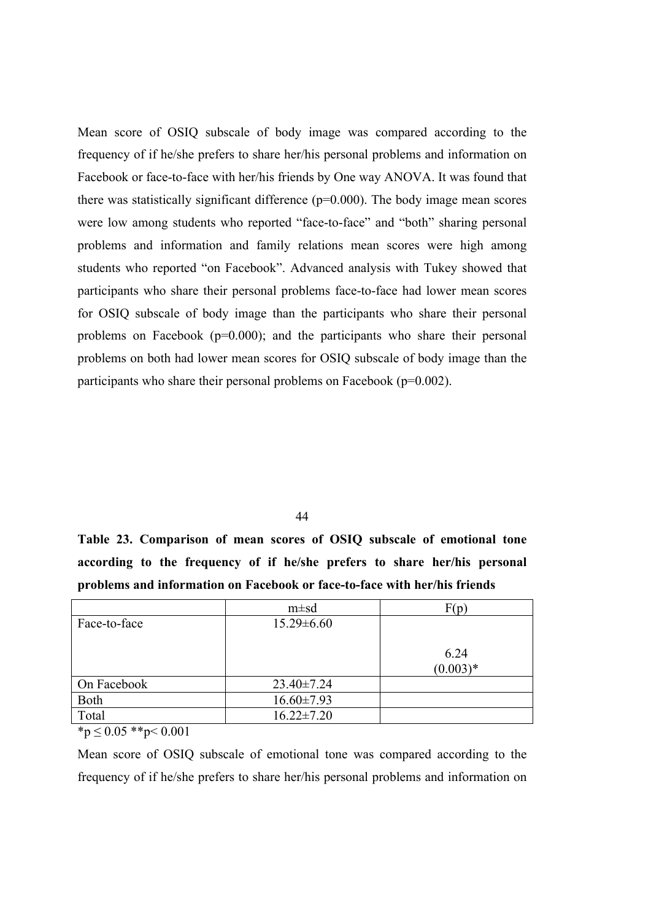Mean score of OSIQ subscale of body image was compared according to the frequency of if he/she prefers to share her/his personal problems and information on Facebook or face-to-face with her/his friends by One way ANOVA. It was found that there was statistically significant difference  $(p=0.000)$ . The body image mean scores were low among students who reported "face-to-face" and "both" sharing personal problems and information and family relations mean scores were high among students who reported "on Facebook". Advanced analysis with Tukey showed that participants who share their personal problems face-to-face had lower mean scores for OSIQ subscale of body image than the participants who share their personal problems on Facebook (p=0.000); and the participants who share their personal problems on both had lower mean scores for OSIQ subscale of body image than the participants who share their personal problems on Facebook (p=0.002).

44

**Table 23. Comparison of mean scores of OSIQ subscale of emotional tone according to the frequency of if he/she prefers to share her/his personal problems and information on Facebook or face-to-face with her/his friends**

|              | $m \pm sd$       | F(p                |
|--------------|------------------|--------------------|
| Face-to-face | $15.29 \pm 6.60$ |                    |
|              |                  | 6.24<br>$(0.003)*$ |
| On Facebook  | $23.40 \pm 7.24$ |                    |
| Both         | $16.60 \pm 7.93$ |                    |
| Total        | $16.22 \pm 7.20$ |                    |

 $*_{p} \leq 0.05$  \*\*p $< 0.001$ 

Mean score of OSIQ subscale of emotional tone was compared according to the frequency of if he/she prefers to share her/his personal problems and information on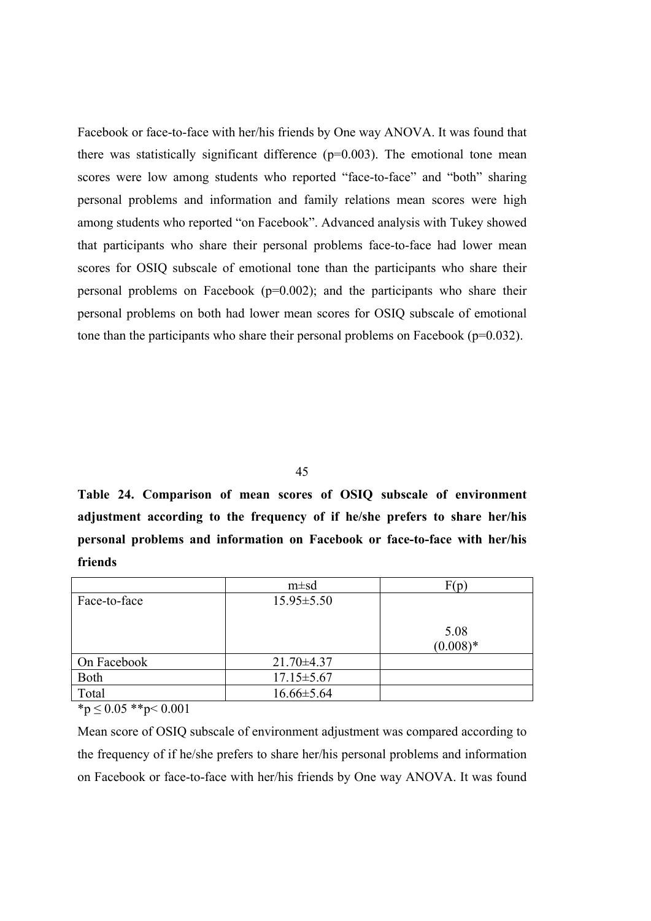Facebook or face-to-face with her/his friends by One way ANOVA. It was found that there was statistically significant difference  $(p=0.003)$ . The emotional tone mean scores were low among students who reported "face-to-face" and "both" sharing personal problems and information and family relations mean scores were high among students who reported "on Facebook". Advanced analysis with Tukey showed that participants who share their personal problems face-to-face had lower mean scores for OSIQ subscale of emotional tone than the participants who share their personal problems on Facebook  $(p=0.002)$ ; and the participants who share their personal problems on both had lower mean scores for OSIQ subscale of emotional tone than the participants who share their personal problems on Facebook (p=0.032).

45

**Table 24. Comparison of mean scores of OSIQ subscale of environment adjustment according to the frequency of if he/she prefers to share her/his personal problems and information on Facebook or face-to-face with her/his friends**

|              | $m \pm sd$       |            |
|--------------|------------------|------------|
| Face-to-face | $15.95 \pm 5.50$ |            |
|              |                  |            |
|              |                  | 5.08       |
|              |                  | $(0.008)*$ |
| On Facebook  | $21.70 \pm 4.37$ |            |
| Both         | $17.15 \pm 5.67$ |            |
| Total        | $16.66 \pm 5.64$ |            |

 $*<sub>p</sub> \leq 0.05$  \*\*p $< 0.001$ 

Mean score of OSIQ subscale of environment adjustment was compared according to the frequency of if he/she prefers to share her/his personal problems and information on Facebook or face-to-face with her/his friends by One way ANOVA. It was found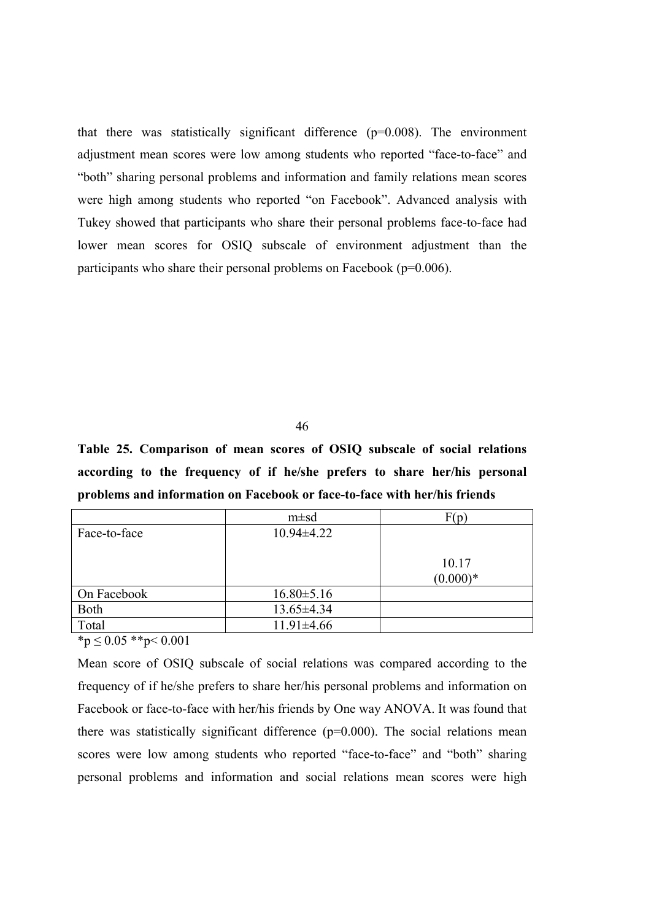that there was statistically significant difference (p=0.008). The environment adjustment mean scores were low among students who reported "face-to-face" and "both" sharing personal problems and information and family relations mean scores were high among students who reported "on Facebook". Advanced analysis with Tukey showed that participants who share their personal problems face-to-face had lower mean scores for OSIQ subscale of environment adjustment than the participants who share their personal problems on Facebook (p=0.006).

46

**Table 25. Comparison of mean scores of OSIQ subscale of social relations according to the frequency of if he/she prefers to share her/his personal problems and information on Facebook or face-to-face with her/his friends**

|              | $m \pm sd$       | F(p)                |
|--------------|------------------|---------------------|
| Face-to-face | $10.94 \pm 4.22$ |                     |
|              |                  | 10.17<br>$(0.000)*$ |
| On Facebook  | $16.80 \pm 5.16$ |                     |
| Both         | $13.65 \pm 4.34$ |                     |
| Total        | $11.91 \pm 4.66$ |                     |

 $*_p$   $\leq$  0.05  $*_p$   $<$  0.001

Mean score of OSIQ subscale of social relations was compared according to the frequency of if he/she prefers to share her/his personal problems and information on Facebook or face-to-face with her/his friends by One way ANOVA. It was found that there was statistically significant difference  $(p=0.000)$ . The social relations mean scores were low among students who reported "face-to-face" and "both" sharing personal problems and information and social relations mean scores were high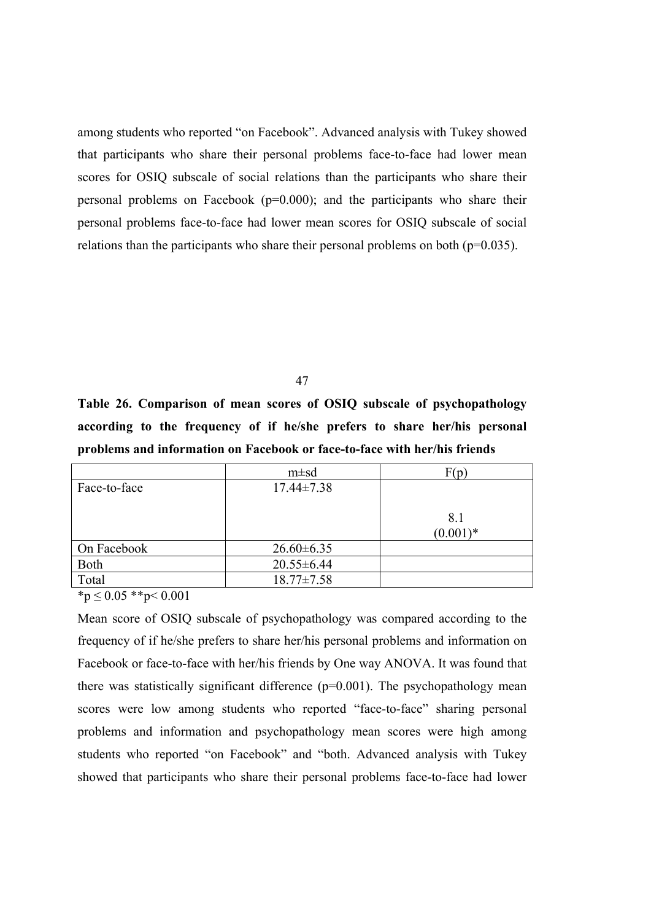among students who reported "on Facebook". Advanced analysis with Tukey showed that participants who share their personal problems face-to-face had lower mean scores for OSIQ subscale of social relations than the participants who share their personal problems on Facebook (p=0.000); and the participants who share their personal problems face-to-face had lower mean scores for OSIQ subscale of social relations than the participants who share their personal problems on both (p=0.035).

47

**Table 26. Comparison of mean scores of OSIQ subscale of psychopathology according to the frequency of if he/she prefers to share her/his personal problems and information on Facebook or face-to-face with her/his friends**

|              | $m \pm sd$       | F(p)        |
|--------------|------------------|-------------|
| Face-to-face | $17.44 \pm 7.38$ |             |
|              |                  |             |
|              |                  | 8.1         |
|              |                  | $(0.001)^*$ |
| On Facebook  | $26.60\pm 6.35$  |             |
| Both         | $20.55 \pm 6.44$ |             |
| Total        | $18.77 \pm 7.58$ |             |

 $*p \leq 0.05$  \*\*p< 0.001

Mean score of OSIQ subscale of psychopathology was compared according to the frequency of if he/she prefers to share her/his personal problems and information on Facebook or face-to-face with her/his friends by One way ANOVA. It was found that there was statistically significant difference  $(p=0.001)$ . The psychopathology mean scores were low among students who reported "face-to-face" sharing personal problems and information and psychopathology mean scores were high among students who reported "on Facebook" and "both. Advanced analysis with Tukey showed that participants who share their personal problems face-to-face had lower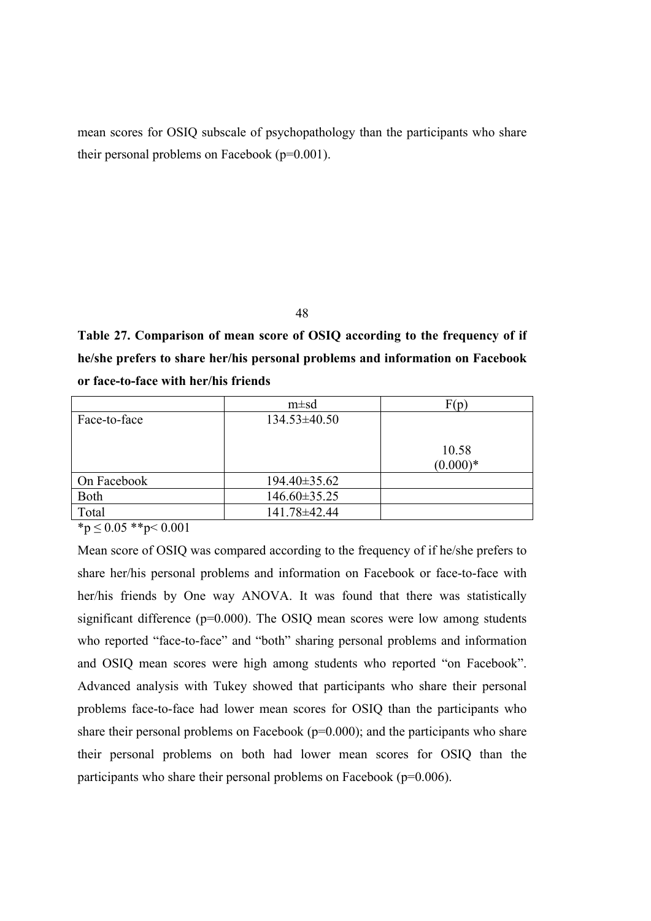mean scores for OSIQ subscale of psychopathology than the participants who share their personal problems on Facebook (p=0.001).

48

**Table 27. Comparison of mean score of OSIQ according to the frequency of if he/she prefers to share her/his personal problems and information on Facebook or face-to-face with her/his friends**

| $m \pm sd$       | F(p)       |
|------------------|------------|
| $134.53\pm40.50$ |            |
|                  |            |
|                  | 10.58      |
|                  | $(0.000)*$ |
| 194.40±35.62     |            |
| 146.60±35.25     |            |
| 141.78±42.44     |            |
|                  |            |

 $*_{p} \leq 0.05$  \*\*p< 0.001

Mean score of OSIQ was compared according to the frequency of if he/she prefers to share her/his personal problems and information on Facebook or face-to-face with her/his friends by One way ANOVA. It was found that there was statistically significant difference (p=0.000). The OSIQ mean scores were low among students who reported "face-to-face" and "both" sharing personal problems and information and OSIQ mean scores were high among students who reported "on Facebook". Advanced analysis with Tukey showed that participants who share their personal problems face-to-face had lower mean scores for OSIQ than the participants who share their personal problems on Facebook  $(p=0.000)$ ; and the participants who share their personal problems on both had lower mean scores for OSIQ than the participants who share their personal problems on Facebook (p=0.006).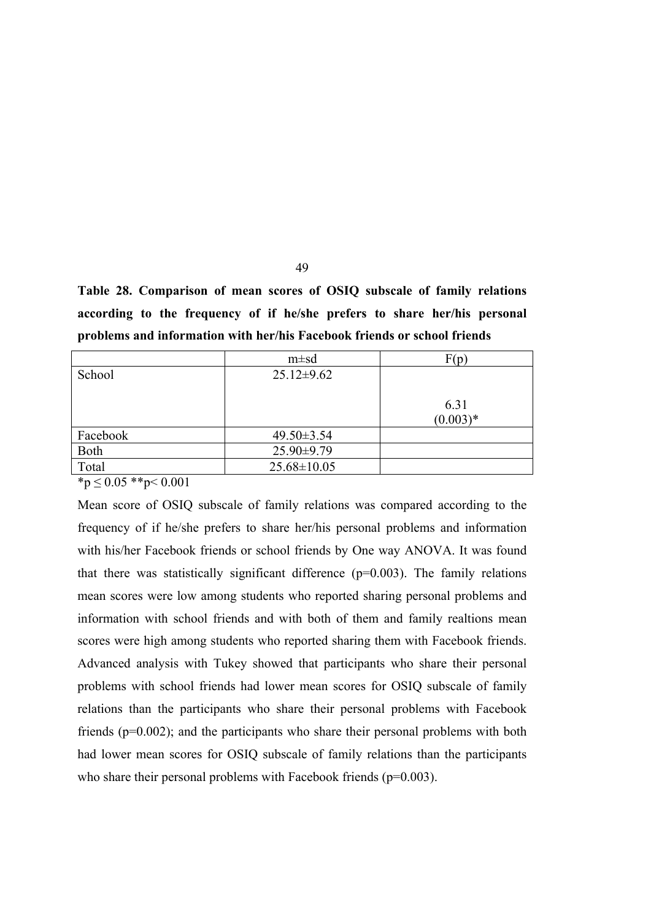**Table 28. Comparison of mean scores of OSIQ subscale of family relations according to the frequency of if he/she prefers to share her/his personal problems and information with her/his Facebook friends or school friends**

|          | $m \pm sd$        | F(p)       |
|----------|-------------------|------------|
| School   | $25.12 \pm 9.62$  |            |
|          |                   |            |
|          |                   | 6.31       |
|          |                   | $(0.003)*$ |
| Facebook | $49.50 \pm 3.54$  |            |
| Both     | $25.90\pm9.79$    |            |
| Total    | $25.68 \pm 10.05$ |            |

 $*<sub>p</sub> \leq 0.05$  \*\*p $< 0.001$ 

Mean score of OSIQ subscale of family relations was compared according to the frequency of if he/she prefers to share her/his personal problems and information with his/her Facebook friends or school friends by One way ANOVA. It was found that there was statistically significant difference  $(p=0.003)$ . The family relations mean scores were low among students who reported sharing personal problems and information with school friends and with both of them and family realtions mean scores were high among students who reported sharing them with Facebook friends. Advanced analysis with Tukey showed that participants who share their personal problems with school friends had lower mean scores for OSIQ subscale of family relations than the participants who share their personal problems with Facebook friends (p=0.002); and the participants who share their personal problems with both had lower mean scores for OSIQ subscale of family relations than the participants who share their personal problems with Facebook friends (p=0.003).

49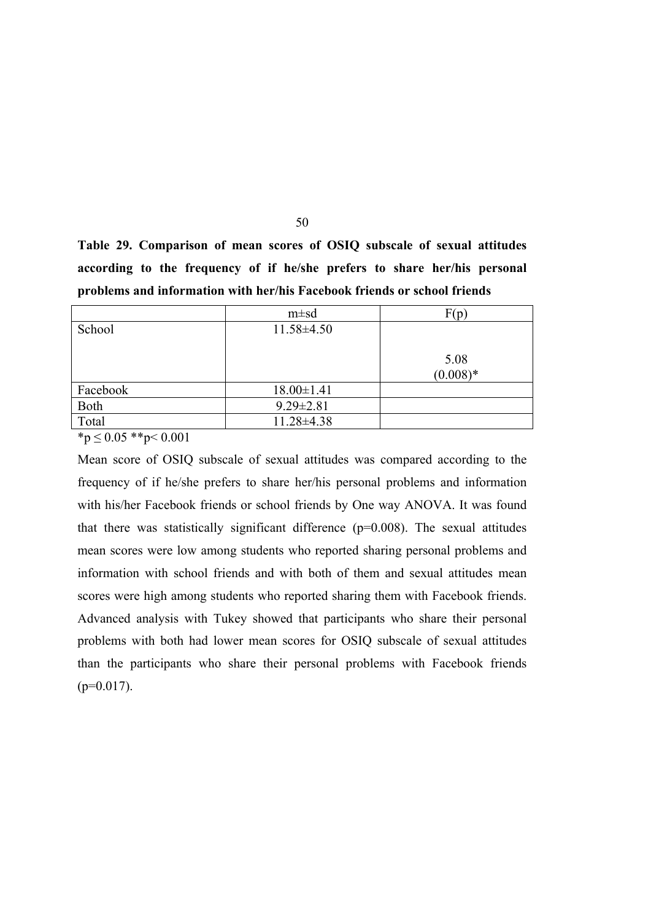**Table 29. Comparison of mean scores of OSIQ subscale of sexual attitudes according to the frequency of if he/she prefers to share her/his personal problems and information with her/his Facebook friends or school friends**

|          | $m \pm sd$       | F(p)       |
|----------|------------------|------------|
| School   | $11.58 \pm 4.50$ |            |
|          |                  |            |
|          |                  | 5.08       |
|          |                  | $(0.008)*$ |
| Facebook | $18.00 \pm 1.41$ |            |
| Both     | $9.29 \pm 2.81$  |            |
| Total    | 11.28±4.38       |            |

 $*_{p} \leq 0.05$  \*\*p $\leq 0.001$ 

Mean score of OSIQ subscale of sexual attitudes was compared according to the frequency of if he/she prefers to share her/his personal problems and information with his/her Facebook friends or school friends by One way ANOVA. It was found that there was statistically significant difference  $(p=0.008)$ . The sexual attitudes mean scores were low among students who reported sharing personal problems and information with school friends and with both of them and sexual attitudes mean scores were high among students who reported sharing them with Facebook friends. Advanced analysis with Tukey showed that participants who share their personal problems with both had lower mean scores for OSIQ subscale of sexual attitudes than the participants who share their personal problems with Facebook friends  $(p=0.017)$ .

50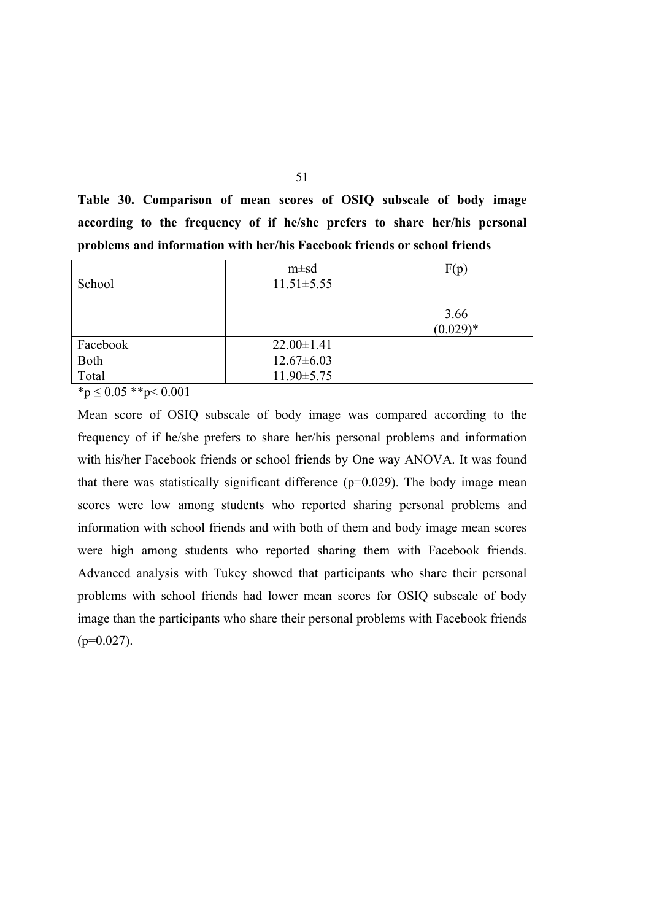**Table 30. Comparison of mean scores of OSIQ subscale of body image according to the frequency of if he/she prefers to share her/his personal problems and information with her/his Facebook friends or school friends**

|             | $m \pm sd$       | F(p)               |
|-------------|------------------|--------------------|
| School      | $11.51 \pm 5.55$ |                    |
|             |                  | 3.66<br>$(0.029)*$ |
| Facebook    | $22.00 \pm 1.41$ |                    |
| <b>Both</b> | $12.67 \pm 6.03$ |                    |
| Total       | $11.90 \pm 5.75$ |                    |

 ${}^{\ast}p \leq 0.05$   ${}^{\ast}{}^{\ast}p < 0.001$ 

Mean score of OSIQ subscale of body image was compared according to the frequency of if he/she prefers to share her/his personal problems and information with his/her Facebook friends or school friends by One way ANOVA. It was found that there was statistically significant difference  $(p=0.029)$ . The body image mean scores were low among students who reported sharing personal problems and information with school friends and with both of them and body image mean scores were high among students who reported sharing them with Facebook friends. Advanced analysis with Tukey showed that participants who share their personal problems with school friends had lower mean scores for OSIQ subscale of body image than the participants who share their personal problems with Facebook friends  $(p=0.027)$ .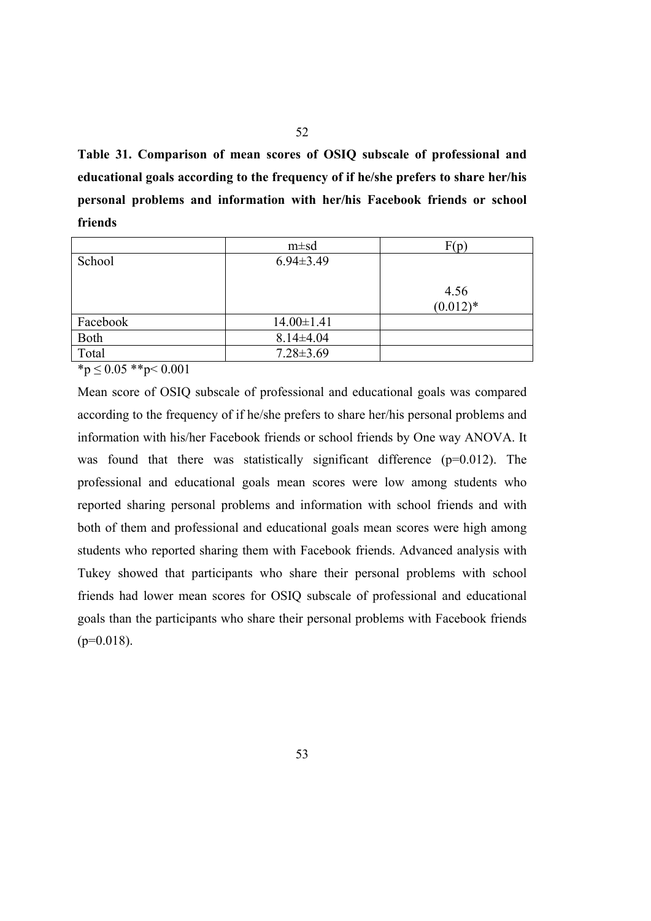**Table 31. Comparison of mean scores of OSIQ subscale of professional and educational goals according to the frequency of if he/she prefers to share her/his personal problems and information with her/his Facebook friends or school friends**

|          | $m \pm sd$       | F(p)       |
|----------|------------------|------------|
| School   | $6.94 \pm 3.49$  |            |
|          |                  |            |
|          |                  | 4.56       |
|          |                  | $(0.012)*$ |
| Facebook | $14.00 \pm 1.41$ |            |
| Both     | $8.14 \pm 4.04$  |            |
| Total    | $7.28 \pm 3.69$  |            |

 ${}^{\ast}p \leq 0.05$   ${}^{\ast}{}^{\ast}p < 0.001$ 

Mean score of OSIQ subscale of professional and educational goals was compared according to the frequency of if he/she prefers to share her/his personal problems and information with his/her Facebook friends or school friends by One way ANOVA. It was found that there was statistically significant difference (p=0.012). The professional and educational goals mean scores were low among students who reported sharing personal problems and information with school friends and with both of them and professional and educational goals mean scores were high among students who reported sharing them with Facebook friends. Advanced analysis with Tukey showed that participants who share their personal problems with school friends had lower mean scores for OSIQ subscale of professional and educational goals than the participants who share their personal problems with Facebook friends  $(p=0.018)$ .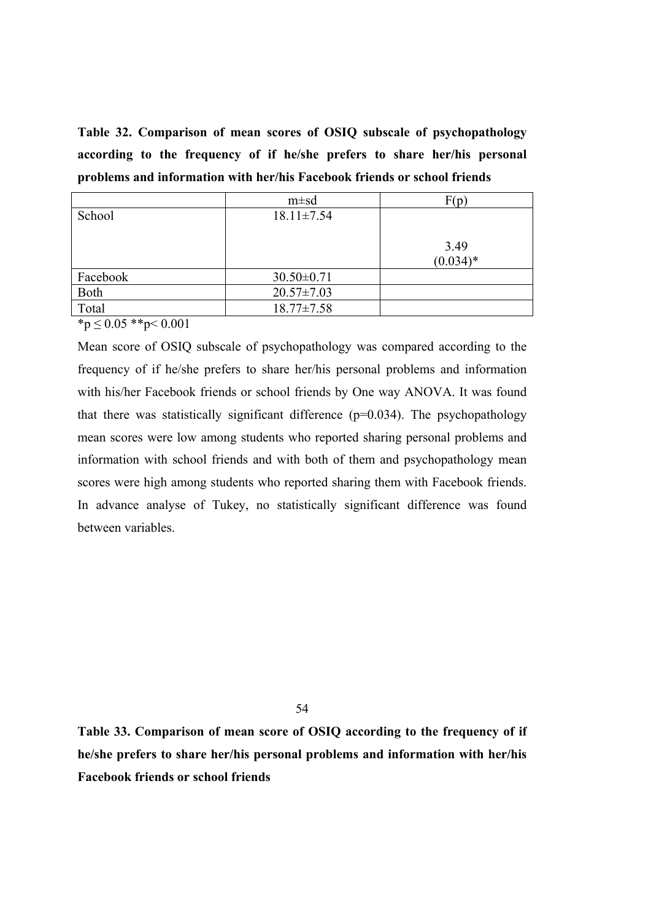**Table 32. Comparison of mean scores of OSIQ subscale of psychopathology according to the frequency of if he/she prefers to share her/his personal problems and information with her/his Facebook friends or school friends**

|          | $m \pm sd$       | F(p)               |
|----------|------------------|--------------------|
| School   | $18.11 \pm 7.54$ |                    |
|          |                  | 3.49<br>$(0.034)*$ |
| Facebook | $30.50 \pm 0.71$ |                    |
| Both     | $20.57 \pm 7.03$ |                    |
| Total    | $18.77 \pm 7.58$ |                    |

 $*_{p} \leq 0.05$  \*\*p< 0.001

Mean score of OSIQ subscale of psychopathology was compared according to the frequency of if he/she prefers to share her/his personal problems and information with his/her Facebook friends or school friends by One way ANOVA. It was found that there was statistically significant difference  $(p=0.034)$ . The psychopathology mean scores were low among students who reported sharing personal problems and information with school friends and with both of them and psychopathology mean scores were high among students who reported sharing them with Facebook friends. In advance analyse of Tukey, no statistically significant difference was found between variables.

54

**Table 33. Comparison of mean score of OSIQ according to the frequency of if he/she prefers to share her/his personal problems and information with her/his Facebook friends or school friends**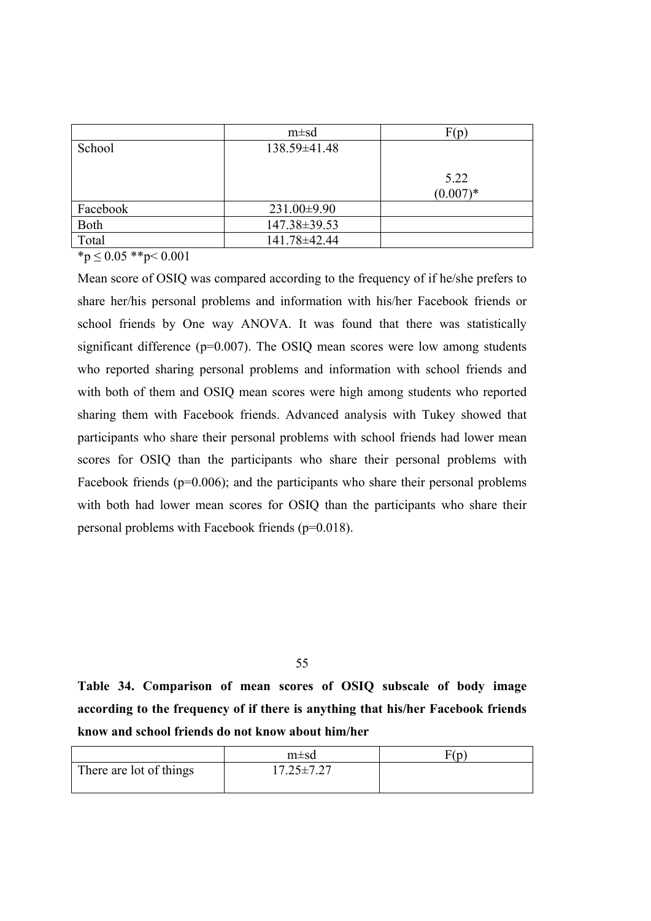|          | $m \pm sd$   | F(p)       |
|----------|--------------|------------|
| School   | 138.59±41.48 |            |
|          |              |            |
|          |              | 5.22       |
|          |              | $(0.007)*$ |
| Facebook | 231.00±9.90  |            |
| Both     | 147.38±39.53 |            |
| Total    | 141.78±42.44 |            |

 $*_{p} \leq 0.05$  \*\*p< 0.001

Mean score of OSIQ was compared according to the frequency of if he/she prefers to share her/his personal problems and information with his/her Facebook friends or school friends by One way ANOVA. It was found that there was statistically significant difference (p=0.007). The OSIQ mean scores were low among students who reported sharing personal problems and information with school friends and with both of them and OSIQ mean scores were high among students who reported sharing them with Facebook friends. Advanced analysis with Tukey showed that participants who share their personal problems with school friends had lower mean scores for OSIQ than the participants who share their personal problems with Facebook friends (p=0.006); and the participants who share their personal problems with both had lower mean scores for OSIQ than the participants who share their personal problems with Facebook friends (p=0.018).

55

**Table 34. Comparison of mean scores of OSIQ subscale of body image according to the frequency of if there is anything that his/her Facebook friends know and school friends do not know about him/her**

|                         | $m\pm sd$        | $\nabla(n)$ |
|-------------------------|------------------|-------------|
| There are lot of things | $17.25 \pm 7.27$ |             |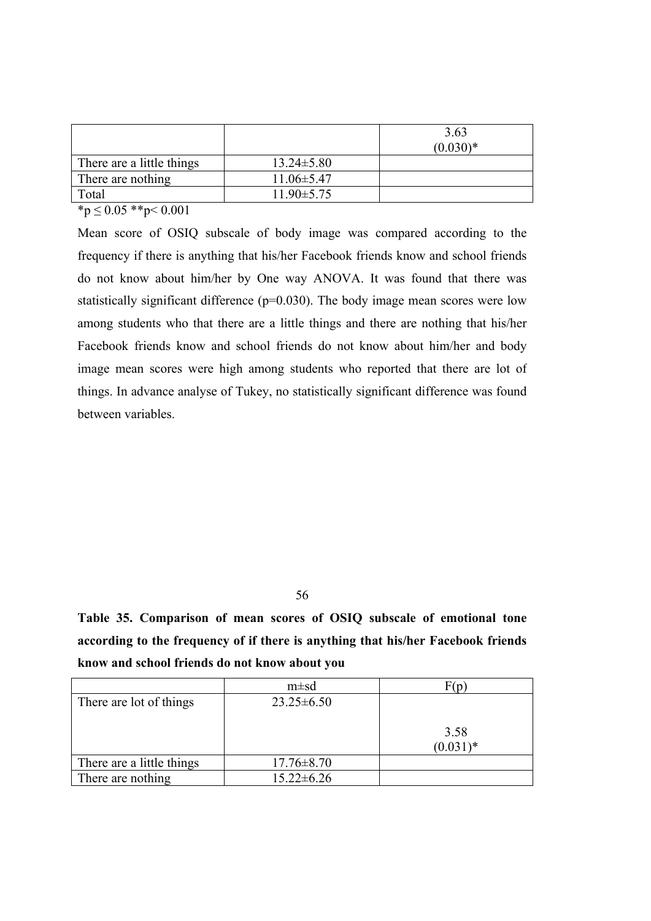|                           |                  | 3.63<br>$(0.030)*$ |
|---------------------------|------------------|--------------------|
| There are a little things | $13.24 \pm 5.80$ |                    |
| There are nothing         | $11.06 \pm 5.47$ |                    |
| Total                     | $11.90 \pm 5.75$ |                    |

 $\overline{\text{*p}} \leq 0.05 \text{**} \text{p} \leq 0.001$ 

Mean score of OSIQ subscale of body image was compared according to the frequency if there is anything that his/her Facebook friends know and school friends do not know about him/her by One way ANOVA. It was found that there was statistically significant difference  $(p=0.030)$ . The body image mean scores were low among students who that there are a little things and there are nothing that his/her Facebook friends know and school friends do not know about him/her and body image mean scores were high among students who reported that there are lot of things. In advance analyse of Tukey, no statistically significant difference was found between variables.

56

**Table 35. Comparison of mean scores of OSIQ subscale of emotional tone according to the frequency of if there is anything that his/her Facebook friends know and school friends do not know about you**

|                           | $m \pm sd$       | F(n)        |
|---------------------------|------------------|-------------|
| There are lot of things   | $23.25 \pm 6.50$ |             |
|                           |                  |             |
|                           |                  | 3.58        |
|                           |                  | $(0.031)^*$ |
| There are a little things | $17.76 \pm 8.70$ |             |
| There are nothing         | $15.22 \pm 6.26$ |             |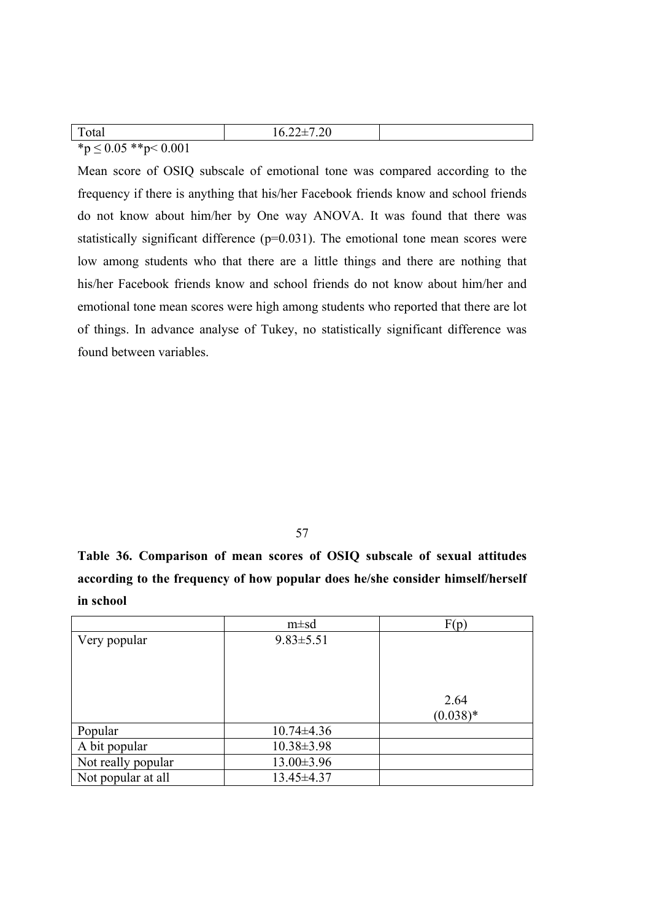| $\mathbf{m}$<br>Total                                                  | 7.20<br>$10.44 - 1$ |  |
|------------------------------------------------------------------------|---------------------|--|
| $\Lambda F$ **.<br><u>- ሰ ሰሰ1</u><br>$*$<br>U.VVI<br>v.<br>$\geq$ 0.00 |                     |  |

Mean score of OSIQ subscale of emotional tone was compared according to the frequency if there is anything that his/her Facebook friends know and school friends do not know about him/her by One way ANOVA. It was found that there was statistically significant difference (p=0.031). The emotional tone mean scores were low among students who that there are a little things and there are nothing that his/her Facebook friends know and school friends do not know about him/her and emotional tone mean scores were high among students who reported that there are lot of things. In advance analyse of Tukey, no statistically significant difference was found between variables.

57

**Table 36. Comparison of mean scores of OSIQ subscale of sexual attitudes according to the frequency of how popular does he/she consider himself/herself in school**

|                    | $m \pm sd$       | F(p)       |
|--------------------|------------------|------------|
| Very popular       | $9.83 \pm 5.51$  |            |
|                    |                  |            |
|                    |                  |            |
|                    |                  |            |
|                    |                  | 2.64       |
|                    |                  | $(0.038)*$ |
| Popular            | $10.74 \pm 4.36$ |            |
| A bit popular      | $10.38 \pm 3.98$ |            |
| Not really popular | $13.00 \pm 3.96$ |            |
| Not popular at all | 13.45±4.37       |            |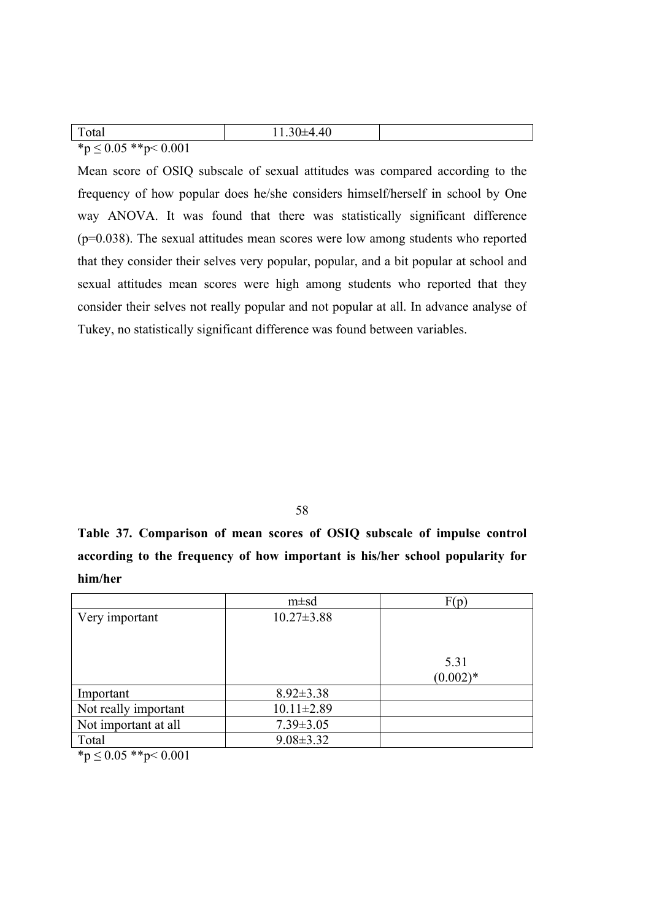| Total                         | $11.30\pm4.40$ |  |
|-------------------------------|----------------|--|
| * $p \le 0.05$ ** $p < 0.001$ |                |  |

Mean score of OSIQ subscale of sexual attitudes was compared according to the frequency of how popular does he/she considers himself/herself in school by One way ANOVA. It was found that there was statistically significant difference (p=0.038). The sexual attitudes mean scores were low among students who reported that they consider their selves very popular, popular, and a bit popular at school and sexual attitudes mean scores were high among students who reported that they consider their selves not really popular and not popular at all. In advance analyse of Tukey, no statistically significant difference was found between variables.

58

**Table 37. Comparison of mean scores of OSIQ subscale of impulse control according to the frequency of how important is his/her school popularity for him/her**

|                                                                                                                                                                                                                                                                                                                                    | $m \pm sd$       | F(p)       |
|------------------------------------------------------------------------------------------------------------------------------------------------------------------------------------------------------------------------------------------------------------------------------------------------------------------------------------|------------------|------------|
| Very important                                                                                                                                                                                                                                                                                                                     | $10.27 \pm 3.88$ |            |
|                                                                                                                                                                                                                                                                                                                                    |                  |            |
|                                                                                                                                                                                                                                                                                                                                    |                  |            |
|                                                                                                                                                                                                                                                                                                                                    |                  | 5.31       |
|                                                                                                                                                                                                                                                                                                                                    |                  | $(0.002)*$ |
| Important                                                                                                                                                                                                                                                                                                                          | $8.92 \pm 3.38$  |            |
| Not really important                                                                                                                                                                                                                                                                                                               | $10.11 \pm 2.89$ |            |
| Not important at all                                                                                                                                                                                                                                                                                                               | $7.39 \pm 3.05$  |            |
| Total                                                                                                                                                                                                                                                                                                                              | $9.08 \pm 3.32$  |            |
| $\mathbf{a}$ $\mathbf{a}$ $\mathbf{b}$ $\mathbf{c}$ $\mathbf{c}$ $\mathbf{d}$ $\mathbf{c}$ $\mathbf{c}$ $\mathbf{c}$ $\mathbf{c}$ $\mathbf{c}$ $\mathbf{c}$ $\mathbf{c}$ $\mathbf{d}$ $\mathbf{c}$ $\mathbf{d}$ $\mathbf{c}$ $\mathbf{c}$ $\mathbf{d}$ $\mathbf{c}$ $\mathbf{d}$ $\mathbf{c}$ $\mathbf{c}$ $\mathbf{c}$ $\mathbf{$ |                  |            |

 $***p** \leq 0.05$  \*\* $$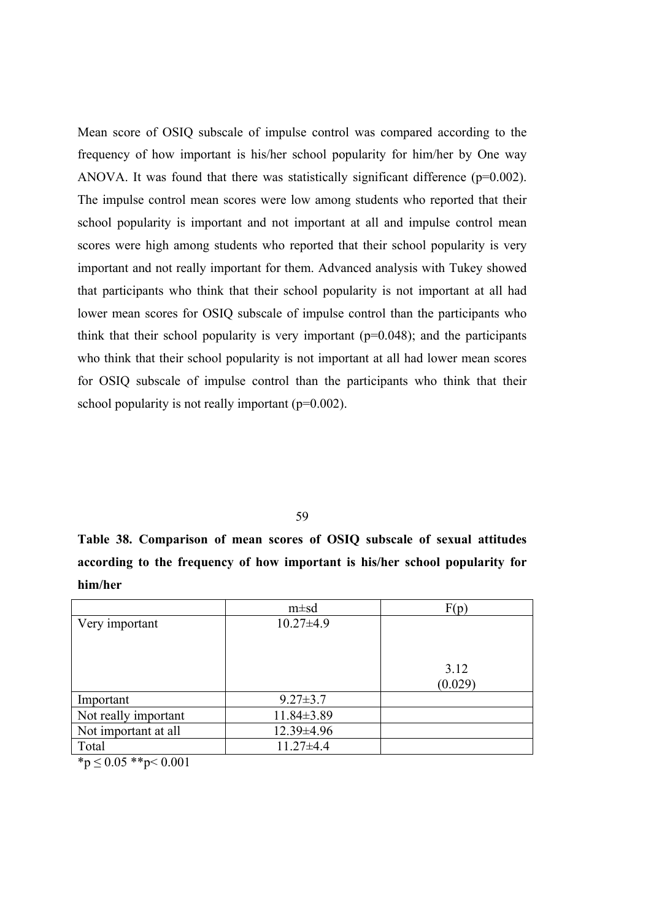Mean score of OSIQ subscale of impulse control was compared according to the frequency of how important is his/her school popularity for him/her by One way ANOVA. It was found that there was statistically significant difference  $(p=0.002)$ . The impulse control mean scores were low among students who reported that their school popularity is important and not important at all and impulse control mean scores were high among students who reported that their school popularity is very important and not really important for them. Advanced analysis with Tukey showed that participants who think that their school popularity is not important at all had lower mean scores for OSIQ subscale of impulse control than the participants who think that their school popularity is very important  $(p=0.048)$ ; and the participants who think that their school popularity is not important at all had lower mean scores for OSIQ subscale of impulse control than the participants who think that their school popularity is not really important  $(p=0.002)$ .

59

**Table 38. Comparison of mean scores of OSIQ subscale of sexual attitudes according to the frequency of how important is his/her school popularity for him/her**

|                                                                                                                                                                                         | $m \pm sd$      | F(p)            |
|-----------------------------------------------------------------------------------------------------------------------------------------------------------------------------------------|-----------------|-----------------|
| Very important                                                                                                                                                                          | $10.27 \pm 4.9$ |                 |
|                                                                                                                                                                                         |                 | 3.12<br>(0.029) |
| Important                                                                                                                                                                               | $9.27 \pm 3.7$  |                 |
| Not really important                                                                                                                                                                    | 11.84±3.89      |                 |
| Not important at all                                                                                                                                                                    | 12.39±4.96      |                 |
| Total                                                                                                                                                                                   | $11.27 \pm 4.4$ |                 |
| $\mathcal{L}$ $\mathcal{L}$ $\Omega$ $\Omega$ $\mathcal{L}$ $\mathcal{L}$ $\mathcal{L}$ $\mathcal{L}$ $\mathcal{L}$ $\mathcal{L}$ $\Omega$ $\Omega$ $\Omega$ $\Omega$ $\Omega$ $\Omega$ |                 |                 |

 $~^{\ast}p \leq 0.05$   $~^{\ast}$  $\ast$ p $< 0.001$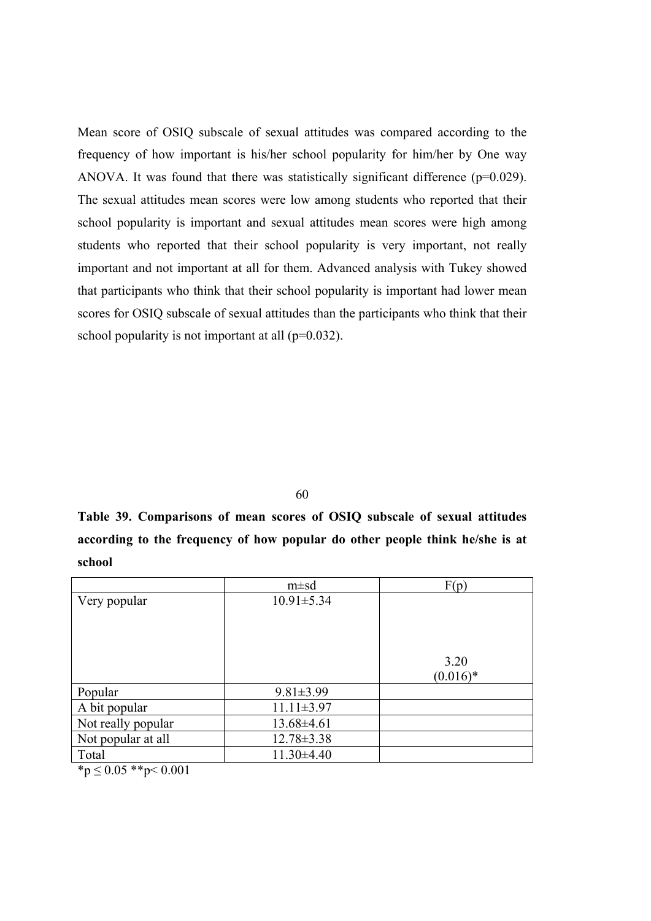Mean score of OSIQ subscale of sexual attitudes was compared according to the frequency of how important is his/her school popularity for him/her by One way ANOVA. It was found that there was statistically significant difference  $(p=0.029)$ . The sexual attitudes mean scores were low among students who reported that their school popularity is important and sexual attitudes mean scores were high among students who reported that their school popularity is very important, not really important and not important at all for them. Advanced analysis with Tukey showed that participants who think that their school popularity is important had lower mean scores for OSIQ subscale of sexual attitudes than the participants who think that their school popularity is not important at all  $(p=0.032)$ .

60

**Table 39. Comparisons of mean scores of OSIQ subscale of sexual attitudes according to the frequency of how popular do other people think he/she is at school**

| $m \pm sd$       | F(p)               |
|------------------|--------------------|
| $10.91 \pm 5.34$ | 3.20<br>$(0.016)*$ |
| $9.81 \pm 3.99$  |                    |
| $11.11 \pm 3.97$ |                    |
| 13.68±4.61       |                    |
| $12.78 \pm 3.38$ |                    |
| $11.30\pm4.40$   |                    |
|                  |                    |

 $*<sub>p</sub> \leq 0.05$  \*\*p $< 0.001$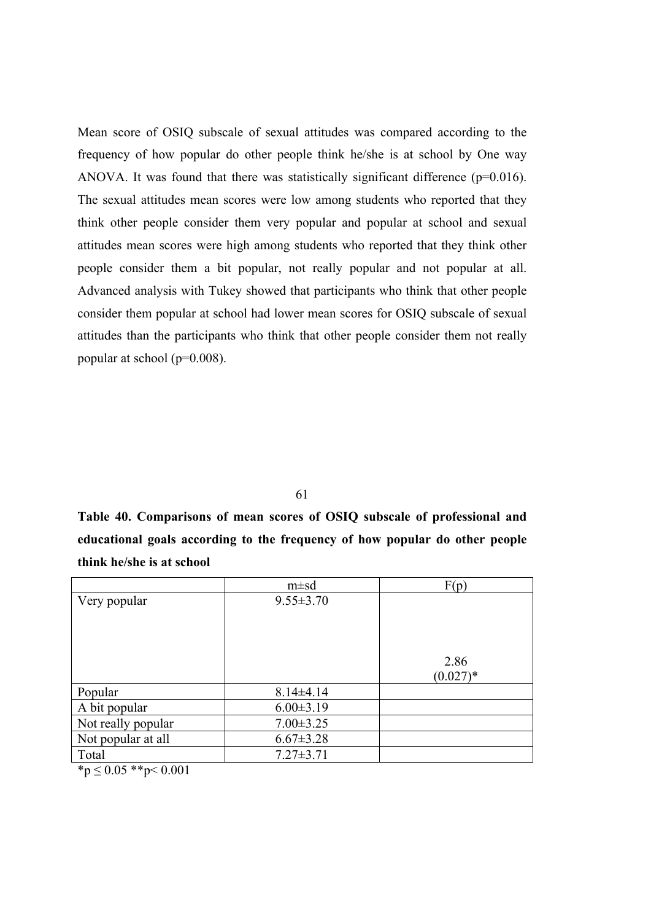Mean score of OSIQ subscale of sexual attitudes was compared according to the frequency of how popular do other people think he/she is at school by One way ANOVA. It was found that there was statistically significant difference  $(p=0.016)$ . The sexual attitudes mean scores were low among students who reported that they think other people consider them very popular and popular at school and sexual attitudes mean scores were high among students who reported that they think other people consider them a bit popular, not really popular and not popular at all. Advanced analysis with Tukey showed that participants who think that other people consider them popular at school had lower mean scores for OSIQ subscale of sexual attitudes than the participants who think that other people consider them not really popular at school (p=0.008).

61

**Table 40. Comparisons of mean scores of OSIQ subscale of professional and educational goals according to the frequency of how popular do other people think he/she is at school**

| $m \pm sd$      | F(p)                |
|-----------------|---------------------|
| $9.55 \pm 3.70$ | 2.86<br>$(0.027)$ * |
| $8.14\pm4.14$   |                     |
| $6.00 \pm 3.19$ |                     |
| $7.00 \pm 3.25$ |                     |
| $6.67 \pm 3.28$ |                     |
| $7.27 \pm 3.71$ |                     |
|                 |                     |

 $*<sub>p</sub> \le 0.05$  \*\*p $< 0.001$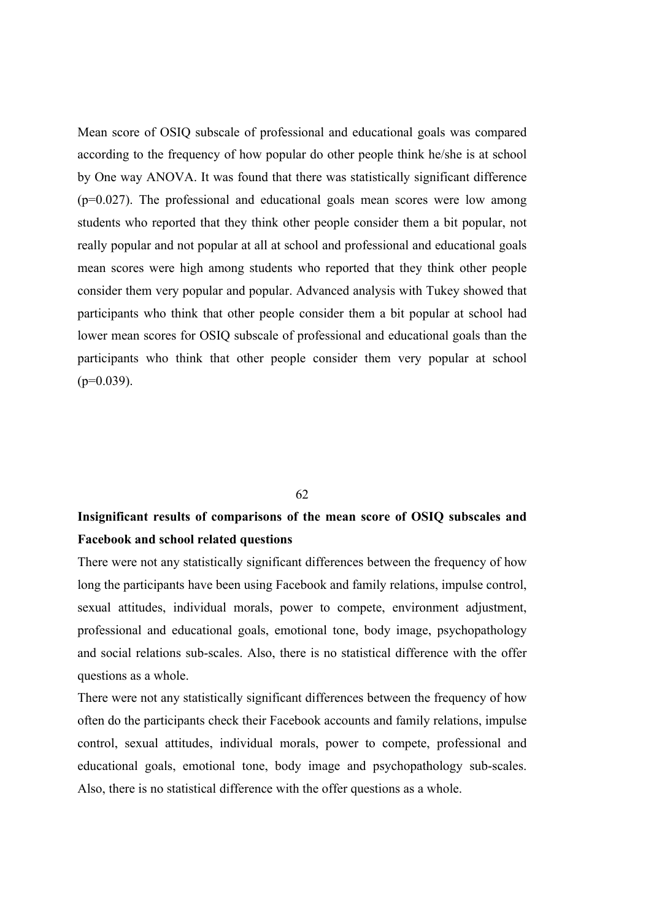Mean score of OSIQ subscale of professional and educational goals was compared according to the frequency of how popular do other people think he/she is at school by One way ANOVA. It was found that there was statistically significant difference (p=0.027). The professional and educational goals mean scores were low among students who reported that they think other people consider them a bit popular, not really popular and not popular at all at school and professional and educational goals mean scores were high among students who reported that they think other people consider them very popular and popular. Advanced analysis with Tukey showed that participants who think that other people consider them a bit popular at school had lower mean scores for OSIQ subscale of professional and educational goals than the participants who think that other people consider them very popular at school  $(p=0.039)$ .

## 62

## **Insignificant results of comparisons of the mean score of OSIQ subscales and Facebook and school related questions**

There were not any statistically significant differences between the frequency of how long the participants have been using Facebook and family relations, impulse control, sexual attitudes, individual morals, power to compete, environment adjustment, professional and educational goals, emotional tone, body image, psychopathology and social relations sub-scales. Also, there is no statistical difference with the offer questions as a whole.

There were not any statistically significant differences between the frequency of how often do the participants check their Facebook accounts and family relations, impulse control, sexual attitudes, individual morals, power to compete, professional and educational goals, emotional tone, body image and psychopathology sub-scales. Also, there is no statistical difference with the offer questions as a whole.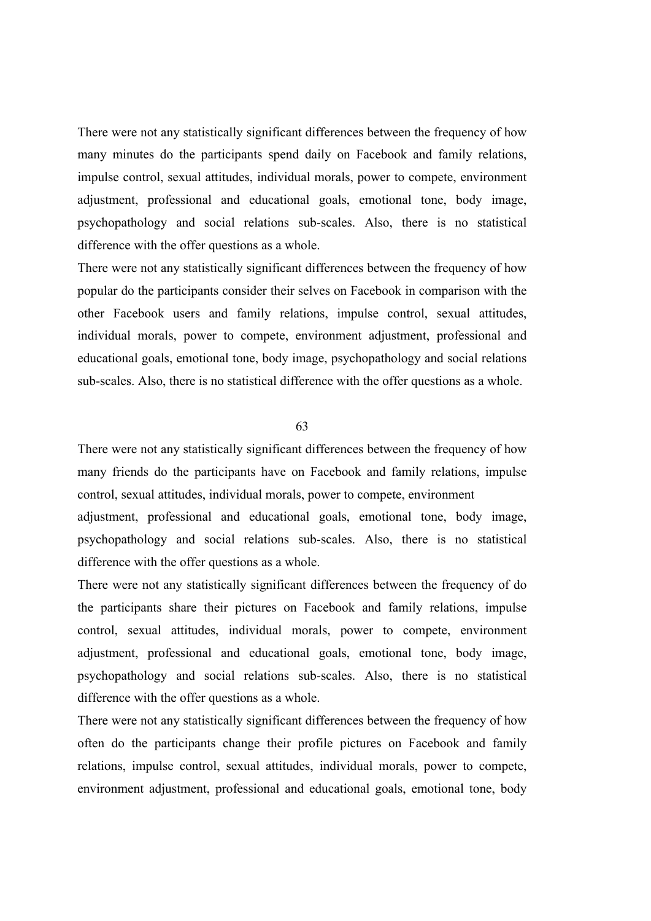There were not any statistically significant differences between the frequency of how many minutes do the participants spend daily on Facebook and family relations, impulse control, sexual attitudes, individual morals, power to compete, environment adjustment, professional and educational goals, emotional tone, body image, psychopathology and social relations sub-scales. Also, there is no statistical difference with the offer questions as a whole.

There were not any statistically significant differences between the frequency of how popular do the participants consider their selves on Facebook in comparison with the other Facebook users and family relations, impulse control, sexual attitudes, individual morals, power to compete, environment adjustment, professional and educational goals, emotional tone, body image, psychopathology and social relations sub-scales. Also, there is no statistical difference with the offer questions as a whole.

63

There were not any statistically significant differences between the frequency of how many friends do the participants have on Facebook and family relations, impulse control, sexual attitudes, individual morals, power to compete, environment

adjustment, professional and educational goals, emotional tone, body image, psychopathology and social relations sub-scales. Also, there is no statistical difference with the offer questions as a whole.

There were not any statistically significant differences between the frequency of do the participants share their pictures on Facebook and family relations, impulse control, sexual attitudes, individual morals, power to compete, environment adjustment, professional and educational goals, emotional tone, body image, psychopathology and social relations sub-scales. Also, there is no statistical difference with the offer questions as a whole.

There were not any statistically significant differences between the frequency of how often do the participants change their profile pictures on Facebook and family relations, impulse control, sexual attitudes, individual morals, power to compete, environment adjustment, professional and educational goals, emotional tone, body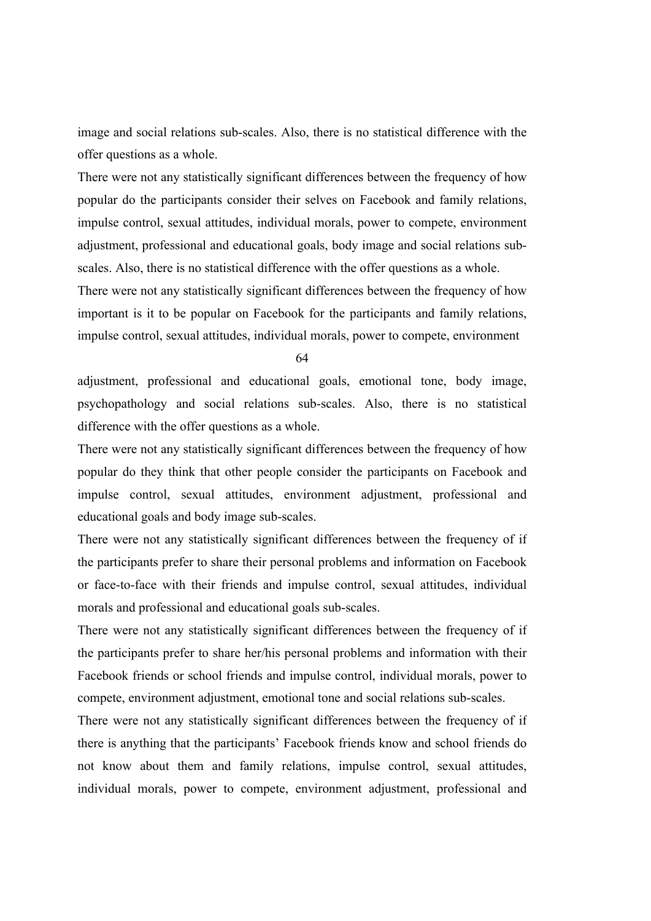image and social relations sub-scales. Also, there is no statistical difference with the offer questions as a whole.

There were not any statistically significant differences between the frequency of how popular do the participants consider their selves on Facebook and family relations, impulse control, sexual attitudes, individual morals, power to compete, environment adjustment, professional and educational goals, body image and social relations subscales. Also, there is no statistical difference with the offer questions as a whole.

There were not any statistically significant differences between the frequency of how important is it to be popular on Facebook for the participants and family relations, impulse control, sexual attitudes, individual morals, power to compete, environment

64

adjustment, professional and educational goals, emotional tone, body image, psychopathology and social relations sub-scales. Also, there is no statistical difference with the offer questions as a whole.

There were not any statistically significant differences between the frequency of how popular do they think that other people consider the participants on Facebook and impulse control, sexual attitudes, environment adjustment, professional and educational goals and body image sub-scales.

There were not any statistically significant differences between the frequency of if the participants prefer to share their personal problems and information on Facebook or face-to-face with their friends and impulse control, sexual attitudes, individual morals and professional and educational goals sub-scales.

There were not any statistically significant differences between the frequency of if the participants prefer to share her/his personal problems and information with their Facebook friends or school friends and impulse control, individual morals, power to compete, environment adjustment, emotional tone and social relations sub-scales.

There were not any statistically significant differences between the frequency of if there is anything that the participants' Facebook friends know and school friends do not know about them and family relations, impulse control, sexual attitudes, individual morals, power to compete, environment adjustment, professional and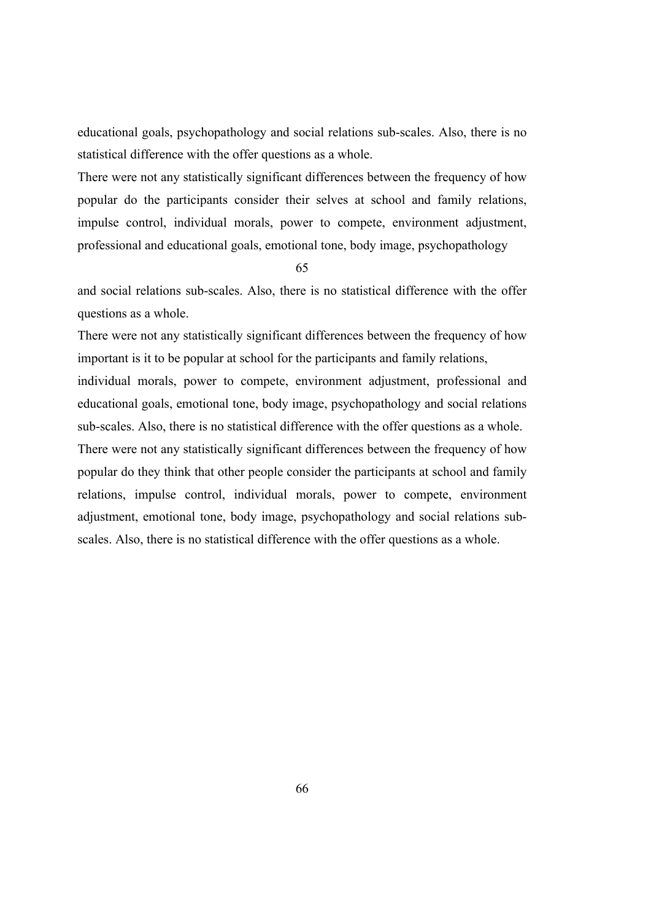educational goals, psychopathology and social relations sub-scales. Also, there is no statistical difference with the offer questions as a whole.

There were not any statistically significant differences between the frequency of how popular do the participants consider their selves at school and family relations, impulse control, individual morals, power to compete, environment adjustment, professional and educational goals, emotional tone, body image, psychopathology

65

and social relations sub-scales. Also, there is no statistical difference with the offer questions as a whole.

There were not any statistically significant differences between the frequency of how important is it to be popular at school for the participants and family relations,

individual morals, power to compete, environment adjustment, professional and educational goals, emotional tone, body image, psychopathology and social relations sub-scales. Also, there is no statistical difference with the offer questions as a whole. There were not any statistically significant differences between the frequency of how

popular do they think that other people consider the participants at school and family relations, impulse control, individual morals, power to compete, environment adjustment, emotional tone, body image, psychopathology and social relations subscales. Also, there is no statistical difference with the offer questions as a whole.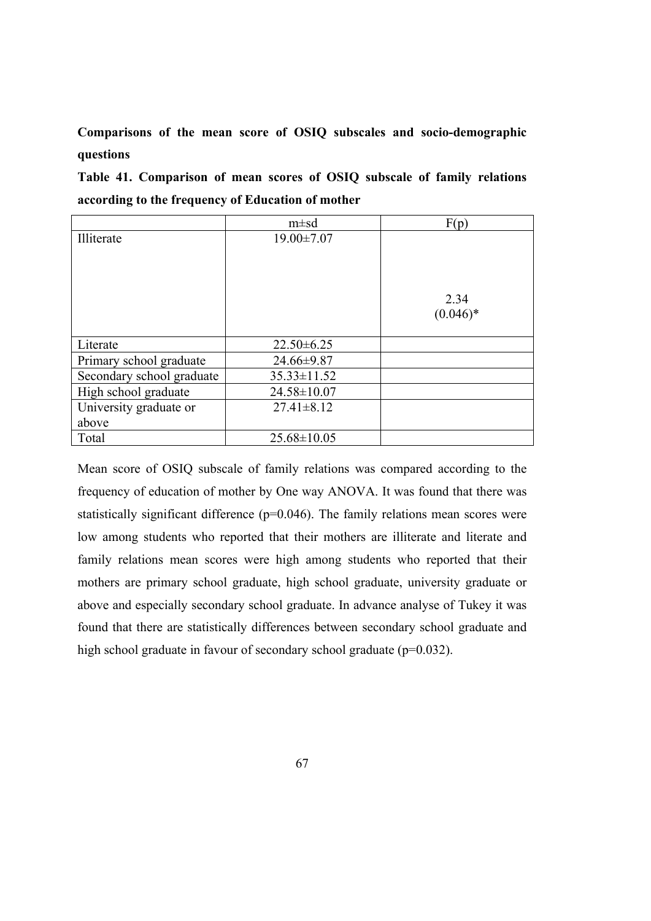## **Comparisons of the mean score of OSIQ subscales and socio-demographic questions**

**Table 41. Comparison of mean scores of OSIQ subscale of family relations according to the frequency of Education of mother**

|                           | $m \pm sd$        | F(p)       |
|---------------------------|-------------------|------------|
| Illiterate                | $19.00 \pm 7.07$  |            |
|                           |                   |            |
|                           |                   |            |
|                           |                   |            |
|                           |                   | 2.34       |
|                           |                   | $(0.046)*$ |
|                           |                   |            |
| Literate                  | $22.50 \pm 6.25$  |            |
| Primary school graduate   | 24.66±9.87        |            |
| Secondary school graduate | $35.33 \pm 11.52$ |            |
| High school graduate      | 24.58±10.07       |            |
| University graduate or    | $27.41 \pm 8.12$  |            |
| above                     |                   |            |
| Total                     | $25.68 \pm 10.05$ |            |

Mean score of OSIQ subscale of family relations was compared according to the frequency of education of mother by One way ANOVA. It was found that there was statistically significant difference (p=0.046). The family relations mean scores were low among students who reported that their mothers are illiterate and literate and family relations mean scores were high among students who reported that their mothers are primary school graduate, high school graduate, university graduate or above and especially secondary school graduate. In advance analyse of Tukey it was found that there are statistically differences between secondary school graduate and high school graduate in favour of secondary school graduate (p=0.032).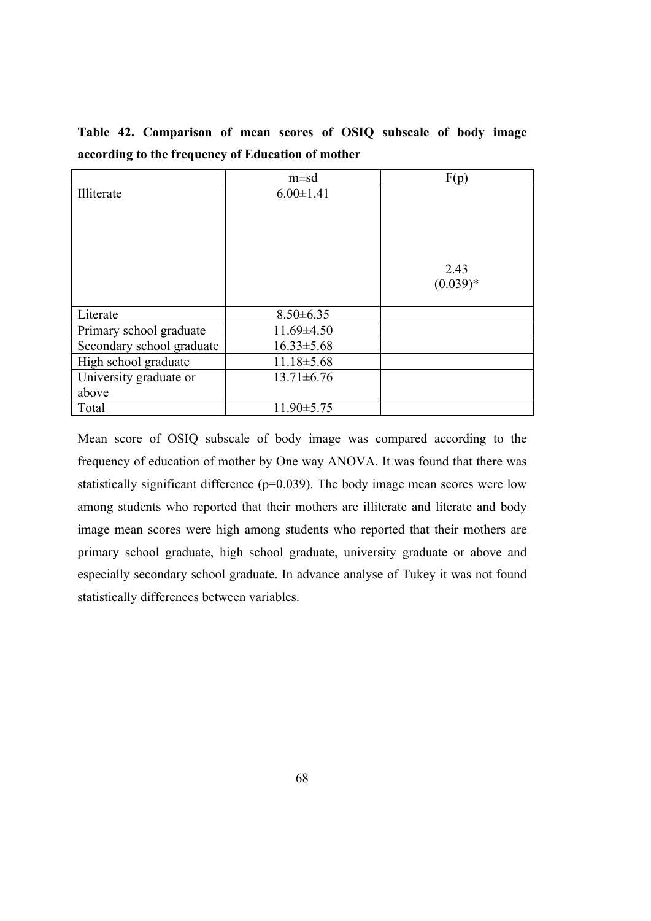|                           | $m \pm sd$       | F(p)               |
|---------------------------|------------------|--------------------|
| Illiterate                | $6.00 \pm 1.41$  | 2.43<br>$(0.039)*$ |
| Literate                  | $8.50 \pm 6.35$  |                    |
|                           |                  |                    |
| Primary school graduate   | $11.69 \pm 4.50$ |                    |
| Secondary school graduate | $16.33 \pm 5.68$ |                    |
| High school graduate      | $11.18 \pm 5.68$ |                    |
| University graduate or    | $13.71 \pm 6.76$ |                    |
| above                     |                  |                    |
| Total                     | $11.90 \pm 5.75$ |                    |

**Table 42. Comparison of mean scores of OSIQ subscale of body image according to the frequency of Education of mother**

Mean score of OSIQ subscale of body image was compared according to the frequency of education of mother by One way ANOVA. It was found that there was statistically significant difference  $(p=0.039)$ . The body image mean scores were low among students who reported that their mothers are illiterate and literate and body image mean scores were high among students who reported that their mothers are primary school graduate, high school graduate, university graduate or above and especially secondary school graduate. In advance analyse of Tukey it was not found statistically differences between variables.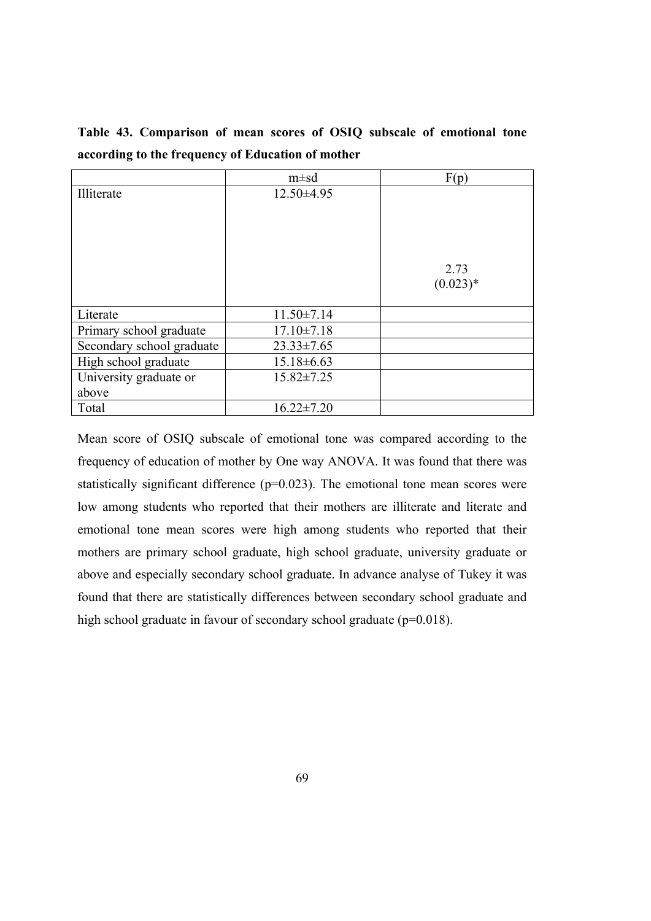|                           | $m \pm sd$       | F(p)       |
|---------------------------|------------------|------------|
| Illiterate                | $12.50\pm4.95$   |            |
|                           |                  |            |
|                           |                  |            |
|                           |                  |            |
|                           |                  |            |
|                           |                  | 2.73       |
|                           |                  | $(0.023)*$ |
|                           |                  |            |
| Literate                  | $11.50 \pm 7.14$ |            |
| Primary school graduate   | $17.10 \pm 7.18$ |            |
| Secondary school graduate | $23.33 \pm 7.65$ |            |
| High school graduate      | $15.18 \pm 6.63$ |            |
| University graduate or    | $15.82 \pm 7.25$ |            |
| above                     |                  |            |
| Total                     | $16.22 \pm 7.20$ |            |

**Table 43. Comparison of mean scores of OSIQ subscale of emotional tone according to the frequency of Education of mother**

Mean score of OSIQ subscale of emotional tone was compared according to the frequency of education of mother by One way ANOVA. It was found that there was statistically significant difference (p=0.023). The emotional tone mean scores were low among students who reported that their mothers are illiterate and literate and emotional tone mean scores were high among students who reported that their mothers are primary school graduate, high school graduate, university graduate or above and especially secondary school graduate. In advance analyse of Tukey it was found that there are statistically differences between secondary school graduate and high school graduate in favour of secondary school graduate (p=0.018).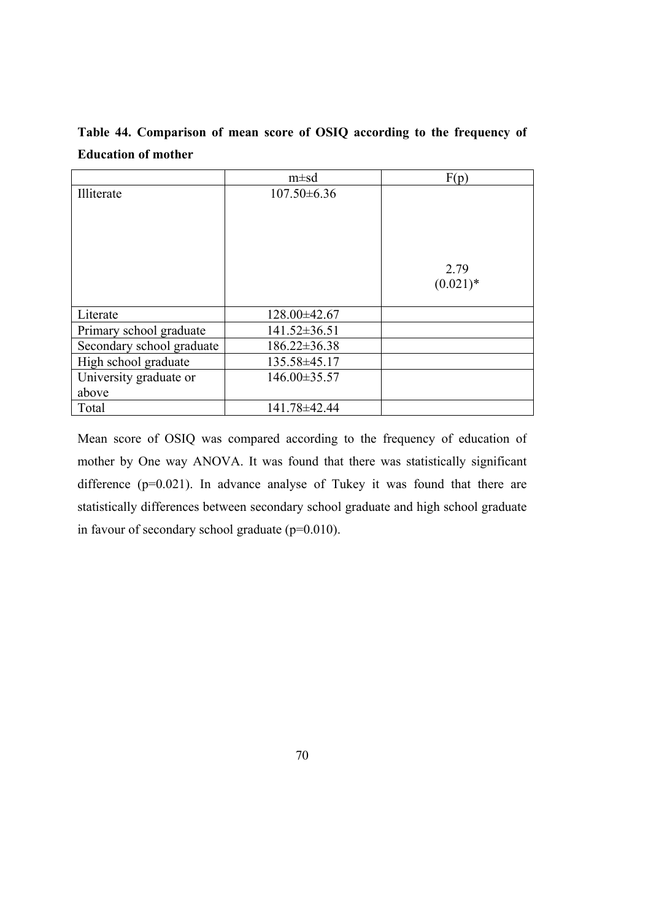| Table 44. Comparison of mean score of OSIQ according to the frequency of |  |  |  |  |
|--------------------------------------------------------------------------|--|--|--|--|
| <b>Education of mother</b>                                               |  |  |  |  |

|                           | $m \pm sd$         | F(p)                |
|---------------------------|--------------------|---------------------|
| Illiterate                | $107.50\pm 6.36$   |                     |
|                           |                    |                     |
|                           |                    | 2.79<br>$(0.021)$ * |
| Literate                  | $128.00\pm42.67$   |                     |
| Primary school graduate   | $141.52 \pm 36.51$ |                     |
| Secondary school graduate | $186.22 \pm 36.38$ |                     |
| High school graduate      | 135.58±45.17       |                     |
| University graduate or    | 146.00±35.57       |                     |
| above                     |                    |                     |
| Total                     | 141.78±42.44       |                     |

Mean score of OSIQ was compared according to the frequency of education of mother by One way ANOVA. It was found that there was statistically significant difference (p=0.021). In advance analyse of Tukey it was found that there are statistically differences between secondary school graduate and high school graduate in favour of secondary school graduate (p=0.010).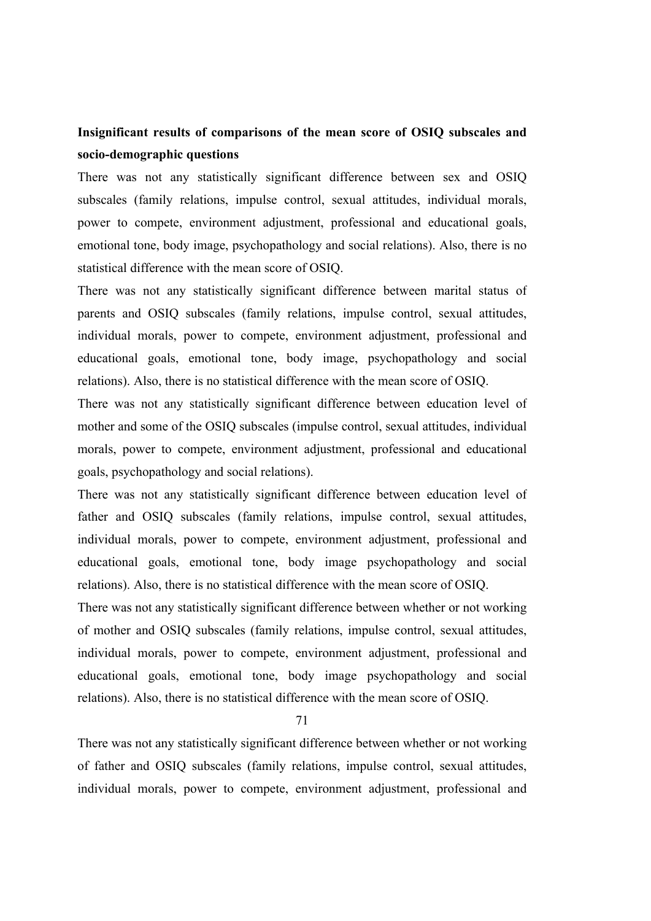# **Insignificant results of comparisons of the mean score of OSIQ subscales and socio-demographic questions**

There was not any statistically significant difference between sex and OSIQ subscales (family relations, impulse control, sexual attitudes, individual morals, power to compete, environment adjustment, professional and educational goals, emotional tone, body image, psychopathology and social relations). Also, there is no statistical difference with the mean score of OSIQ.

There was not any statistically significant difference between marital status of parents and OSIQ subscales (family relations, impulse control, sexual attitudes, individual morals, power to compete, environment adjustment, professional and educational goals, emotional tone, body image, psychopathology and social relations). Also, there is no statistical difference with the mean score of OSIQ.

There was not any statistically significant difference between education level of mother and some of the OSIQ subscales (impulse control, sexual attitudes, individual morals, power to compete, environment adjustment, professional and educational goals, psychopathology and social relations).

There was not any statistically significant difference between education level of father and OSIQ subscales (family relations, impulse control, sexual attitudes, individual morals, power to compete, environment adjustment, professional and educational goals, emotional tone, body image psychopathology and social relations). Also, there is no statistical difference with the mean score of OSIQ.

There was not any statistically significant difference between whether or not working of mother and OSIQ subscales (family relations, impulse control, sexual attitudes, individual morals, power to compete, environment adjustment, professional and educational goals, emotional tone, body image psychopathology and social relations). Also, there is no statistical difference with the mean score of OSIQ.

71

There was not any statistically significant difference between whether or not working of father and OSIQ subscales (family relations, impulse control, sexual attitudes, individual morals, power to compete, environment adjustment, professional and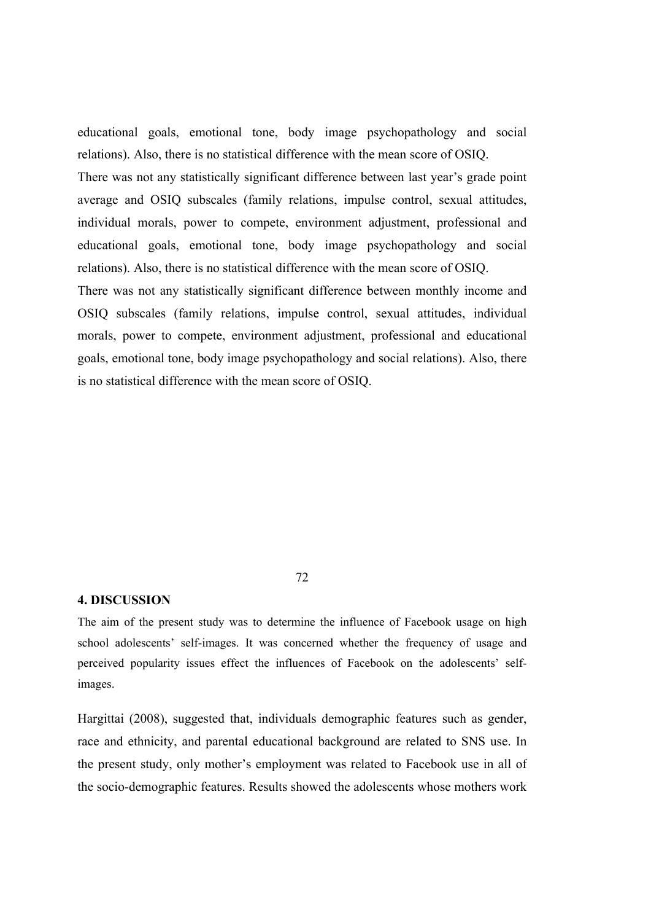educational goals, emotional tone, body image psychopathology and social relations). Also, there is no statistical difference with the mean score of OSIQ. There was not any statistically significant difference between last year's grade point average and OSIQ subscales (family relations, impulse control, sexual attitudes, individual morals, power to compete, environment adjustment, professional and educational goals, emotional tone, body image psychopathology and social relations). Also, there is no statistical difference with the mean score of OSIQ. There was not any statistically significant difference between monthly income and OSIQ subscales (family relations, impulse control, sexual attitudes, individual morals, power to compete, environment adjustment, professional and educational goals, emotional tone, body image psychopathology and social relations). Also, there is no statistical difference with the mean score of OSIQ.

# **4. DISCUSSION**

The aim of the present study was to determine the influence of Facebook usage on high school adolescents' self-images. It was concerned whether the frequency of usage and perceived popularity issues effect the influences of Facebook on the adolescents' selfimages.

Hargittai (2008), suggested that, individuals demographic features such as gender, race and ethnicity, and parental educational background are related to SNS use. In the present study, only mother's employment was related to Facebook use in all of the socio-demographic features. Results showed the adolescents whose mothers work

72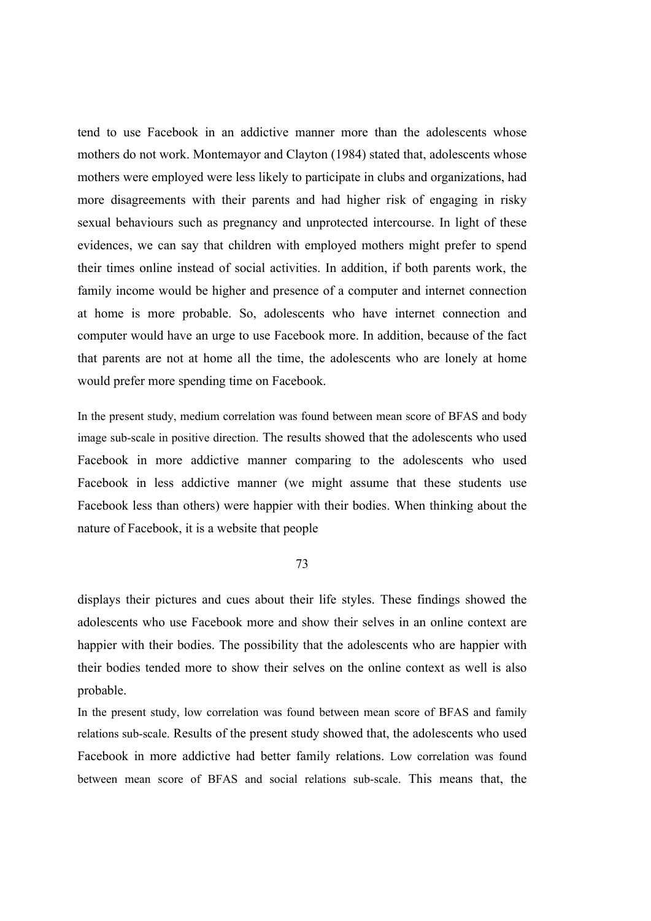tend to use Facebook in an addictive manner more than the adolescents whose mothers do not work. Montemayor and Clayton (1984) stated that, adolescents whose mothers were employed were less likely to participate in clubs and organizations, had more disagreements with their parents and had higher risk of engaging in risky sexual behaviours such as pregnancy and unprotected intercourse. In light of these evidences, we can say that children with employed mothers might prefer to spend their times online instead of social activities. In addition, if both parents work, the family income would be higher and presence of a computer and internet connection at home is more probable. So, adolescents who have internet connection and computer would have an urge to use Facebook more. In addition, because of the fact that parents are not at home all the time, the adolescents who are lonely at home would prefer more spending time on Facebook.

In the present study, medium correlation was found between mean score of BFAS and body image sub-scale in positive direction. The results showed that the adolescents who used Facebook in more addictive manner comparing to the adolescents who used Facebook in less addictive manner (we might assume that these students use Facebook less than others) were happier with their bodies. When thinking about the nature of Facebook, it is a website that people

#### 73

displays their pictures and cues about their life styles. These findings showed the adolescents who use Facebook more and show their selves in an online context are happier with their bodies. The possibility that the adolescents who are happier with their bodies tended more to show their selves on the online context as well is also probable.

In the present study, low correlation was found between mean score of BFAS and family relations sub-scale. Results of the present study showed that, the adolescents who used Facebook in more addictive had better family relations. Low correlation was found between mean score of BFAS and social relations sub-scale. This means that, the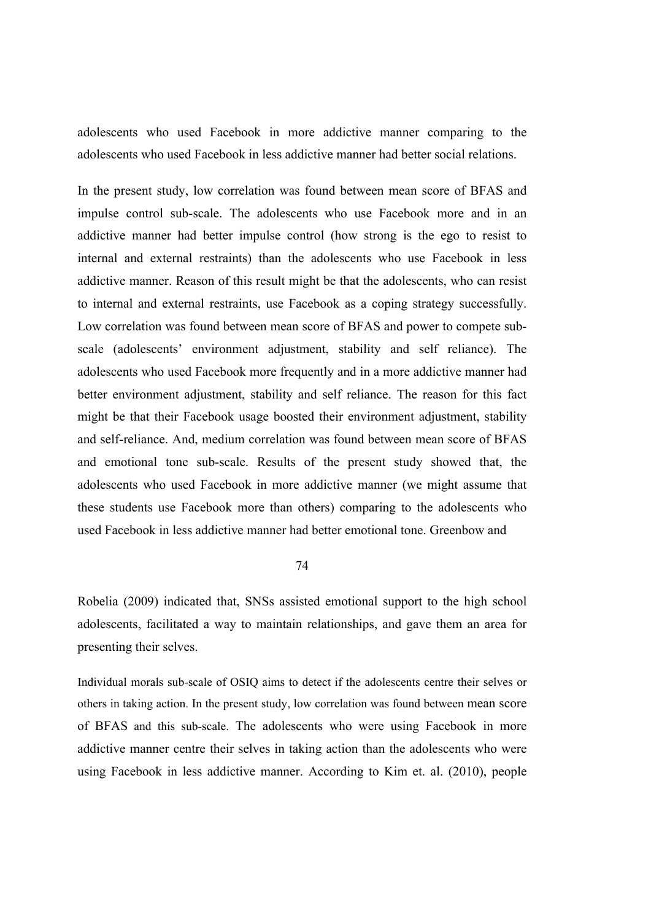adolescents who used Facebook in more addictive manner comparing to the adolescents who used Facebook in less addictive manner had better social relations.

In the present study, low correlation was found between mean score of BFAS and impulse control sub-scale. The adolescents who use Facebook more and in an addictive manner had better impulse control (how strong is the ego to resist to internal and external restraints) than the adolescents who use Facebook in less addictive manner. Reason of this result might be that the adolescents, who can resist to internal and external restraints, use Facebook as a coping strategy successfully. Low correlation was found between mean score of BFAS and power to compete subscale (adolescents' environment adjustment, stability and self reliance). The adolescents who used Facebook more frequently and in a more addictive manner had better environment adjustment, stability and self reliance. The reason for this fact might be that their Facebook usage boosted their environment adjustment, stability and self-reliance. And, medium correlation was found between mean score of BFAS and emotional tone sub-scale. Results of the present study showed that, the adolescents who used Facebook in more addictive manner (we might assume that these students use Facebook more than others) comparing to the adolescents who used Facebook in less addictive manner had better emotional tone. Greenbow and

#### 74

Robelia (2009) indicated that, SNSs assisted emotional support to the high school adolescents, facilitated a way to maintain relationships, and gave them an area for presenting their selves.

Individual morals sub-scale of OSIQ aims to detect if the adolescents centre their selves or others in taking action. In the present study, low correlation was found between mean score of BFAS and this sub-scale. The adolescents who were using Facebook in more addictive manner centre their selves in taking action than the adolescents who were using Facebook in less addictive manner. According to Kim et. al. (2010), people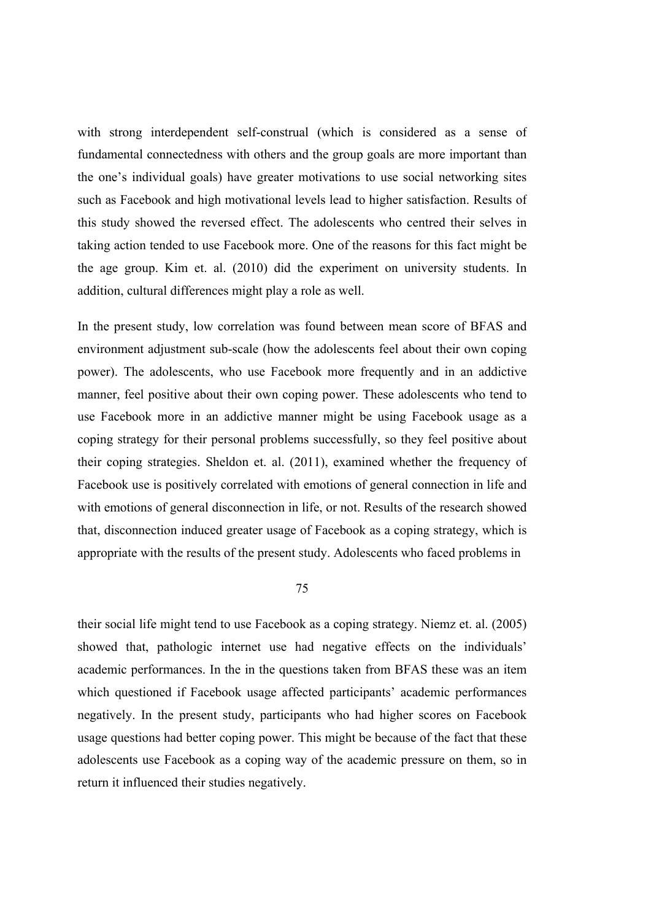with strong interdependent self-construal (which is considered as a sense of fundamental connectedness with others and the group goals are more important than the one's individual goals) have greater motivations to use social networking sites such as Facebook and high motivational levels lead to higher satisfaction. Results of this study showed the reversed effect. The adolescents who centred their selves in taking action tended to use Facebook more. One of the reasons for this fact might be the age group. Kim et. al. (2010) did the experiment on university students. In addition, cultural differences might play a role as well.

In the present study, low correlation was found between mean score of BFAS and environment adjustment sub-scale (how the adolescents feel about their own coping power). The adolescents, who use Facebook more frequently and in an addictive manner, feel positive about their own coping power. These adolescents who tend to use Facebook more in an addictive manner might be using Facebook usage as a coping strategy for their personal problems successfully, so they feel positive about their coping strategies. Sheldon et. al. (2011), examined whether the frequency of Facebook use is positively correlated with emotions of general connection in life and with emotions of general disconnection in life, or not. Results of the research showed that, disconnection induced greater usage of Facebook as a coping strategy, which is appropriate with the results of the present study. Adolescents who faced problems in

75

their social life might tend to use Facebook as a coping strategy. Niemz et. al. (2005) showed that, pathologic internet use had negative effects on the individuals' academic performances. In the in the questions taken from BFAS these was an item which questioned if Facebook usage affected participants' academic performances negatively. In the present study, participants who had higher scores on Facebook usage questions had better coping power. This might be because of the fact that these adolescents use Facebook as a coping way of the academic pressure on them, so in return it influenced their studies negatively.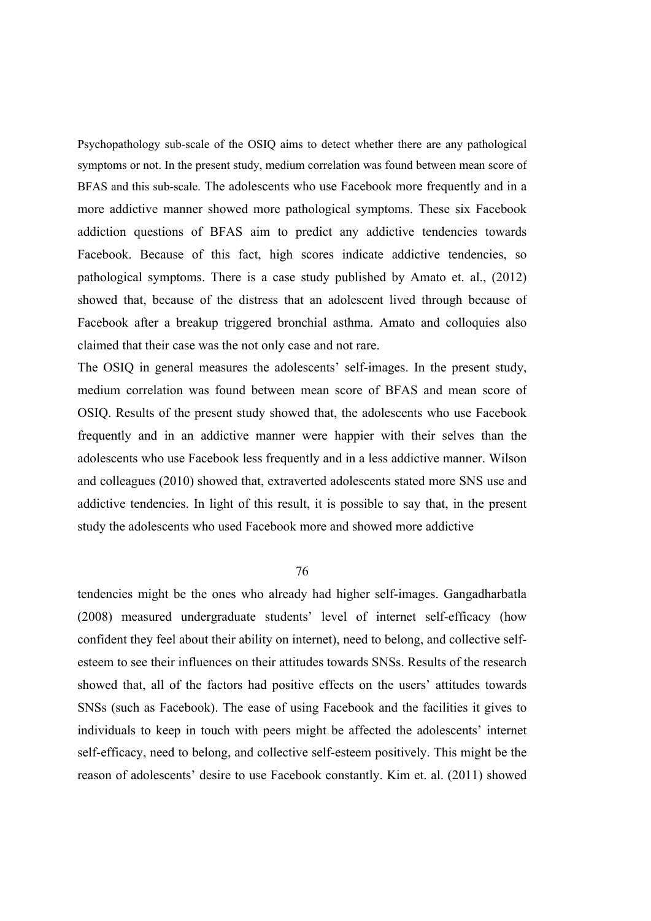Psychopathology sub-scale of the OSIQ aims to detect whether there are any pathological symptoms or not. In the present study, medium correlation was found between mean score of BFAS and this sub-scale. The adolescents who use Facebook more frequently and in a more addictive manner showed more pathological symptoms. These six Facebook addiction questions of BFAS aim to predict any addictive tendencies towards Facebook. Because of this fact, high scores indicate addictive tendencies, so pathological symptoms. There is a case study published by Amato et. al., (2012) showed that, because of the distress that an adolescent lived through because of Facebook after a breakup triggered bronchial asthma. Amato and colloquies also claimed that their case was the not only case and not rare.

The OSIQ in general measures the adolescents' self-images. In the present study, medium correlation was found between mean score of BFAS and mean score of OSIQ. Results of the present study showed that, the adolescents who use Facebook frequently and in an addictive manner were happier with their selves than the adolescents who use Facebook less frequently and in a less addictive manner. Wilson and colleagues (2010) showed that, extraverted adolescents stated more SNS use and addictive tendencies. In light of this result, it is possible to say that, in the present study the adolescents who used Facebook more and showed more addictive

76

tendencies might be the ones who already had higher self-images. Gangadharbatla (2008) measured undergraduate students' level of internet self-efficacy (how confident they feel about their ability on internet), need to belong, and collective selfesteem to see their influences on their attitudes towards SNSs. Results of the research showed that, all of the factors had positive effects on the users' attitudes towards SNSs (such as Facebook). The ease of using Facebook and the facilities it gives to individuals to keep in touch with peers might be affected the adolescents' internet self-efficacy, need to belong, and collective self-esteem positively. This might be the reason of adolescents' desire to use Facebook constantly. Kim et. al. (2011) showed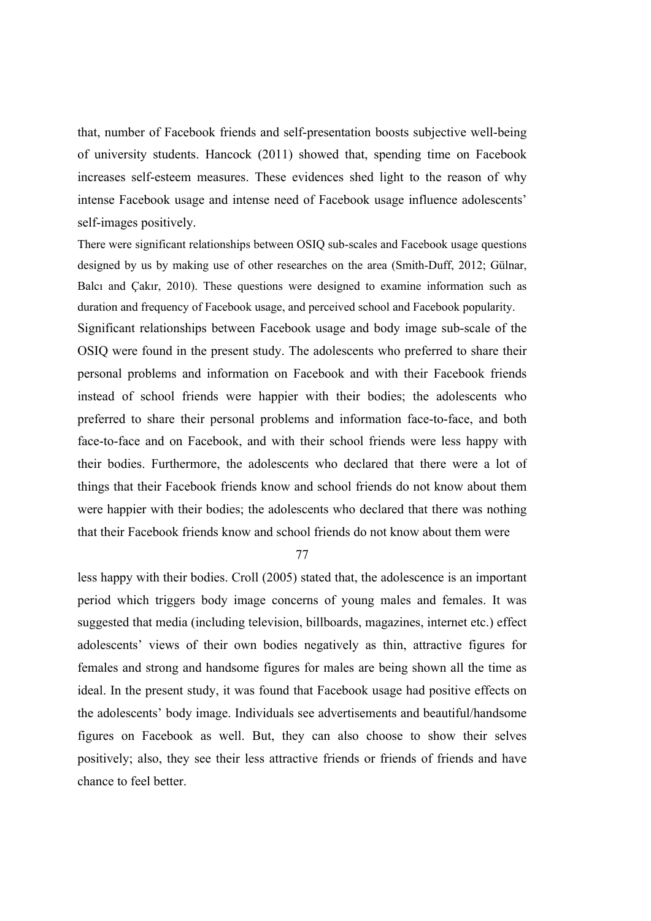that, number of Facebook friends and self-presentation boosts subjective well-being of university students. Hancock (2011) showed that, spending time on Facebook increases self-esteem measures. These evidences shed light to the reason of why intense Facebook usage and intense need of Facebook usage influence adolescents' self-images positively.

There were significant relationships between OSIQ sub-scales and Facebook usage questions designed by us by making use of other researches on the area (Smith-Duff, 2012; Gülnar, Balcı and Çakır, 2010). These questions were designed to examine information such as duration and frequency of Facebook usage, and perceived school and Facebook popularity.

Significant relationships between Facebook usage and body image sub-scale of the OSIQ were found in the present study. The adolescents who preferred to share their personal problems and information on Facebook and with their Facebook friends instead of school friends were happier with their bodies; the adolescents who preferred to share their personal problems and information face-to-face, and both face-to-face and on Facebook, and with their school friends were less happy with their bodies. Furthermore, the adolescents who declared that there were a lot of things that their Facebook friends know and school friends do not know about them were happier with their bodies; the adolescents who declared that there was nothing that their Facebook friends know and school friends do not know about them were

77

less happy with their bodies. Croll (2005) stated that, the adolescence is an important period which triggers body image concerns of young males and females. It was suggested that media (including television, billboards, magazines, internet etc.) effect adolescents' views of their own bodies negatively as thin, attractive figures for females and strong and handsome figures for males are being shown all the time as ideal. In the present study, it was found that Facebook usage had positive effects on the adolescents' body image. Individuals see advertisements and beautiful/handsome figures on Facebook as well. But, they can also choose to show their selves positively; also, they see their less attractive friends or friends of friends and have chance to feel better.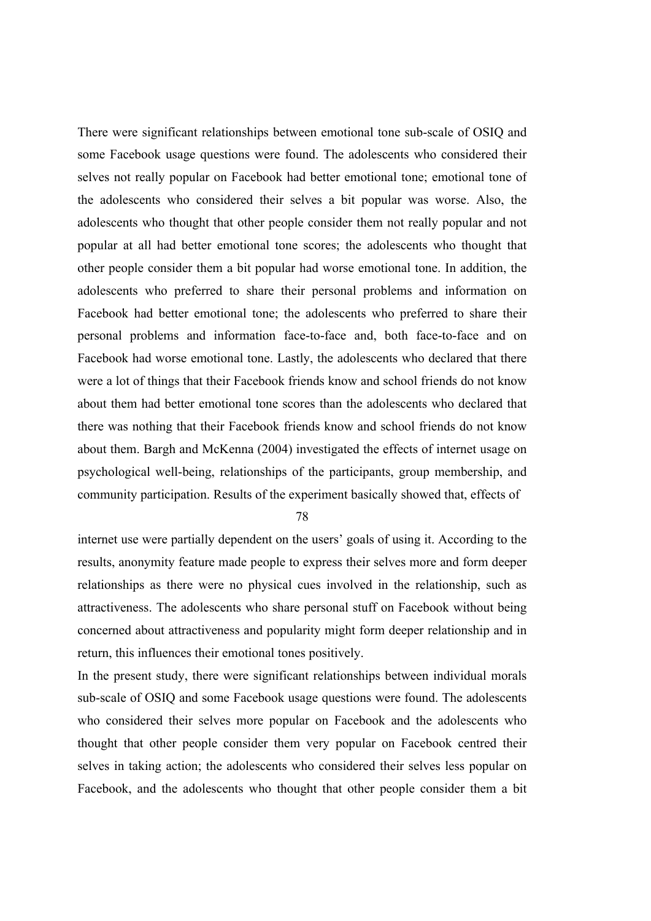There were significant relationships between emotional tone sub-scale of OSIQ and some Facebook usage questions were found. The adolescents who considered their selves not really popular on Facebook had better emotional tone; emotional tone of the adolescents who considered their selves a bit popular was worse. Also, the adolescents who thought that other people consider them not really popular and not popular at all had better emotional tone scores; the adolescents who thought that other people consider them a bit popular had worse emotional tone. In addition, the adolescents who preferred to share their personal problems and information on Facebook had better emotional tone; the adolescents who preferred to share their personal problems and information face-to-face and, both face-to-face and on Facebook had worse emotional tone. Lastly, the adolescents who declared that there were a lot of things that their Facebook friends know and school friends do not know about them had better emotional tone scores than the adolescents who declared that there was nothing that their Facebook friends know and school friends do not know about them. Bargh and McKenna (2004) investigated the effects of internet usage on psychological well-being, relationships of the participants, group membership, and community participation. Results of the experiment basically showed that, effects of

78

internet use were partially dependent on the users' goals of using it. According to the results, anonymity feature made people to express their selves more and form deeper relationships as there were no physical cues involved in the relationship, such as attractiveness. The adolescents who share personal stuff on Facebook without being concerned about attractiveness and popularity might form deeper relationship and in return, this influences their emotional tones positively.

In the present study, there were significant relationships between individual morals sub-scale of OSIQ and some Facebook usage questions were found. The adolescents who considered their selves more popular on Facebook and the adolescents who thought that other people consider them very popular on Facebook centred their selves in taking action; the adolescents who considered their selves less popular on Facebook, and the adolescents who thought that other people consider them a bit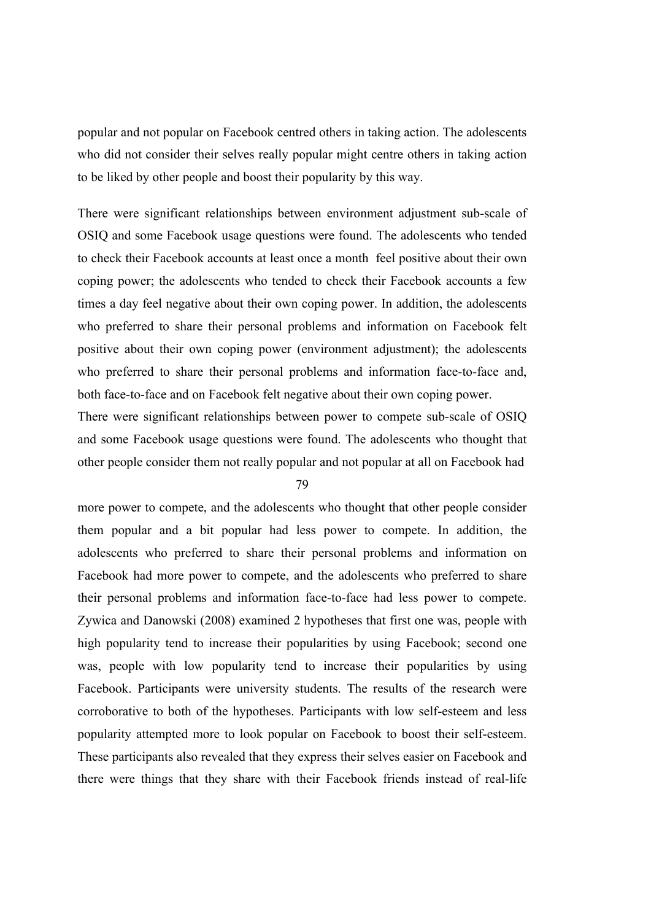popular and not popular on Facebook centred others in taking action. The adolescents who did not consider their selves really popular might centre others in taking action to be liked by other people and boost their popularity by this way.

There were significant relationships between environment adjustment sub-scale of OSIQ and some Facebook usage questions were found. The adolescents who tended to check their Facebook accounts at least once a month feel positive about their own coping power; the adolescents who tended to check their Facebook accounts a few times a day feel negative about their own coping power. In addition, the adolescents who preferred to share their personal problems and information on Facebook felt positive about their own coping power (environment adjustment); the adolescents who preferred to share their personal problems and information face-to-face and, both face-to-face and on Facebook felt negative about their own coping power.

There were significant relationships between power to compete sub-scale of OSIQ and some Facebook usage questions were found. The adolescents who thought that other people consider them not really popular and not popular at all on Facebook had

79

more power to compete, and the adolescents who thought that other people consider them popular and a bit popular had less power to compete. In addition, the adolescents who preferred to share their personal problems and information on Facebook had more power to compete, and the adolescents who preferred to share their personal problems and information face-to-face had less power to compete. Zywica and Danowski (2008) examined 2 hypotheses that first one was, people with high popularity tend to increase their popularities by using Facebook; second one was, people with low popularity tend to increase their popularities by using Facebook. Participants were university students. The results of the research were corroborative to both of the hypotheses. Participants with low self-esteem and less popularity attempted more to look popular on Facebook to boost their self-esteem. These participants also revealed that they express their selves easier on Facebook and there were things that they share with their Facebook friends instead of real-life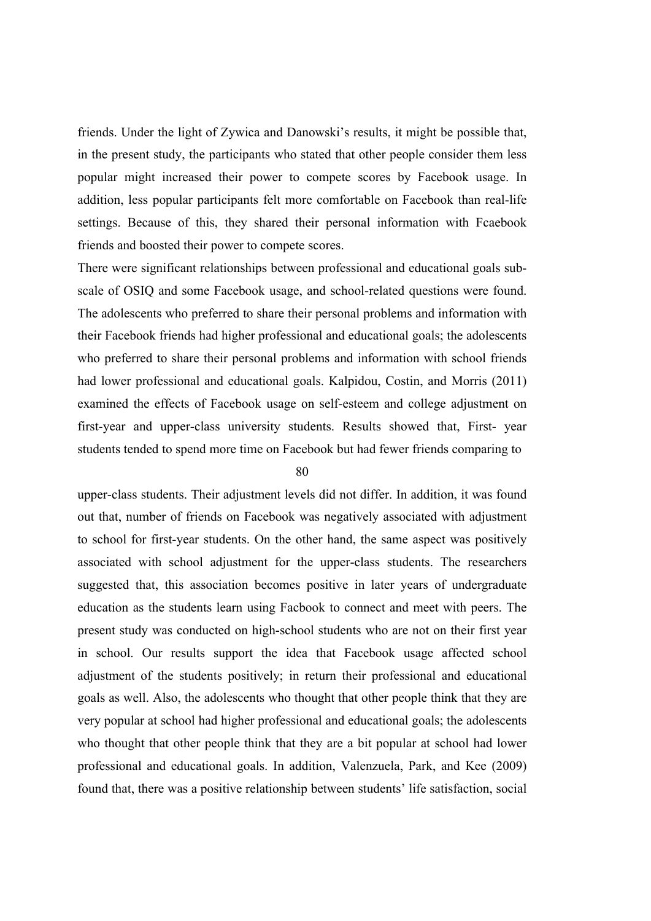friends. Under the light of Zywica and Danowski's results, it might be possible that, in the present study, the participants who stated that other people consider them less popular might increased their power to compete scores by Facebook usage. In addition, less popular participants felt more comfortable on Facebook than real-life settings. Because of this, they shared their personal information with Fcaebook friends and boosted their power to compete scores.

There were significant relationships between professional and educational goals subscale of OSIQ and some Facebook usage, and school-related questions were found. The adolescents who preferred to share their personal problems and information with their Facebook friends had higher professional and educational goals; the adolescents who preferred to share their personal problems and information with school friends had lower professional and educational goals. Kalpidou, Costin, and Morris (2011) examined the effects of Facebook usage on self-esteem and college adjustment on first-year and upper-class university students. Results showed that, First- year students tended to spend more time on Facebook but had fewer friends comparing to

80

upper-class students. Their adjustment levels did not differ. In addition, it was found out that, number of friends on Facebook was negatively associated with adjustment to school for first-year students. On the other hand, the same aspect was positively associated with school adjustment for the upper-class students. The researchers suggested that, this association becomes positive in later years of undergraduate education as the students learn using Facbook to connect and meet with peers. The present study was conducted on high-school students who are not on their first year in school. Our results support the idea that Facebook usage affected school adjustment of the students positively; in return their professional and educational goals as well. Also, the adolescents who thought that other people think that they are very popular at school had higher professional and educational goals; the adolescents who thought that other people think that they are a bit popular at school had lower professional and educational goals. In addition, Valenzuela, Park, and Kee (2009) found that, there was a positive relationship between students' life satisfaction, social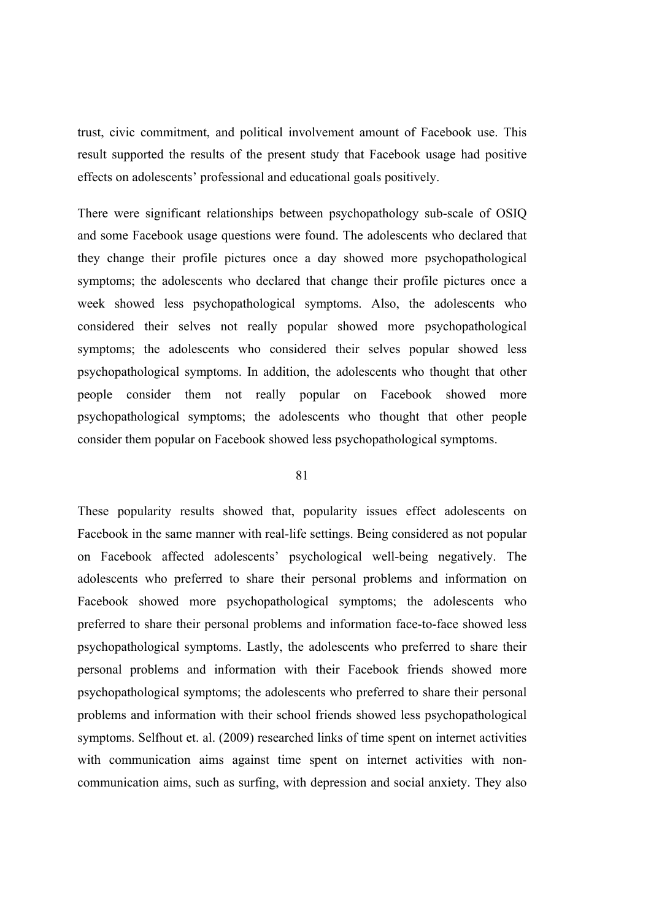trust, civic commitment, and political involvement amount of Facebook use. This result supported the results of the present study that Facebook usage had positive effects on adolescents' professional and educational goals positively.

There were significant relationships between psychopathology sub-scale of OSIQ and some Facebook usage questions were found. The adolescents who declared that they change their profile pictures once a day showed more psychopathological symptoms; the adolescents who declared that change their profile pictures once a week showed less psychopathological symptoms. Also, the adolescents who considered their selves not really popular showed more psychopathological symptoms; the adolescents who considered their selves popular showed less psychopathological symptoms. In addition, the adolescents who thought that other people consider them not really popular on Facebook showed more psychopathological symptoms; the adolescents who thought that other people consider them popular on Facebook showed less psychopathological symptoms.

81

These popularity results showed that, popularity issues effect adolescents on Facebook in the same manner with real-life settings. Being considered as not popular on Facebook affected adolescents' psychological well-being negatively. The adolescents who preferred to share their personal problems and information on Facebook showed more psychopathological symptoms; the adolescents who preferred to share their personal problems and information face-to-face showed less psychopathological symptoms. Lastly, the adolescents who preferred to share their personal problems and information with their Facebook friends showed more psychopathological symptoms; the adolescents who preferred to share their personal problems and information with their school friends showed less psychopathological symptoms. Selfhout et. al. (2009) researched links of time spent on internet activities with communication aims against time spent on internet activities with noncommunication aims, such as surfing, with depression and social anxiety. They also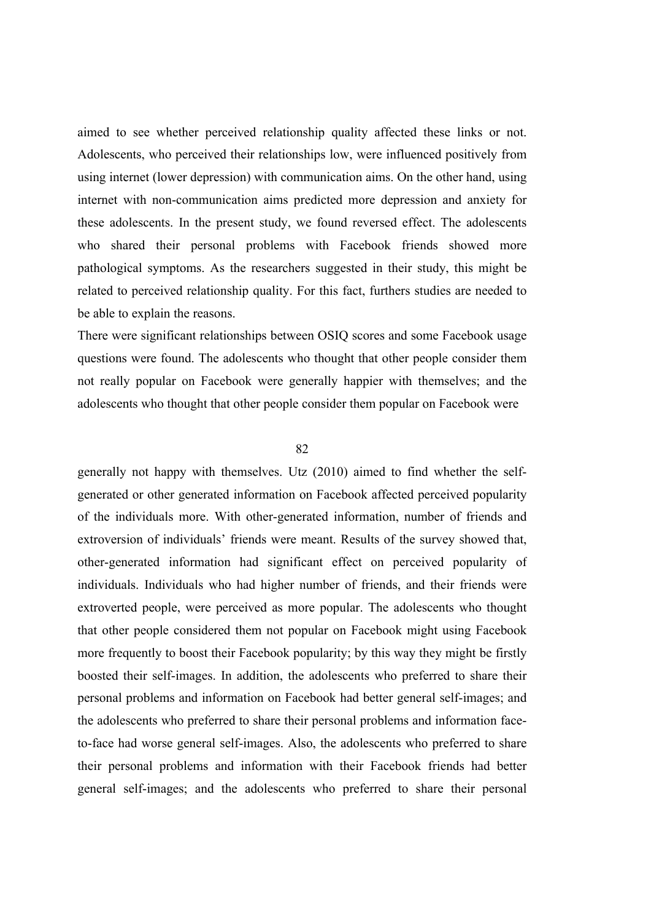aimed to see whether perceived relationship quality affected these links or not. Adolescents, who perceived their relationships low, were influenced positively from using internet (lower depression) with communication aims. On the other hand, using internet with non-communication aims predicted more depression and anxiety for these adolescents. In the present study, we found reversed effect. The adolescents who shared their personal problems with Facebook friends showed more pathological symptoms. As the researchers suggested in their study, this might be related to perceived relationship quality. For this fact, furthers studies are needed to be able to explain the reasons.

There were significant relationships between OSIQ scores and some Facebook usage questions were found. The adolescents who thought that other people consider them not really popular on Facebook were generally happier with themselves; and the adolescents who thought that other people consider them popular on Facebook were

#### 82

generally not happy with themselves. Utz (2010) aimed to find whether the selfgenerated or other generated information on Facebook affected perceived popularity of the individuals more. With other-generated information, number of friends and extroversion of individuals' friends were meant. Results of the survey showed that, other-generated information had significant effect on perceived popularity of individuals. Individuals who had higher number of friends, and their friends were extroverted people, were perceived as more popular. The adolescents who thought that other people considered them not popular on Facebook might using Facebook more frequently to boost their Facebook popularity; by this way they might be firstly boosted their self-images. In addition, the adolescents who preferred to share their personal problems and information on Facebook had better general self-images; and the adolescents who preferred to share their personal problems and information faceto-face had worse general self-images. Also, the adolescents who preferred to share their personal problems and information with their Facebook friends had better general self-images; and the adolescents who preferred to share their personal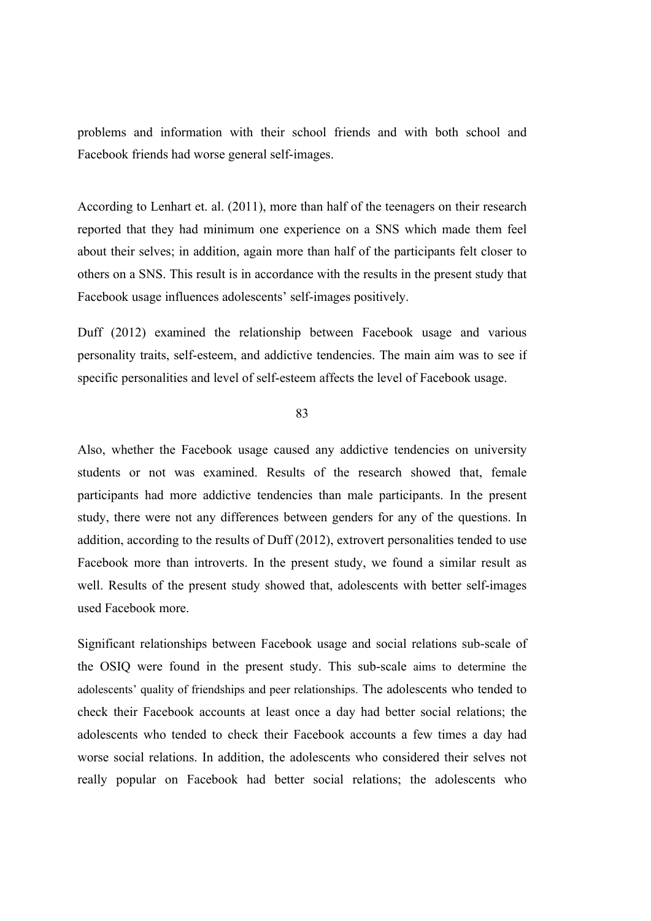problems and information with their school friends and with both school and Facebook friends had worse general self-images.

According to Lenhart et. al. (2011), more than half of the teenagers on their research reported that they had minimum one experience on a SNS which made them feel about their selves; in addition, again more than half of the participants felt closer to others on a SNS. This result is in accordance with the results in the present study that Facebook usage influences adolescents' self-images positively.

Duff (2012) examined the relationship between Facebook usage and various personality traits, self-esteem, and addictive tendencies. The main aim was to see if specific personalities and level of self-esteem affects the level of Facebook usage.

#### 83

Also, whether the Facebook usage caused any addictive tendencies on university students or not was examined. Results of the research showed that, female participants had more addictive tendencies than male participants. In the present study, there were not any differences between genders for any of the questions. In addition, according to the results of Duff (2012), extrovert personalities tended to use Facebook more than introverts. In the present study, we found a similar result as well. Results of the present study showed that, adolescents with better self-images used Facebook more.

Significant relationships between Facebook usage and social relations sub-scale of the OSIQ were found in the present study. This sub-scale aims to determine the adolescents' quality of friendships and peer relationships. The adolescents who tended to check their Facebook accounts at least once a day had better social relations; the adolescents who tended to check their Facebook accounts a few times a day had worse social relations. In addition, the adolescents who considered their selves not really popular on Facebook had better social relations; the adolescents who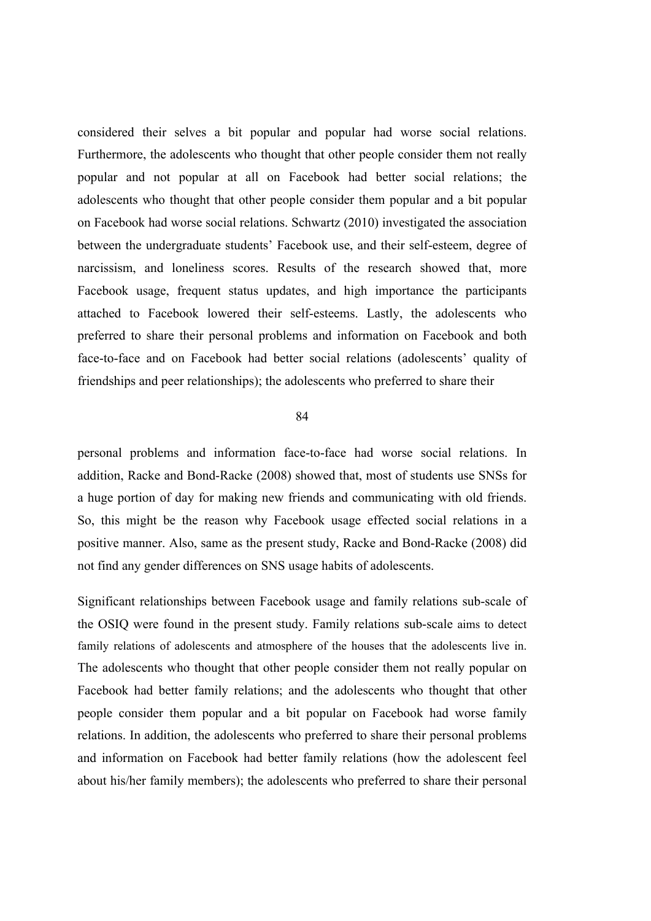considered their selves a bit popular and popular had worse social relations. Furthermore, the adolescents who thought that other people consider them not really popular and not popular at all on Facebook had better social relations; the adolescents who thought that other people consider them popular and a bit popular on Facebook had worse social relations. Schwartz (2010) investigated the association between the undergraduate students' Facebook use, and their self-esteem, degree of narcissism, and loneliness scores. Results of the research showed that, more Facebook usage, frequent status updates, and high importance the participants attached to Facebook lowered their self-esteems. Lastly, the adolescents who preferred to share their personal problems and information on Facebook and both face-to-face and on Facebook had better social relations (adolescents' quality of friendships and peer relationships); the adolescents who preferred to share their

#### 84

personal problems and information face-to-face had worse social relations. In addition, Racke and Bond-Racke (2008) showed that, most of students use SNSs for a huge portion of day for making new friends and communicating with old friends. So, this might be the reason why Facebook usage effected social relations in a positive manner. Also, same as the present study, Racke and Bond-Racke (2008) did not find any gender differences on SNS usage habits of adolescents.

Significant relationships between Facebook usage and family relations sub-scale of the OSIQ were found in the present study. Family relations sub-scale aims to detect family relations of adolescents and atmosphere of the houses that the adolescents live in. The adolescents who thought that other people consider them not really popular on Facebook had better family relations; and the adolescents who thought that other people consider them popular and a bit popular on Facebook had worse family relations. In addition, the adolescents who preferred to share their personal problems and information on Facebook had better family relations (how the adolescent feel about his/her family members); the adolescents who preferred to share their personal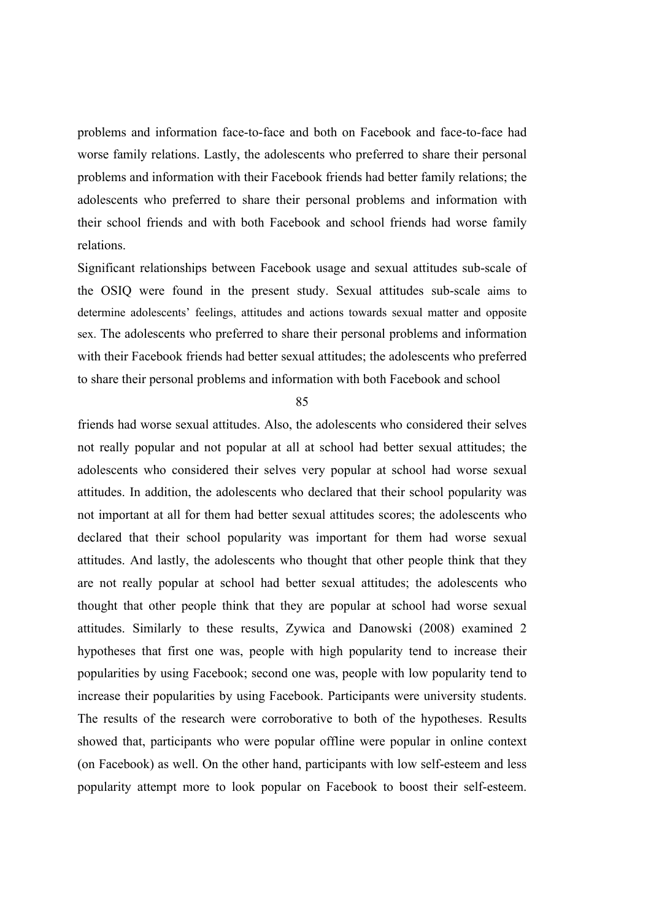problems and information face-to-face and both on Facebook and face-to-face had worse family relations. Lastly, the adolescents who preferred to share their personal problems and information with their Facebook friends had better family relations; the adolescents who preferred to share their personal problems and information with their school friends and with both Facebook and school friends had worse family relations.

Significant relationships between Facebook usage and sexual attitudes sub-scale of the OSIQ were found in the present study. Sexual attitudes sub-scale aims to determine adolescents' feelings, attitudes and actions towards sexual matter and opposite sex. The adolescents who preferred to share their personal problems and information with their Facebook friends had better sexual attitudes; the adolescents who preferred to share their personal problems and information with both Facebook and school

85

friends had worse sexual attitudes. Also, the adolescents who considered their selves not really popular and not popular at all at school had better sexual attitudes; the adolescents who considered their selves very popular at school had worse sexual attitudes. In addition, the adolescents who declared that their school popularity was not important at all for them had better sexual attitudes scores; the adolescents who declared that their school popularity was important for them had worse sexual attitudes. And lastly, the adolescents who thought that other people think that they are not really popular at school had better sexual attitudes; the adolescents who thought that other people think that they are popular at school had worse sexual attitudes. Similarly to these results, Zywica and Danowski (2008) examined 2 hypotheses that first one was, people with high popularity tend to increase their popularities by using Facebook; second one was, people with low popularity tend to increase their popularities by using Facebook. Participants were university students. The results of the research were corroborative to both of the hypotheses. Results showed that, participants who were popular offline were popular in online context (on Facebook) as well. On the other hand, participants with low self-esteem and less popularity attempt more to look popular on Facebook to boost their self-esteem.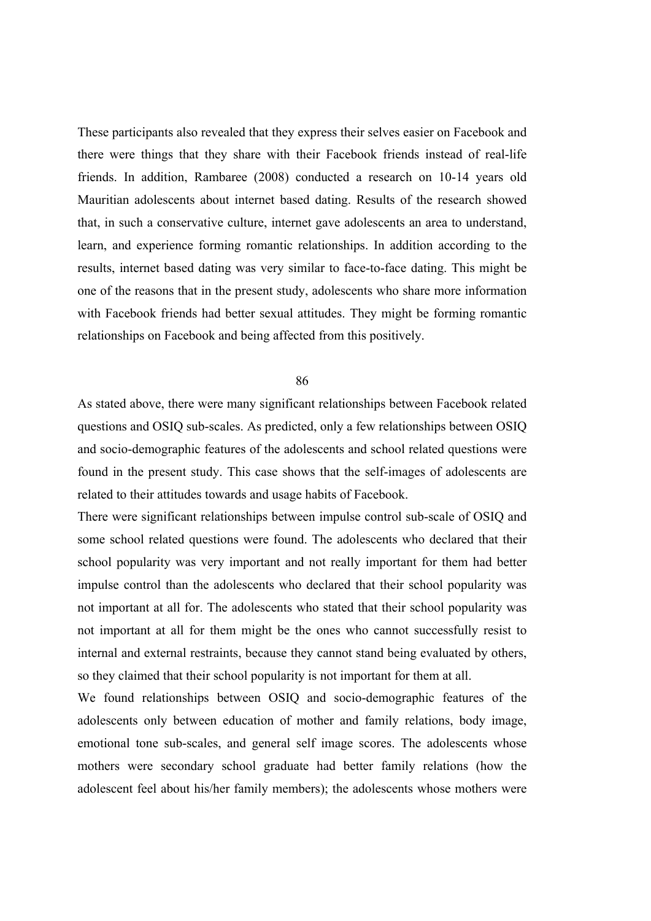These participants also revealed that they express their selves easier on Facebook and there were things that they share with their Facebook friends instead of real-life friends. In addition, Rambaree (2008) conducted a research on 10-14 years old Mauritian adolescents about internet based dating. Results of the research showed that, in such a conservative culture, internet gave adolescents an area to understand, learn, and experience forming romantic relationships. In addition according to the results, internet based dating was very similar to face-to-face dating. This might be one of the reasons that in the present study, adolescents who share more information with Facebook friends had better sexual attitudes. They might be forming romantic relationships on Facebook and being affected from this positively.

#### 86

As stated above, there were many significant relationships between Facebook related questions and OSIQ sub-scales. As predicted, only a few relationships between OSIQ and socio-demographic features of the adolescents and school related questions were found in the present study. This case shows that the self-images of adolescents are related to their attitudes towards and usage habits of Facebook.

There were significant relationships between impulse control sub-scale of OSIQ and some school related questions were found. The adolescents who declared that their school popularity was very important and not really important for them had better impulse control than the adolescents who declared that their school popularity was not important at all for. The adolescents who stated that their school popularity was not important at all for them might be the ones who cannot successfully resist to internal and external restraints, because they cannot stand being evaluated by others, so they claimed that their school popularity is not important for them at all.

We found relationships between OSIQ and socio-demographic features of the adolescents only between education of mother and family relations, body image, emotional tone sub-scales, and general self image scores. The adolescents whose mothers were secondary school graduate had better family relations (how the adolescent feel about his/her family members); the adolescents whose mothers were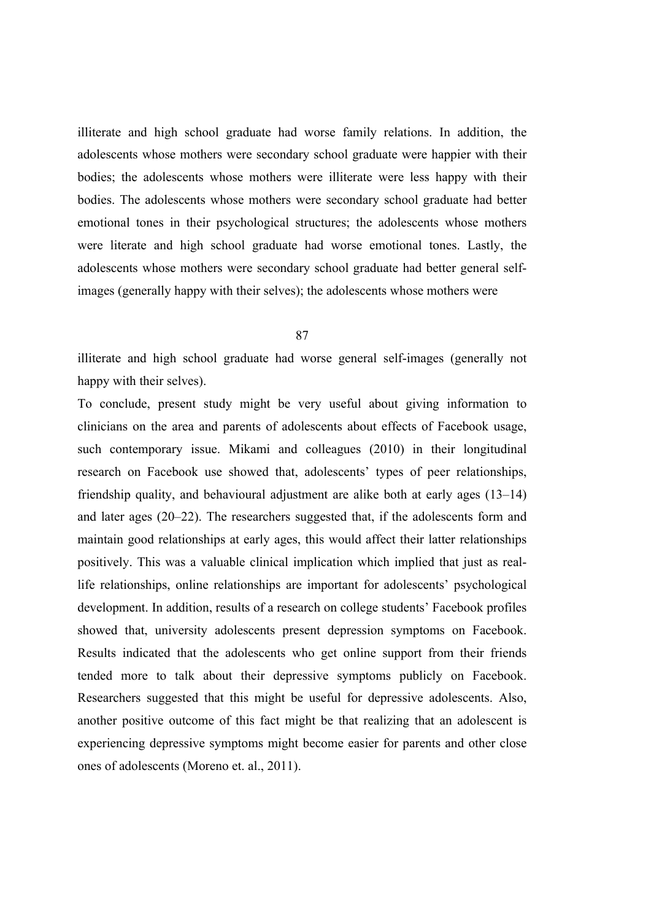illiterate and high school graduate had worse family relations. In addition, the adolescents whose mothers were secondary school graduate were happier with their bodies; the adolescents whose mothers were illiterate were less happy with their bodies. The adolescents whose mothers were secondary school graduate had better emotional tones in their psychological structures; the adolescents whose mothers were literate and high school graduate had worse emotional tones. Lastly, the adolescents whose mothers were secondary school graduate had better general selfimages (generally happy with their selves); the adolescents whose mothers were

87

illiterate and high school graduate had worse general self-images (generally not happy with their selves).

To conclude, present study might be very useful about giving information to clinicians on the area and parents of adolescents about effects of Facebook usage, such contemporary issue. Mikami and colleagues (2010) in their longitudinal research on Facebook use showed that, adolescents' types of peer relationships, friendship quality, and behavioural adjustment are alike both at early ages (13–14) and later ages (20–22). The researchers suggested that, if the adolescents form and maintain good relationships at early ages, this would affect their latter relationships positively. This was a valuable clinical implication which implied that just as reallife relationships, online relationships are important for adolescents' psychological development. In addition, results of a research on college students' Facebook profiles showed that, university adolescents present depression symptoms on Facebook. Results indicated that the adolescents who get online support from their friends tended more to talk about their depressive symptoms publicly on Facebook. Researchers suggested that this might be useful for depressive adolescents. Also, another positive outcome of this fact might be that realizing that an adolescent is experiencing depressive symptoms might become easier for parents and other close ones of adolescents (Moreno et. al., 2011).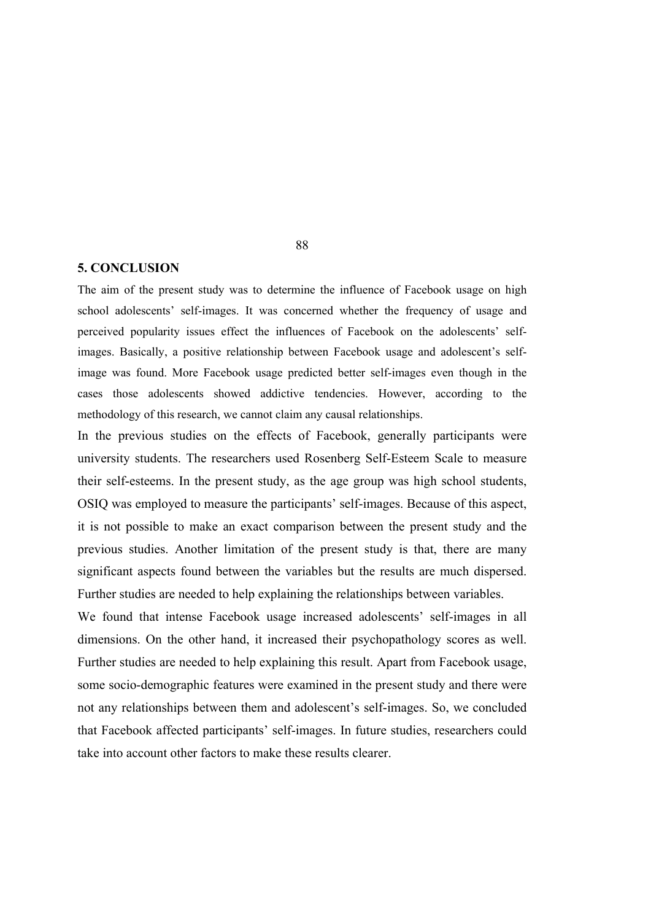#### **5. CONCLUSION**

The aim of the present study was to determine the influence of Facebook usage on high school adolescents' self-images. It was concerned whether the frequency of usage and perceived popularity issues effect the influences of Facebook on the adolescents' selfimages. Basically, a positive relationship between Facebook usage and adolescent's selfimage was found. More Facebook usage predicted better self-images even though in the cases those adolescents showed addictive tendencies. However, according to the methodology of this research, we cannot claim any causal relationships.

In the previous studies on the effects of Facebook, generally participants were university students. The researchers used Rosenberg Self-Esteem Scale to measure their self-esteems. In the present study, as the age group was high school students, OSIQ was employed to measure the participants' self-images. Because of this aspect, it is not possible to make an exact comparison between the present study and the previous studies. Another limitation of the present study is that, there are many significant aspects found between the variables but the results are much dispersed. Further studies are needed to help explaining the relationships between variables.

We found that intense Facebook usage increased adolescents' self-images in all dimensions. On the other hand, it increased their psychopathology scores as well. Further studies are needed to help explaining this result. Apart from Facebook usage, some socio-demographic features were examined in the present study and there were not any relationships between them and adolescent's self-images. So, we concluded that Facebook affected participants' self-images. In future studies, researchers could take into account other factors to make these results clearer.

88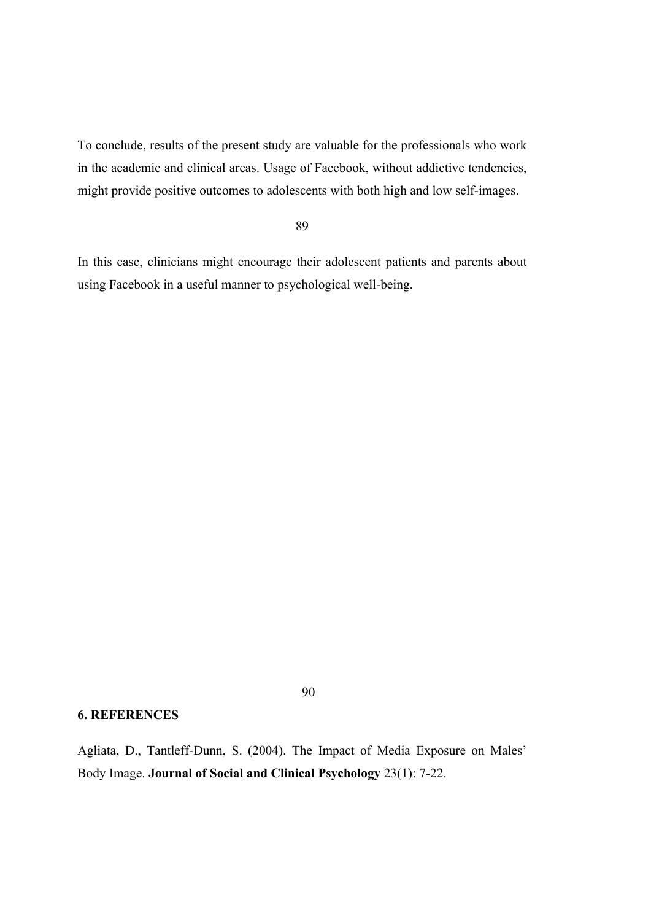To conclude, results of the present study are valuable for the professionals who work in the academic and clinical areas. Usage of Facebook, without addictive tendencies, might provide positive outcomes to adolescents with both high and low self-images.

#### 89

In this case, clinicians might encourage their adolescent patients and parents about using Facebook in a useful manner to psychological well-being.

## 90

# **6. REFERENCES**

Agliata, D., Tantleff-Dunn, S. (2004). The Impact of Media Exposure on Males' Body Image. **Journal of Social and Clinical Psychology** 23(1): 7-22.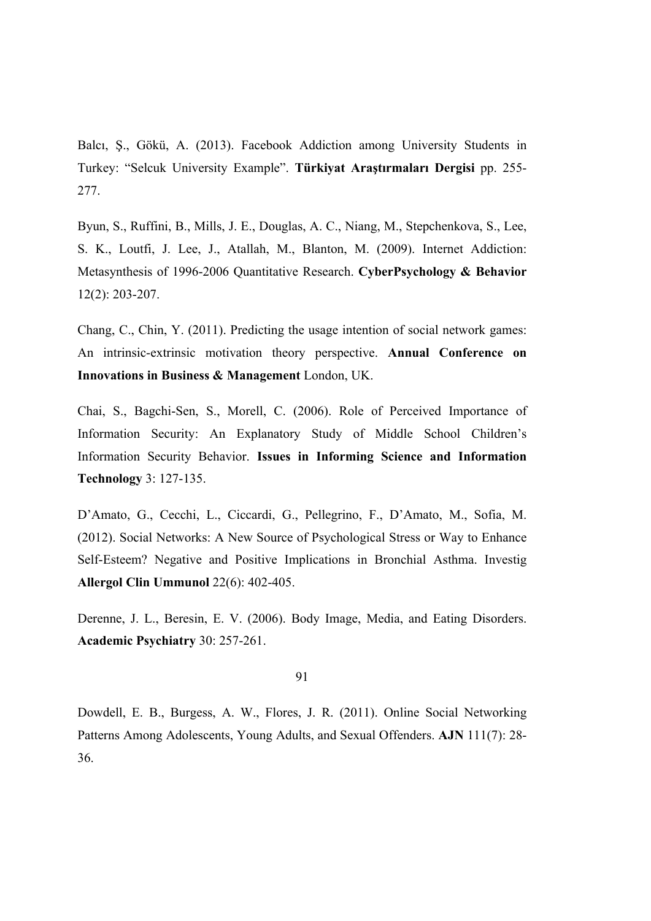Balcı, Ş., Gökü, A. (2013). Facebook Addiction among University Students in Turkey: "Selcuk University Example". **Türkiyat Araştırmaları Dergisi** pp. 255- 277.

Byun, S., Ruffini, B., Mills, J. E., Douglas, A. C., Niang, M., Stepchenkova, S., Lee, S. K., Loutfi, J. Lee, J., Atallah, M., Blanton, M. (2009). Internet Addiction: Metasynthesis of 1996-2006 Quantitative Research. **CyberPsychology & Behavior** 12(2): 203-207.

Chang, C., Chin, Y. (2011). Predicting the usage intention of social network games: An intrinsic-extrinsic motivation theory perspective. **Annual Conference on Innovations in Business & Management** London, UK.

Chai, S., Bagchi-Sen, S., Morell, C. (2006). Role of Perceived Importance of Information Security: An Explanatory Study of Middle School Children's Information Security Behavior. **Issues in Informing Science and Information Technology** 3: 127-135.

D'Amato, G., Cecchi, L., Ciccardi, G., Pellegrino, F., D'Amato, M., Sofia, M. (2012). Social Networks: A New Source of Psychological Stress or Way to Enhance Self-Esteem? Negative and Positive Implications in Bronchial Asthma. Investig **Allergol Clin Ummunol** 22(6): 402-405.

Derenne, J. L., Beresin, E. V. (2006). Body Image, Media, and Eating Disorders. **Academic Psychiatry** 30: 257-261.

91

Dowdell, E. B., Burgess, A. W., Flores, J. R. (2011). Online Social Networking Patterns Among Adolescents, Young Adults, and Sexual Offenders. **AJN** 111(7): 28- 36.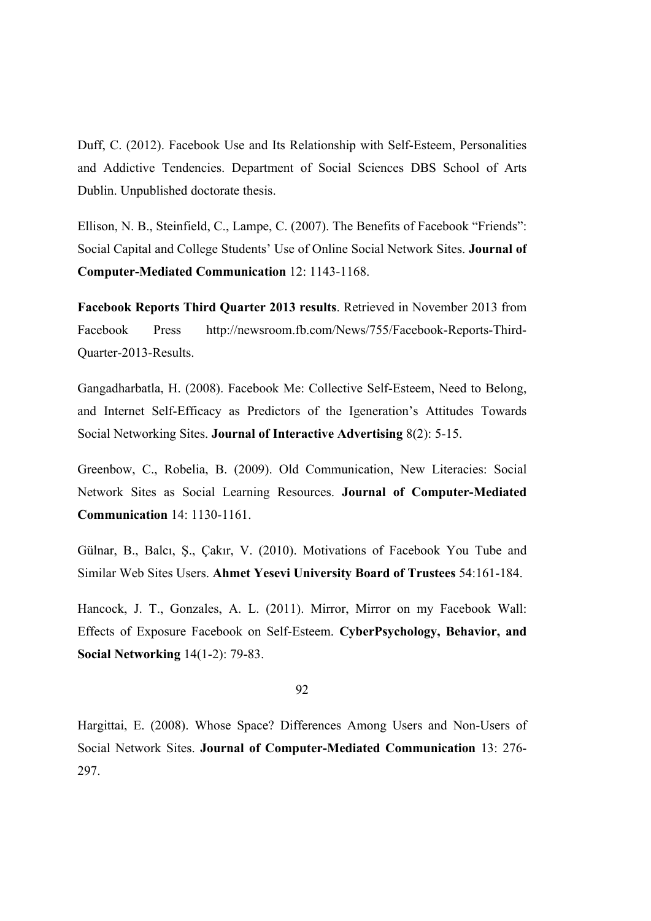Duff, C. (2012). Facebook Use and Its Relationship with Self-Esteem, Personalities and Addictive Tendencies. Department of Social Sciences DBS School of Arts Dublin. Unpublished doctorate thesis.

Ellison, N. B., Steinfield, C., Lampe, C. (2007). The Benefits of Facebook "Friends": Social Capital and College Students' Use of Online Social Network Sites. **Journal of Computer-Mediated Communication** 12: 1143-1168.

**Facebook Reports Third Quarter 2013 results**. Retrieved in November 2013 from Facebook Press http://newsroom.fb.com/News/755/Facebook-Reports-Third-Quarter-2013-Results.

Gangadharbatla, H. (2008). Facebook Me: Collective Self-Esteem, Need to Belong, and Internet Self-Efficacy as Predictors of the Igeneration's Attitudes Towards Social Networking Sites. **Journal of Interactive Advertising** 8(2): 5-15.

Greenbow, C., Robelia, B. (2009). Old Communication, New Literacies: Social Network Sites as Social Learning Resources. **Journal of Computer-Mediated Communication** 14: 1130-1161.

Gülnar, B., Balcı, Ş., Çakır, V. (2010). Motivations of Facebook You Tube and Similar Web Sites Users. **Ahmet Yesevi University Board of Trustees** 54:161-184.

Hancock, J. T., Gonzales, A. L. (2011). Mirror, Mirror on my Facebook Wall: Effects of Exposure Facebook on Self-Esteem. **CyberPsychology, Behavior, and Social Networking** 14(1-2): 79-83.

92

Hargittai, E. (2008). Whose Space? Differences Among Users and Non-Users of Social Network Sites. **Journal of Computer-Mediated Communication** 13: 276- 297.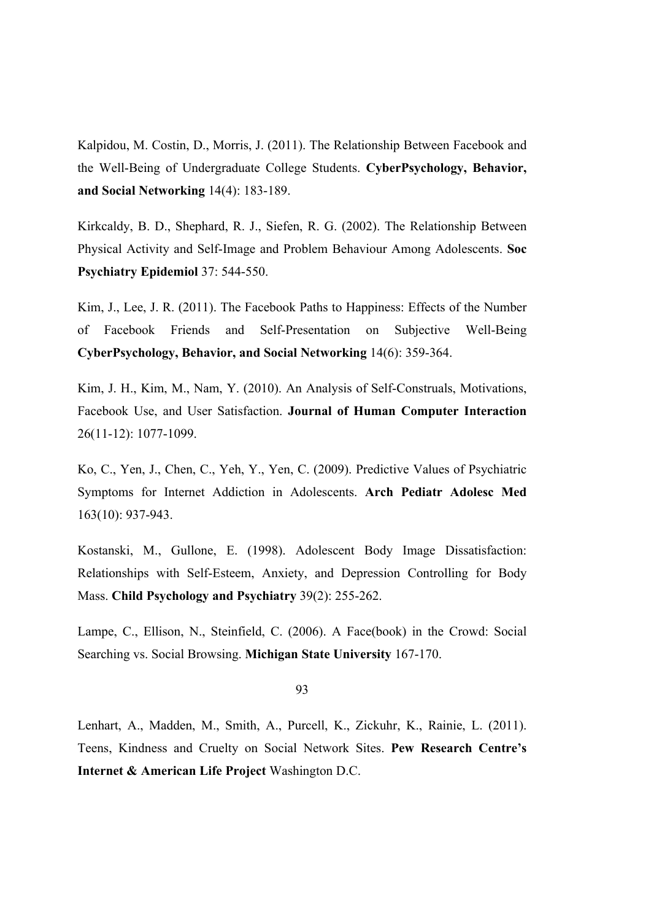Kalpidou, M. Costin, D., Morris, J. (2011). The Relationship Between Facebook and the Well-Being of Undergraduate College Students. **CyberPsychology, Behavior, and Social Networking** 14(4): 183-189.

Kirkcaldy, B. D., Shephard, R. J., Siefen, R. G. (2002). The Relationship Between Physical Activity and Self-Image and Problem Behaviour Among Adolescents. **Soc Psychiatry Epidemiol** 37: 544-550.

Kim, J., Lee, J. R. (2011). The Facebook Paths to Happiness: Effects of the Number of Facebook Friends and Self-Presentation on Subjective Well-Being **CyberPsychology, Behavior, and Social Networking** 14(6): 359-364.

Kim, J. H., Kim, M., Nam, Y. (2010). An Analysis of Self-Construals, Motivations, Facebook Use, and User Satisfaction. **Journal of Human Computer Interaction** 26(11-12): 1077-1099.

Ko, C., Yen, J., Chen, C., Yeh, Y., Yen, C. (2009). Predictive Values of Psychiatric Symptoms for Internet Addiction in Adolescents. **Arch Pediatr Adolesc Med** 163(10): 937-943.

Kostanski, M., Gullone, E. (1998). Adolescent Body Image Dissatisfaction: Relationships with Self-Esteem, Anxiety, and Depression Controlling for Body Mass. **Child Psychology and Psychiatry** 39(2): 255-262.

Lampe, C., Ellison, N., Steinfield, C. (2006). A Face(book) in the Crowd: Social Searching vs. Social Browsing. **Michigan State University** 167-170.

93

Lenhart, A., Madden, M., Smith, A., Purcell, K., Zickuhr, K., Rainie, L. (2011). Teens, Kindness and Cruelty on Social Network Sites. **Pew Research Centre's Internet & American Life Project** Washington D.C.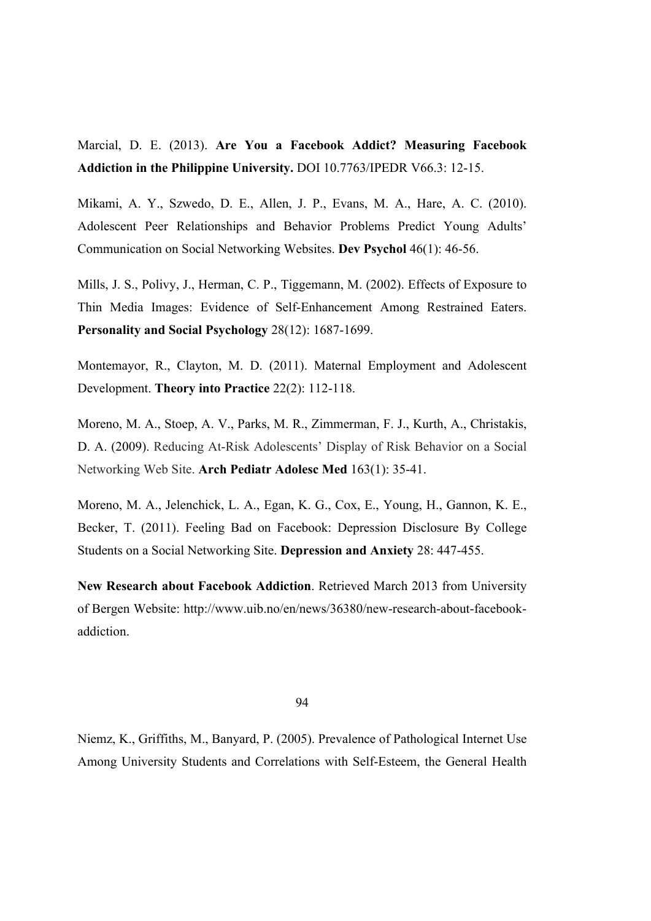Marcial, D. E. (2013). **Are You a Facebook Addict? Measuring Facebook Addiction in the Philippine University.** DOI 10.7763/IPEDR V66.3: 12-15.

Mikami, A. Y., Szwedo, D. E., Allen, J. P., Evans, M. A., Hare, A. C. (2010). Adolescent Peer Relationships and Behavior Problems Predict Young Adults' Communication on Social Networking Websites. **Dev Psychol** 46(1): 46-56.

Mills, J. S., Polivy, J., Herman, C. P., Tiggemann, M. (2002). Effects of Exposure to Thin Media Images: Evidence of Self-Enhancement Among Restrained Eaters. **Personality and Social Psychology** 28(12): 1687-1699.

Montemayor, R., Clayton, M. D. (2011). Maternal Employment and Adolescent Development. **Theory into Practice** 22(2): 112-118.

Moreno, M. A., Stoep, A. V., Parks, M. R., Zimmerman, F. J., Kurth, A., Christakis, D. A. (2009). Reducing At-Risk Adolescents' Display of Risk Behavior on a Social Networking Web Site. **Arch Pediatr Adolesc Med** 163(1): 35-41.

Moreno, M. A., Jelenchick, L. A., Egan, K. G., Cox, E., Young, H., Gannon, K. E., Becker, T. (2011). Feeling Bad on Facebook: Depression Disclosure By College Students on a Social Networking Site. **Depression and Anxiety** 28: 447-455.

**New Research about Facebook Addiction**. Retrieved March 2013 from University of Bergen Website: http://www.uib.no/en/news/36380/new-research-about-facebookaddiction.

94

Niemz, K., Griffiths, M., Banyard, P. (2005). Prevalence of Pathological Internet Use Among University Students and Correlations with Self-Esteem, the General Health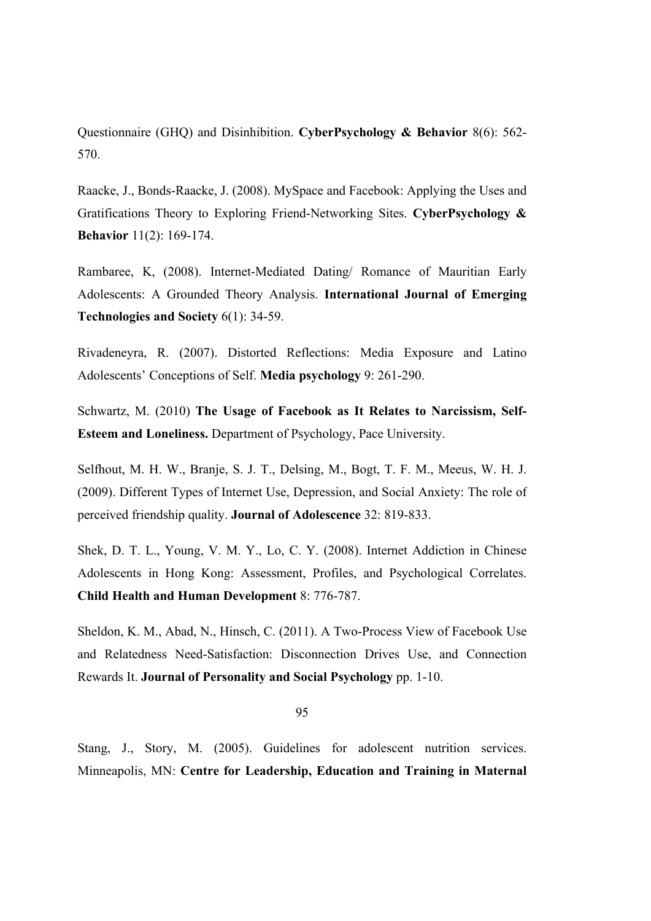Questionnaire (GHQ) and Disinhibition. **CyberPsychology & Behavior** 8(6): 562- 570.

Raacke, J., Bonds-Raacke, J. (2008). MySpace and Facebook: Applying the Uses and Gratifications Theory to Exploring Friend-Networking Sites. **CyberPsychology & Behavior** 11(2): 169-174.

Rambaree, K, (2008). Internet-Mediated Dating/ Romance of Mauritian Early Adolescents: A Grounded Theory Analysis. **International Journal of Emerging Technologies and Society** 6(1): 34-59.

Rivadeneyra, R. (2007). Distorted Reflections: Media Exposure and Latino Adolescents' Conceptions of Self. **Media psychology** 9: 261-290.

Schwartz, M. (2010) **The Usage of Facebook as It Relates to Narcissism, Self-Esteem and Loneliness.** Department of Psychology, Pace University.

Selfhout, M. H. W., Branje, S. J. T., Delsing, M., Bogt, T. F. M., Meeus, W. H. J. (2009). Different Types of Internet Use, Depression, and Social Anxiety: The role of perceived friendship quality. **Journal of Adolescence** 32: 819-833.

Shek, D. T. L., Young, V. M. Y., Lo, C. Y. (2008). Internet Addiction in Chinese Adolescents in Hong Kong: Assessment, Profiles, and Psychological Correlates. **Child Health and Human Development** 8: 776-787.

Sheldon, K. M., Abad, N., Hinsch, C. (2011). A Two-Process View of Facebook Use and Relatedness Need-Satisfaction: Disconnection Drives Use, and Connection Rewards It. **Journal of Personality and Social Psychology** pp. 1-10.

95

Stang, J., Story, M. (2005). Guidelines for adolescent nutrition services. Minneapolis, MN: **Centre for Leadership, Education and Training in Maternal**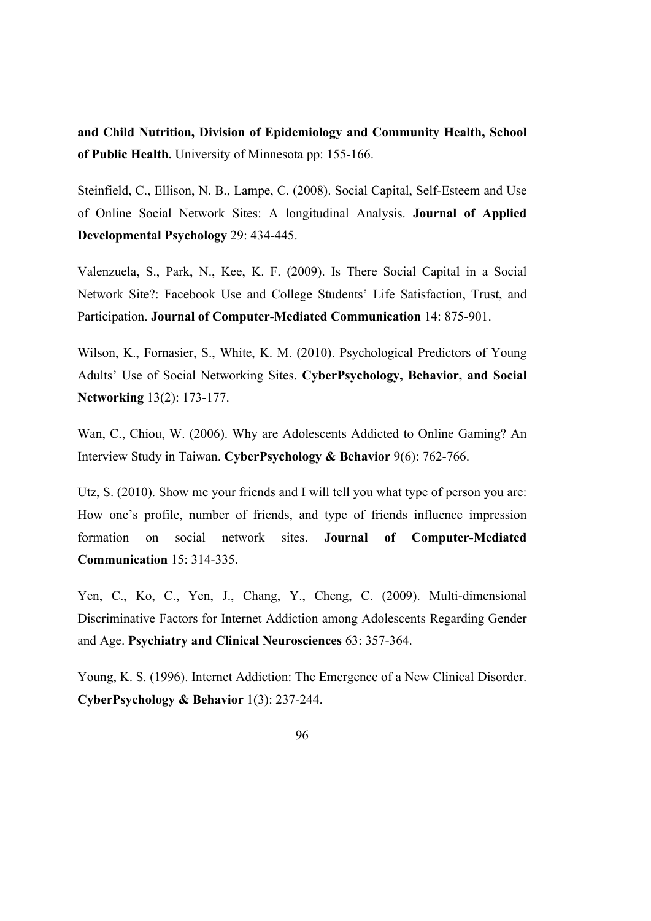**and Child Nutrition, Division of Epidemiology and Community Health, School of Public Health.** University of Minnesota pp: 155-166.

Steinfield, C., Ellison, N. B., Lampe, C. (2008). Social Capital, Self-Esteem and Use of Online Social Network Sites: A longitudinal Analysis. **Journal of Applied Developmental Psychology** 29: 434-445.

Valenzuela, S., Park, N., Kee, K. F. (2009). Is There Social Capital in a Social Network Site?: Facebook Use and College Students' Life Satisfaction, Trust, and Participation. **Journal of Computer-Mediated Communication** 14: 875-901.

Wilson, K., Fornasier, S., White, K. M. (2010). Psychological Predictors of Young Adults' Use of Social Networking Sites. **CyberPsychology, Behavior, and Social Networking** 13(2): 173-177.

Wan, C., Chiou, W. (2006). Why are Adolescents Addicted to Online Gaming? An Interview Study in Taiwan. **CyberPsychology & Behavior** 9(6): 762-766.

Utz, S. (2010). Show me your friends and I will tell you what type of person you are: How one's profile, number of friends, and type of friends influence impression formation on social network sites. **Journal of Computer-Mediated Communication** 15: 314-335.

Yen, C., Ko, C., Yen, J., Chang, Y., Cheng, C. (2009). Multi-dimensional Discriminative Factors for Internet Addiction among Adolescents Regarding Gender and Age. **Psychiatry and Clinical Neurosciences** 63: 357-364.

Young, K. S. (1996). Internet Addiction: The Emergence of a New Clinical Disorder. **CyberPsychology & Behavior** 1(3): 237-244.

<sup>96</sup>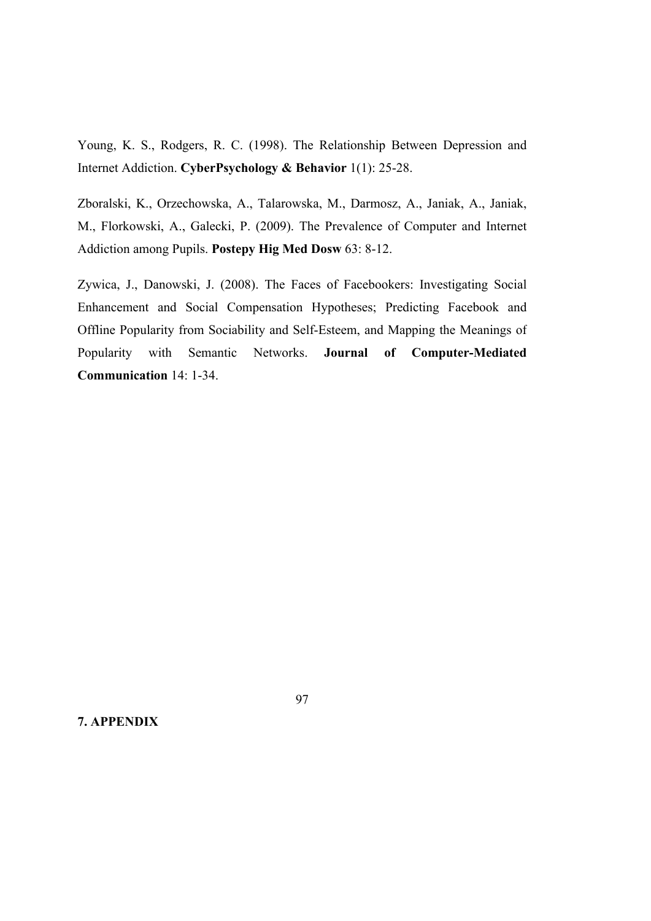Young, K. S., Rodgers, R. C. (1998). The Relationship Between Depression and Internet Addiction. **CyberPsychology & Behavior** 1(1): 25-28.

Zboralski, K., Orzechowska, A., Talarowska, M., Darmosz, A., Janiak, A., Janiak, M., Florkowski, A., Galecki, P. (2009). The Prevalence of Computer and Internet Addiction among Pupils. **Postepy Hig Med Dosw** 63: 8-12.

Zywica, J., Danowski, J. (2008). The Faces of Facebookers: Investigating Social Enhancement and Social Compensation Hypotheses; Predicting Facebook and Offline Popularity from Sociability and Self-Esteem, and Mapping the Meanings of Popularity with Semantic Networks. **Journal of Computer-Mediated Communication** 14: 1-34.

**7. APPENDIX**

97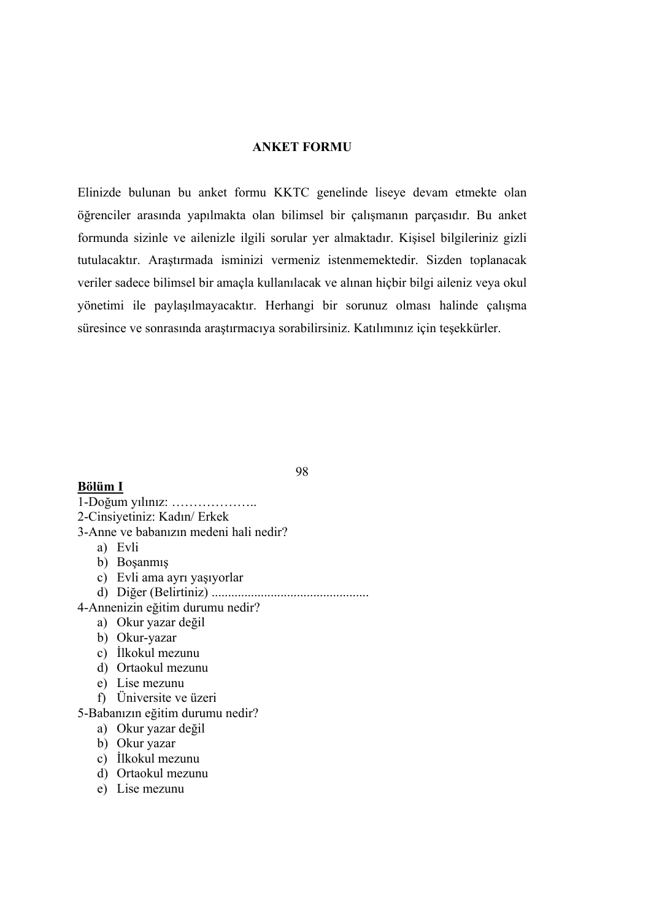#### **ANKET FORMU**

Elinizde bulunan bu anket formu KKTC genelinde liseye devam etmekte olan öğrenciler arasında yapılmakta olan bilimsel bir çalışmanın parçasıdır. Bu anket formunda sizinle ve ailenizle ilgili sorular yer almaktadır. Kişisel bilgileriniz gizli tutulacaktır. Araştırmada isminizi vermeniz istenmemektedir. Sizden toplanacak veriler sadece bilimsel bir amaçla kullanılacak ve alınan hiçbir bilgi aileniz veya okul yönetimi ile paylaşılmayacaktır. Herhangi bir sorunuz olması halinde çalışma süresince ve sonrasında araştırmacıya sorabilirsiniz. Katılımınız için teşekkürler.

# **Bölüm I**

98

1-Doğum yılınız: ……………….. 2-Cinsiyetiniz: Kadın/ Erkek 3-Anne ve babanızın medeni hali nedir? a) Evli b) Boşanmış c) Evli ama ayrı yaşıyorlar d) Diğer (Belirtiniz) ................................................ 4-Annenizin eğitim durumu nedir? a) Okur yazar değil b) Okur-yazar c) İlkokul mezunu d) Ortaokul mezunu e) Lise mezunu f) Üniversite ve üzeri 5-Babanızın eğitim durumu nedir?

- a) Okur yazar değil
- b) Okur yazar
- c) İlkokul mezunu
- d) Ortaokul mezunu
- e) Lise mezunu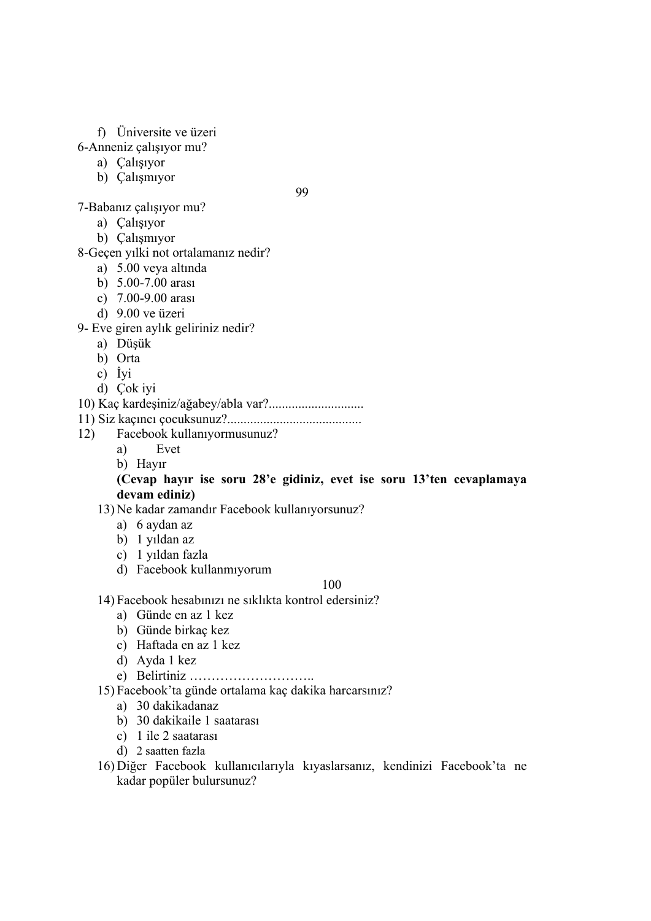# f) Üniversite ve üzeri

- 6-Anneniz çalışıyor mu?
	- a) Çalışıyor
	- b) Çalışmıyor

99

- 7-Babanız çalışıyor mu?
	- a) Çalışıyor
	- b) Çalışmıyor
- 8-Geçen yılki not ortalamanız nedir?
	- a) 5.00 veya altında
	- b) 5.00-7.00 arası
	- c) 7.00-9.00 arası
	- d) 9.00 ve üzeri
- 9- Eve giren aylık geliriniz nedir?
	- a) Düşük
	- b) Orta
	- c) İyi
	- d) Çok iyi
- 10) Kaç kardeşiniz/ağabey/abla var?.............................
- 11) Siz kaçıncı çocuksunuz?.........................................
- 12) Facebook kullanıyormusunuz?
	- a) Evet
	- b) Hayır

## **(Cevap hayır ise soru 28'e gidiniz, evet ise soru 13'ten cevaplamaya devam ediniz)**

- 13) Ne kadar zamandır Facebook kullanıyorsunuz?
	- a) 6 aydan az
	- b) 1 yıldan az
	- c) 1 yıldan fazla
	- d) Facebook kullanmıyorum

#### 100

- 14) Facebook hesabınızı ne sıklıkta kontrol edersiniz?
	- a) Günde en az 1 kez
	- b) Günde birkaç kez
	- c) Haftada en az 1 kez
	- d) Ayda 1 kez
	- e) Belirtiniz ………………………..
- 15) Facebook'ta günde ortalama kaç dakika harcarsınız?
	- a) 30 dakikadanaz
	- b) 30 dakikaile 1 saatarası
	- c) 1 ile 2 saatarası
	- d) 2 saatten fazla
- 16) Diğer Facebook kullanıcılarıyla kıyaslarsanız, kendinizi Facebook'ta ne kadar popüler bulursunuz?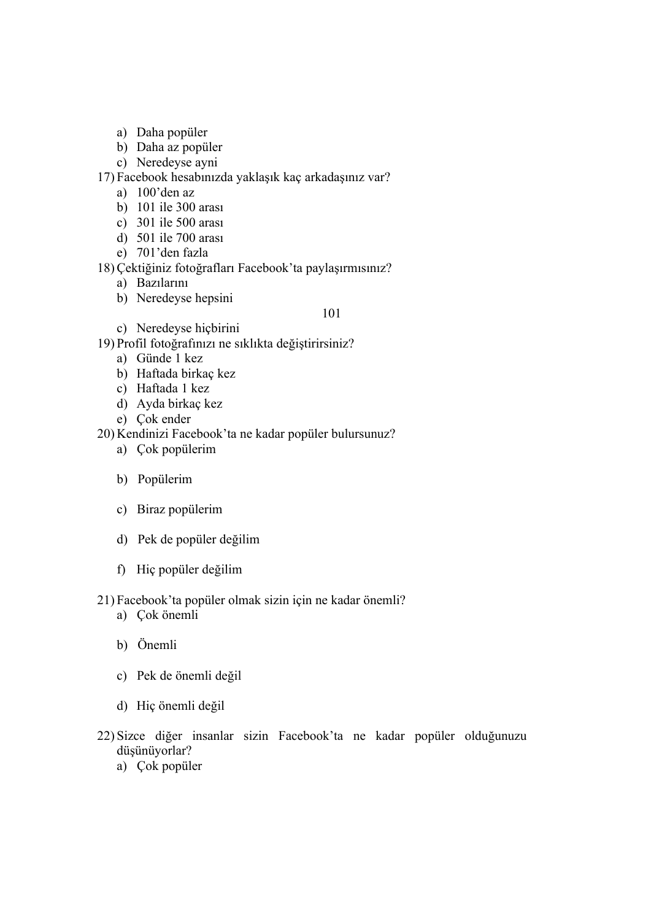- a) Daha popüler
- b) Daha az popüler
- c) Neredeyse ayni

17) Facebook hesabınızda yaklaşık kaç arkadaşınız var?

- a) 100'den az
- b) 101 ile 300 arası
- c) 301 ile 500 arası
- d) 501 ile 700 arası
- e) 701'den fazla

## 18) Çektiğiniz fotoğrafları Facebook'ta paylaşırmısınız?

- a) Bazılarını
- b) Neredeyse hepsini

101

c) Neredeyse hiçbirini

19) Profil fotoğrafınızı ne sıklıkta değiştirirsiniz?

- a) Günde 1 kez
- b) Haftada birkaç kez
- c) Haftada 1 kez
- d) Ayda birkaç kez
- e) Çok ender

20) Kendinizi Facebook'ta ne kadar popüler bulursunuz?

- a) Çok popülerim
- b) Popülerim
- c) Biraz popülerim
- d) Pek de popüler değilim
- f) Hiç popüler değilim

## 21) Facebook'ta popüler olmak sizin için ne kadar önemli?

- a) Çok önemli
- b) Önemli
- c) Pek de önemli değil
- d) Hiç önemli değil
- 22) Sizce diğer insanlar sizin Facebook'ta ne kadar popüler olduğunuzu düşünüyorlar?
	- a) Çok popüler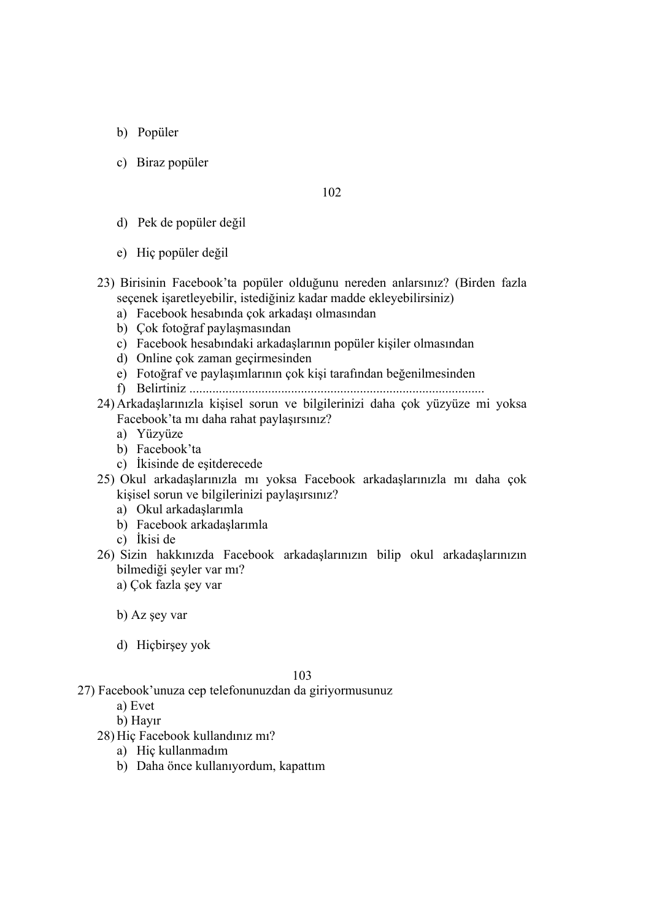- b) Popüler
- c) Biraz popüler

### 102

- d) Pek de popüler değil
- e) Hiç popüler değil
- 23) Birisinin Facebook'ta popüler olduğunu nereden anlarsınız? (Birden fazla seçenek işaretleyebilir, istediğiniz kadar madde ekleyebilirsiniz)
	- a) Facebook hesabında çok arkadaşı olmasından
	- b) Çok fotoğraf paylaşmasından
	- c) Facebook hesabındaki arkadaşlarının popüler kişiler olmasından
	- d) Online çok zaman geçirmesinden
	- e) Fotoğraf ve paylaşımlarının çok kişi tarafından beğenilmesinden
	- f) Belirtiniz ..........................................................................................
- 24) Arkadaşlarınızla kişisel sorun ve bilgilerinizi daha çok yüzyüze mi yoksa Facebook'ta mı daha rahat paylaşırsınız?
	- a) Yüzyüze
	- b) Facebook'ta
	- c) İkisinde de eşitderecede
- 25) Okul arkadaşlarınızla mı yoksa Facebook arkadaşlarınızla mı daha çok kişisel sorun ve bilgilerinizi paylaşırsınız?
	- a) Okul arkadaşlarımla
	- b) Facebook arkadaşlarımla
	- c) İkisi de
- 26) Sizin hakkınızda Facebook arkadaşlarınızın bilip okul arkadaşlarınızın bilmediği şeyler var mı?
	- a) Çok fazla şey var

b) Az şey var

d) Hiçbirşey yok

103

- 27) Facebook'unuza cep telefonunuzdan da giriyormusunuz
	- a) Evet
	- b) Hayır
	- 28) Hiç Facebook kullandınız mı?
		- a) Hiç kullanmadım
		- b) Daha önce kullanıyordum, kapattım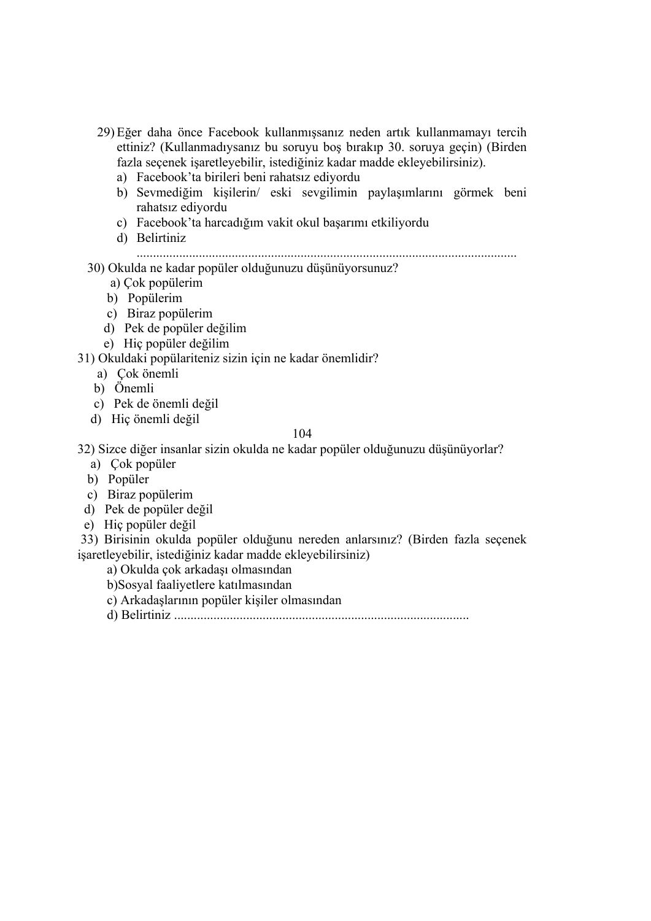- 29) Eğer daha önce Facebook kullanmışsanız neden artık kullanmamayı tercih ettiniz? (Kullanmadıysanız bu soruyu boş bırakıp 30. soruya geçin) (Birden fazla seçenek işaretleyebilir, istediğiniz kadar madde ekleyebilirsiniz).
	- a) Facebook'ta birileri beni rahatsız ediyordu
	- b) Sevmediğim kişilerin/ eski sevgilimin paylaşımlarını görmek beni rahatsız ediyordu
	- c) Facebook'ta harcadığım vakit okul başarımı etkiliyordu
	- d) Belirtiniz

....................................................................................................................

## 30) Okulda ne kadar popüler olduğunuzu düşünüyorsunuz?

- a) Çok popülerim
- b) Popülerim
- c) Biraz popülerim
- d) Pek de popüler değilim
- e) Hiç popüler değilim

31) Okuldaki popülariteniz sizin için ne kadar önemlidir?

- a) Çok önemli
- b) Önemli
- c) Pek de önemli değil
- d) Hiç önemli değil

### 104

32) Sizce diğer insanlar sizin okulda ne kadar popüler olduğunuzu düşünüyorlar?

- a) Çok popüler
- b) Popüler
- c) Biraz popülerim
- d) Pek de popüler değil
- e) Hiç popüler değil

33) Birisinin okulda popüler olduğunu nereden anlarsınız? (Birden fazla seçenek işaretleyebilir, istediğiniz kadar madde ekleyebilirsiniz)

a) Okulda çok arkadaşı olmasından

- b)Sosyal faaliyetlere katılmasından
- c) Arkadaşlarının popüler kişiler olmasından

d) Belirtiniz ..........................................................................................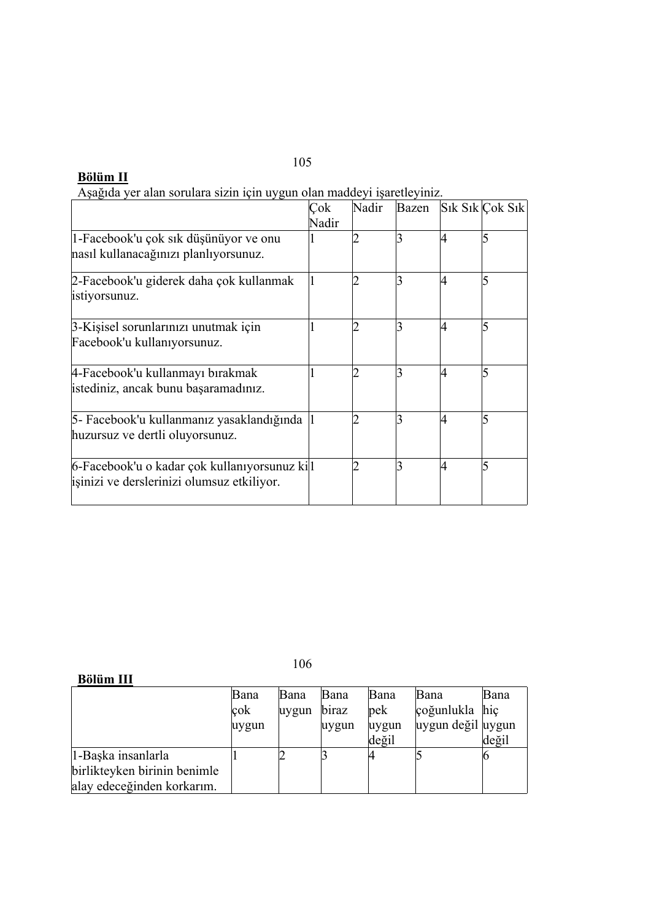# **Bölüm II**

|  | Aşağıda yer alan sorulara sizin için uygun olan maddeyi işaretleyiniz. |  |  |  |  |  |
|--|------------------------------------------------------------------------|--|--|--|--|--|
|  |                                                                        |  |  |  |  |  |

|                                               | Çok   | Nadir | Bazen |    | $Sik Sik$ Cok Sik |
|-----------------------------------------------|-------|-------|-------|----|-------------------|
|                                               | Nadir |       |       |    |                   |
| 1-Facebook'u çok sık düşünüyor ve onu         |       |       |       |    |                   |
| nasıl kullanacağınızı planlıyorsunuz.         |       |       |       |    |                   |
| 2-Facebook'u giderek daha çok kullanmak       |       |       |       | 4  |                   |
| istiyorsunuz.                                 |       |       |       |    |                   |
| 3-Kişisel sorunlarınızı unutmak için          |       |       | 3     | 14 |                   |
| Facebook'u kullanıyorsunuz.                   |       |       |       |    |                   |
| 4-Facebook'u kullanmayı bırakmak              |       |       |       | 14 |                   |
| istediniz, ancak bunu başaramadınız.          |       |       |       |    |                   |
| 5- Facebook'u kullanmanız yasaklandığında     |       |       | 3     | 4  |                   |
| huzursuz ve dertli oluyorsunuz.               |       |       |       |    |                   |
| 6-Facebook'u o kadar çok kullanıyorsunuz kill |       |       |       | 14 |                   |
| isinizi ve derslerinizi olumsuz etkiliyor.    |       |       |       |    |                   |
|                                               |       |       |       |    |                   |

106

| <b>Bölüm III</b> |
|------------------|
|------------------|

|                              | Bana    | Bana  | Bana  | Bana          | Bana              | Bana  |
|------------------------------|---------|-------|-------|---------------|-------------------|-------|
|                              | $\cosh$ | uygun | biraz | $ {\rm pek} $ | çoğunlukla hiç    |       |
|                              | uygun   |       | uygun | uygun         | uygun değil uygun |       |
|                              |         |       |       | değil         |                   | değil |
| 1-Başka insanlarla           |         | ∠     |       |               |                   |       |
| birlikteyken birinin benimle |         |       |       |               |                   |       |
| alay edeceğinden korkarım.   |         |       |       |               |                   |       |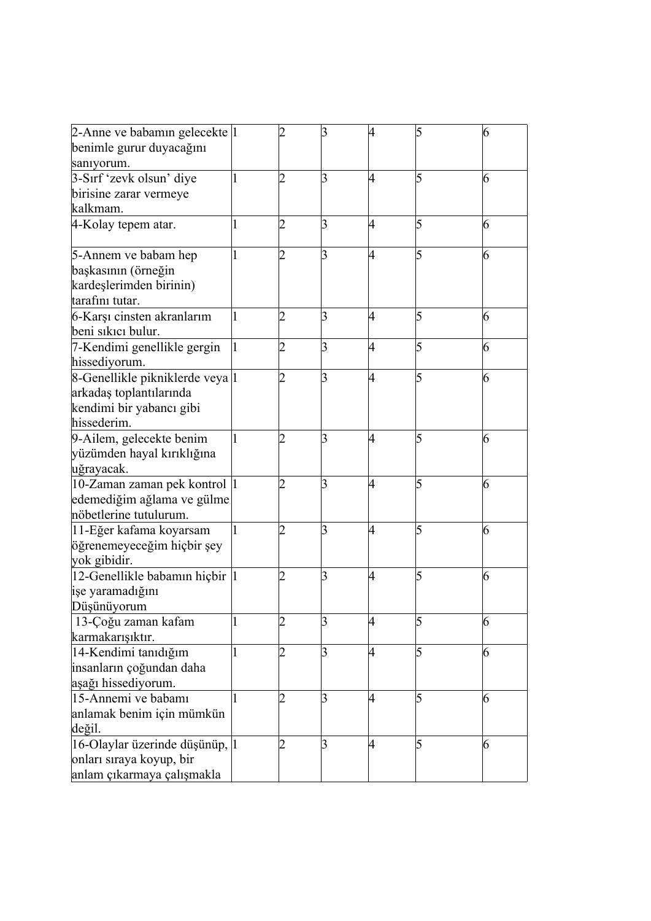| 2-Anne ve babamın gelecekte  1  |   |                | ß              | 4 | 5 | 6 |
|---------------------------------|---|----------------|----------------|---|---|---|
| benimle gurur duyacağını        |   |                |                |   |   |   |
| sanıyorum.                      |   |                |                |   |   |   |
| 3-Sirf 'zevk olsun' diye        |   | 2              | 3              | 4 | 5 | 6 |
| birisine zarar vermeye          |   |                |                |   |   |   |
| kalkmam.                        |   |                |                |   |   |   |
| 4-Kolay tepem atar.             |   | 2              | $\overline{3}$ | 4 | 5 | 6 |
|                                 |   |                |                |   |   |   |
| 5-Annem ve babam hep            |   | 2              | 3              | 4 | 5 | 6 |
| başkasının (örneğin             |   |                |                |   |   |   |
| kardeşlerimden birinin)         |   |                |                |   |   |   |
| tarafını tutar.                 |   |                |                |   |   |   |
| 6-Karşı cinsten akranlarım      | 1 |                | 3              | 4 | 5 | 6 |
| beni sıkıcı bulur.              |   |                |                |   |   |   |
| 7-Kendimi genellikle gergin     |   | 2              | 3              | 4 | 5 | 6 |
| hissediyorum.                   |   |                |                |   |   |   |
| 8-Genellikle pikniklerde veya 1 |   |                | 3              | 4 | 5 | 6 |
| arkadaş toplantılarında         |   |                |                |   |   |   |
| kendimi bir yabancı gibi        |   |                |                |   |   |   |
| hissederim.                     |   |                |                |   |   |   |
| 9-Ailem, gelecekte benim        |   | 2              | 3              | 4 | 5 | 6 |
| yüzümden hayal kırıklığına      |   |                |                |   |   |   |
| uğrayacak.                      |   |                |                |   |   |   |
| 10-Zaman zaman pek kontrol  1   |   |                | 3              | 4 | 5 | 6 |
| edemediğim ağlama ve gülme      |   |                |                |   |   |   |
| nöbetlerine tutulurum.          |   |                |                |   |   |   |
| 11-Eğer kafama koyarsam         |   | 2              | 3              | 4 | 5 | 6 |
| öğrenemeyeceğim hiçbir şey      |   |                |                |   |   |   |
| yok gibidir.                    |   |                |                |   |   |   |
| 12-Genellikle babamın hiçbir 1  |   |                | 3              | 4 | 5 | 6 |
| işe yaramadığını                |   |                |                |   |   |   |
| Düşünüyorum                     |   |                |                |   |   |   |
| 13-Çoğu zaman kafam             |   | 2              | 3              | 4 | 5 | 6 |
| karmakarışıktır.                |   |                |                |   |   |   |
| 14-Kendimi tanıdığım            |   | 2              | 3              | 4 | 5 | 6 |
| insanların çoğundan daha        |   |                |                |   |   |   |
| aşağı hissediyorum.             |   |                |                |   |   |   |
| 15-Annemi ve babamı             |   | $\overline{2}$ | 3              | 4 | 5 | 6 |
| anlamak benim için mümkün       |   |                |                |   |   |   |
| değil.                          |   |                |                |   |   |   |
| 16-Olaylar üzerinde düşünüp, 1  |   | $\overline{2}$ | 3              | 4 | 5 | 6 |
| onları sıraya koyup, bir        |   |                |                |   |   |   |
| anlam çıkarmaya çalışmakla      |   |                |                |   |   |   |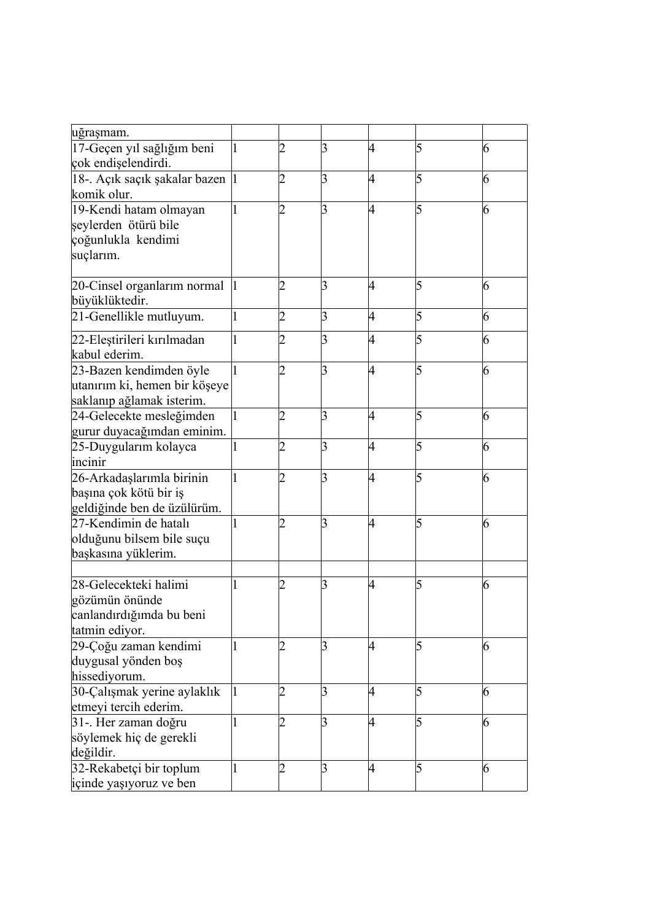| uğraşmam.                        |   |                |                |   |   |   |
|----------------------------------|---|----------------|----------------|---|---|---|
| 17-Geçen yıl sağlığım beni       |   | 2              | 3              | 4 | 5 | 6 |
| çok endişelendirdi.              |   |                |                |   |   |   |
| 18-. Açık saçık şakalar bazen  1 |   | 2              | 3              | 4 | 5 | 6 |
| komik olur.                      |   |                |                |   |   |   |
| 19-Kendi hatam olmayan           |   |                | 3              | 4 | 5 | 6 |
| şeylerden ötürü bile             |   |                |                |   |   |   |
| çoğunlukla kendimi               |   |                |                |   |   |   |
| suçlarım.                        |   |                |                |   |   |   |
|                                  |   |                |                |   |   |   |
| 20-Cinsel organiarim normal      |   |                | 3              | 4 | 5 | 6 |
| büyüklüktedir.                   |   |                |                |   |   |   |
| 21-Genellikle mutluyum.          | 1 | 2              | 3              | 4 | 5 | 6 |
| 22-Eleştirileri kırılmadan       |   | 2              | 3              | 4 | 5 | 6 |
| kabul ederim.                    |   |                |                |   |   |   |
| 23-Bazen kendimden öyle          |   | 2              | 3              | 4 | 5 | 6 |
| utanırım ki, hemen bir köşeye    |   |                |                |   |   |   |
| saklanıp ağlamak isterim.        |   |                |                |   |   |   |
| 24-Gelecekte mesleğimden         |   | 2              | 3              | 4 | 5 | 6 |
| gurur duyacağımdan eminim.       |   |                |                |   |   |   |
| 25-Duygularım kolayca            |   | $\overline{2}$ | $\overline{3}$ | 4 | 5 | 6 |
| incinir                          |   |                |                |   |   |   |
| 26-Arkadaşlarımla birinin        |   | 2              | 3              | 4 | 5 | 6 |
| başına çok kötü bir iş           |   |                |                |   |   |   |
| geldiğinde ben de üzülürüm.      |   |                |                |   |   |   |
| 27-Kendimin de hatalı            |   |                | 3              | 4 | 5 | 6 |
| olduğunu bilsem bile suçu        |   |                |                |   |   |   |
| başkasına yüklerim.              |   |                |                |   |   |   |
|                                  |   |                |                |   |   |   |
| 28-Gelecekteki halimi            |   | 2              | 3              | 4 | 5 | 6 |
| gözümün önünde                   |   |                |                |   |   |   |
| canlandırdığımda bu beni         |   |                |                |   |   |   |
| tatmin ediyor.                   |   |                |                |   |   |   |
| 29-Çoğu zaman kendimi            |   |                | 3              | 4 | 5 | 6 |
| duygusal yönden boş              |   |                |                |   |   |   |
| hissediyorum.                    |   |                |                |   |   |   |
| 30-Çalışmak yerine aylaklık      | 1 | 2              | 3              | 4 | 5 | 6 |
| etmeyi tercih ederim.            |   |                |                |   |   |   |
| 31-. Her zaman doğru             |   | $\overline{2}$ | $\beta$        | 4 | 5 | 6 |
| söylemek hiç de gerekli          |   |                |                |   |   |   |
| değildir.                        |   |                |                |   |   |   |
| 32-Rekabetçi bir toplum          |   | 2              | $\beta$        | 4 | 5 | 6 |
| içinde yaşıyoruz ve ben          |   |                |                |   |   |   |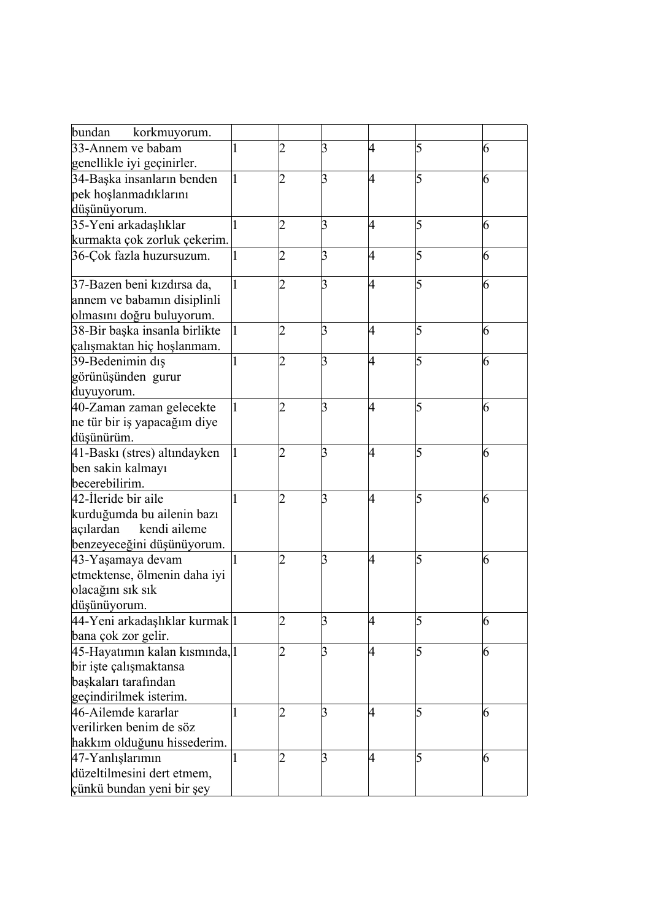| bundan<br>korkmuyorum.         |   |                |                |   |   |   |
|--------------------------------|---|----------------|----------------|---|---|---|
| 33-Annem ve babam              |   | 2              | 3              | 4 |   | 6 |
| genellikle iyi geçinirler.     |   |                |                |   |   |   |
| 34-Başka insanların benden     |   | 2              | 3              | 4 | 5 | 6 |
| pek hoşlanmadıklarını          |   |                |                |   |   |   |
| düşünüyorum.                   |   |                |                |   |   |   |
| 35-Yeni arkadaşlıklar          |   | 2              | 3              | 4 | 5 | 6 |
| kurmakta çok zorluk çekerim.   |   |                |                |   |   |   |
| 36-Çok fazla huzursuzum.       | 1 | 2              | 3              | 4 | 5 | 6 |
|                                |   |                |                |   |   |   |
| 37-Bazen beni kızdırsa da,     |   | 2              | 3              | 4 | 5 | 6 |
| annem ve babamın disiplinli    |   |                |                |   |   |   |
| olmasını doğru buluyorum.      |   |                |                |   |   |   |
| 38-Bir başka insanla birlikte  |   | 2              | 3              | 4 | 5 | 6 |
| çalışmaktan hiç hoşlanmam.     |   |                |                |   |   |   |
| 39-Bedenimin dis               |   | 2              | $\overline{3}$ | 4 | 5 | 6 |
| görünüşünden gurur             |   |                |                |   |   |   |
| duyuyorum.                     |   |                |                |   |   |   |
| 40-Zaman zaman gelecekte       |   | 2              | 3              | 4 | 5 | 6 |
| ne tür bir iş yapacağım diye   |   |                |                |   |   |   |
| düşünürüm.                     |   |                |                |   |   |   |
| 41-Baski (stres) altındayken   |   | 2              | 3              | 4 | 5 | 6 |
| ben sakin kalmayı              |   |                |                |   |   |   |
| becerebilirim.                 |   |                |                |   |   |   |
| 42-Ileride bir aile            |   | 2              | 3              | 4 | 5 | 6 |
| kurduğumda bu ailenin bazı     |   |                |                |   |   |   |
| açılardan<br>kendi aileme      |   |                |                |   |   |   |
| benzeyeceğini düşünüyorum.     |   |                |                |   |   |   |
| 43-Yaşamaya devam              |   | 2              | 3              | 4 | 5 | 6 |
| etmektense, ölmenin daha iyi   |   |                |                |   |   |   |
| olacağını sık sık              |   |                |                |   |   |   |
| düşünüyorum.                   |   |                |                |   |   |   |
| 44-Yeni arkadaşlıklar kurmak l |   | 2              | 3              | 4 | 5 | 6 |
| bana çok zor gelir.            |   |                |                |   |   |   |
| 45-Hayatımın kalan kısmında, 1 |   | $\overline{2}$ | $\overline{3}$ | 4 | 5 | 6 |
| bir işte çalışmaktansa         |   |                |                |   |   |   |
| başkaları tarafından           |   |                |                |   |   |   |
| geçindirilmek isterim.         |   |                |                |   |   |   |
| 46-Ailemde kararlar            |   | 2              | 3              | 4 | 5 | 6 |
| verilirken benim de söz        |   |                |                |   |   |   |
| hakkım olduğunu hissederim.    |   |                |                |   |   |   |
| 47-Yanlışlarımın               |   | 2              | 3              | 4 | 5 | 6 |
| düzeltilmesini dert etmem,     |   |                |                |   |   |   |
| çünkü bundan yeni bir şey      |   |                |                |   |   |   |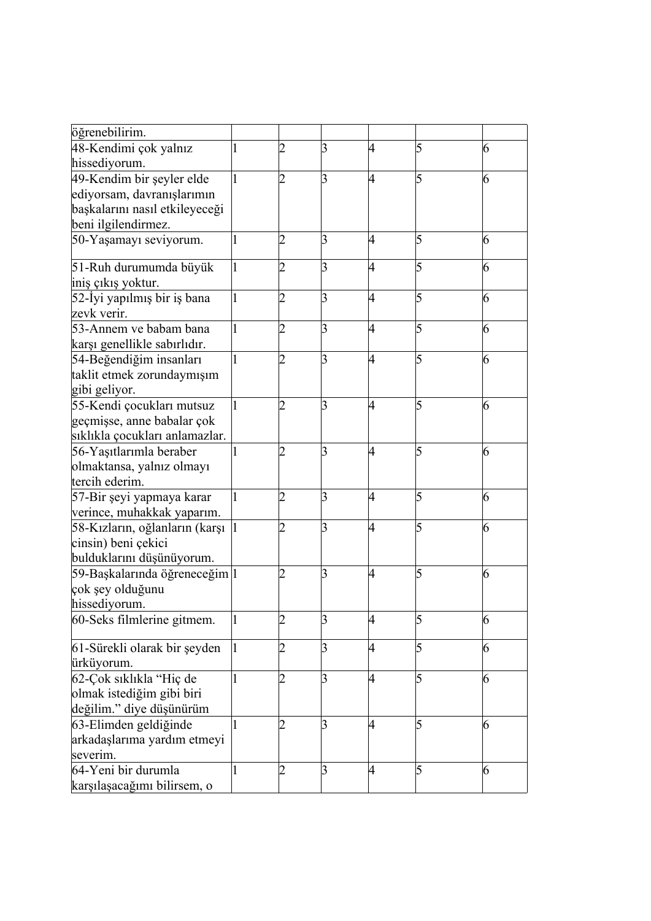| öğrenebilirim.                 |    |                |   |   |   |
|--------------------------------|----|----------------|---|---|---|
| 48-Kendimi çok yalnız          | 2  | 3              | 4 | 5 | 6 |
| hissediyorum.                  |    |                |   |   |   |
| 49-Kendim bir şeyler elde      | 2  | 3              | 4 | 5 | 6 |
| ediyorsam, davranışlarımın     |    |                |   |   |   |
| başkalarını nasıl etkileyeceği |    |                |   |   |   |
| beni ilgilendirmez.            |    |                |   |   |   |
| 50-Yaşamayı seviyorum.         | 12 | 3              | 4 | 5 | 6 |
| 51-Ruh durumumda büyük         | 2  | 3              | 4 | 5 | 6 |
| iniş çıkış yoktur.             |    |                |   |   |   |
| 52-İyi yapılmış bir iş bana    | 2  | 3              | 4 | 5 | 6 |
| zevk verir.                    |    |                |   |   |   |
| 53-Annem ve babam bana         | 2  | 3              | 4 | 5 | 6 |
| karşı genellikle sabırlıdır.   |    |                |   |   |   |
| 54-Beğendiğim insanları        | 2  | 3              | 4 | 5 | 6 |
| taklit etmek zorundaymışım     |    |                |   |   |   |
| gibi geliyor.                  |    |                |   |   |   |
| 55-Kendi çocukları mutsuz      | 2  | 3              | 4 | 5 | 6 |
| geçmişse, anne babalar çok     |    |                |   |   |   |
| sıklıkla çocukları anlamazlar. |    |                |   |   |   |
| 56-Yaşıtlarımla beraber        | 2  | 3              | 4 | 5 | 6 |
| olmaktansa, yalnız olmayı      |    |                |   |   |   |
| tercih ederim.                 |    |                |   |   |   |
| 57-Bir şeyi yapmaya karar      | 12 | 3              | 4 | 5 | 6 |
| verince, muhakkak yaparım.     |    |                |   |   |   |
| 58-Kızların, oğlanların (karşı |    | 3              | 4 | 5 | 6 |
| cinsin) beni çekici            |    |                |   |   |   |
| bulduklarını düşünüyorum.      |    |                |   |   |   |
| 59-Başkalarında öğreneceğim 1  |    | 3              | 4 | 5 | 6 |
| çok şey olduğunu               |    |                |   |   |   |
| hissediyorum.                  |    |                |   |   |   |
| 60-Seks filmlerine gitmem.     | 2  | 3              | 4 | 5 | 6 |
| 61-Sürekli olarak bir şeyden   | 2  | 3              | 4 | 5 | 6 |
| ürküyorum.                     |    |                |   |   |   |
| 62-Çok sıklıkla "Hiç de        | 2  | 3              | 4 | 5 | 6 |
| olmak istediğim gibi biri      |    |                |   |   |   |
| değilim." diye düşünürüm       |    |                |   |   |   |
| 63-Elimden geldiğinde          | 2  | $\overline{3}$ | 4 | 5 | 6 |
| arkadaşlarıma yardım etmeyi    |    |                |   |   |   |
| severim.                       |    |                |   |   |   |
| 64-Yeni bir durumla            | 2  | $\overline{3}$ | 4 | 5 | 6 |
| karşılaşacağımı bilirsem, o    |    |                |   |   |   |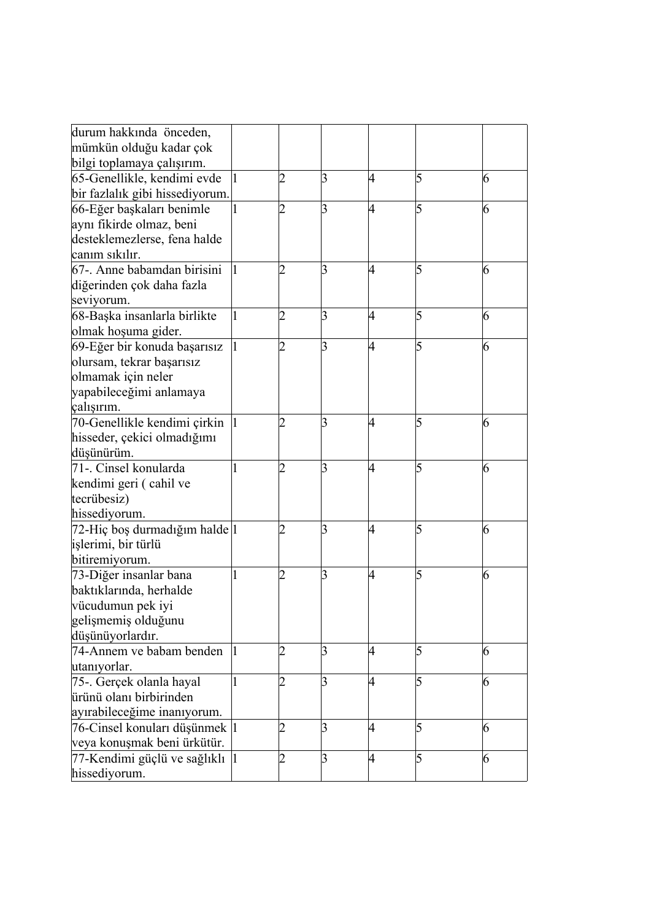| durum hakkında önceden,<br>mümkün olduğu kadar çok<br>bilgi toplamaya çalışırım.                                         |    |                 |   |   |   |
|--------------------------------------------------------------------------------------------------------------------------|----|-----------------|---|---|---|
| 65-Genellikle, kendimi evde<br>bir fazlalık gibi hissediyorum.                                                           | 2  | 3               | 4 | 5 | 6 |
| 66-Eğer başkaları benimle<br>aynı fikirde olmaz, beni<br>desteklemezlerse, fena halde<br>canım sıkılır.                  | 2  | 3               | 4 | 5 | 6 |
| 67-. Anne babamdan birisini<br>diğerinden çok daha fazla<br>seviyorum.                                                   | 2  | 3               | 4 | 5 | 6 |
| 68-Başka insanlarla birlikte<br>olmak hoşuma gider.                                                                      | 2  | 3               | 4 | 5 | 6 |
| 69-Eğer bir konuda başarısız<br>olursam, tekrar başarısız<br>olmamak için neler<br>yapabileceğimi anlamaya<br>çalışırım. | 2  | 3               | 4 | 5 | 6 |
| 70-Genellikle kendimi çirkin<br>hisseder, çekici olmadığımı<br>düşünürüm.                                                |    | 3               | 4 | 5 | 6 |
| 71-. Cinsel konularda<br>kendimi geri (cahil ve<br>tecrübesiz)<br>hissediyorum.                                          |    | 3               | 4 | 5 | 6 |
| 72-Hiç boş durmadığım halde 1<br>işlerimi, bir türlü<br>bitiremiyorum.                                                   | 2  | 3               | 4 | 5 | 6 |
| 73-Diğer insanlar bana<br>baktıklarında, herhalde<br>vücudumun pek iyi<br>gelişmemiş olduğunu<br>düşünüyorlardır.        | 2  | 3               | 4 | 5 | 6 |
| 74-Annem ve babam benden<br>utanıyorlar.                                                                                 | 2  | 3               | 4 | 5 | 6 |
| 75-. Gerçek olanla hayal<br>ürünü olanı birbirinden<br>ayırabileceğime inanıyorum.                                       | 2  | 3               | 4 | 5 | 6 |
| 76-Cinsel konuları düşünmek  1<br>veya konuşmak beni ürkütür.                                                            | 2  | 3               | 4 | 5 | 6 |
| 77-Kendimi güçlü ve sağlıklı  1<br>hissediyorum.                                                                         | 12 | $\vert 3 \vert$ | 4 | 5 | 6 |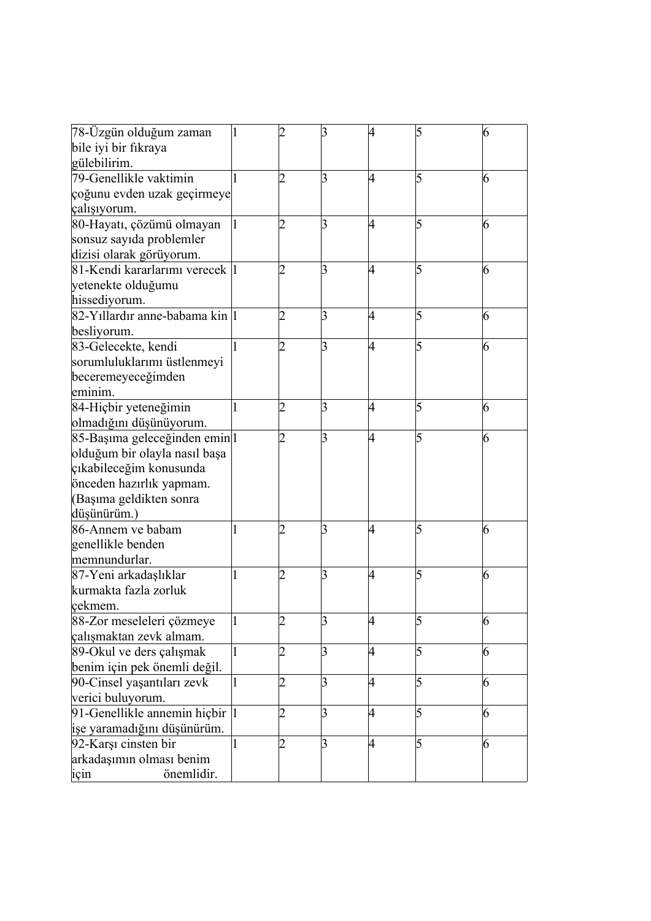| 78-Üzgün olduğum zaman<br>bile iyi bir fıkraya |             |                | 3               | 4 | 5 | 6 |
|------------------------------------------------|-------------|----------------|-----------------|---|---|---|
| gülebilirim.                                   |             |                |                 |   |   |   |
| 79-Genellikle vaktimin                         |             | 2              | 3               | 4 | 5 | 6 |
| çoğunu evden uzak geçirmeye                    |             |                |                 |   |   |   |
| çalışıyorum.                                   |             |                |                 |   |   |   |
| 80-Hayatı, çözümü olmayan                      | $\mathbf 1$ |                | 3               | 4 | 5 | 6 |
| sonsuz sayıda problemler                       |             |                |                 |   |   |   |
| dizisi olarak görüyorum.                       |             |                |                 |   |   |   |
| 81-Kendi kararlarımı verecek 1                 |             | 2              | 3               | 4 | 5 | 6 |
| yetenekte olduğumu                             |             |                |                 |   |   |   |
| hissediyorum.                                  |             |                |                 |   |   |   |
| 82-Yillardır anne-babama kin 1                 |             | 2              | 3               | 4 | 5 | 6 |
| besliyorum.                                    |             |                |                 |   |   |   |
| 83-Gelecekte, kendi                            |             | 2              | 3               | 4 | 5 | 6 |
| sorumluluklarımı üstlenmeyi                    |             |                |                 |   |   |   |
| beceremeyeceğimden                             |             |                |                 |   |   |   |
| eminim.                                        |             |                |                 |   |   |   |
| 84-Hiçbir yeteneğimin                          |             | 2              | 3               | 4 | 5 | 6 |
| olmadığını düşünüyorum.                        |             |                |                 |   |   |   |
| 85-Başıma geleceğinden emin 1                  |             | 2              | 3               | 4 | 5 | 6 |
| olduğum bir olayla nasıl başa                  |             |                |                 |   |   |   |
| çıkabileceğim konusunda                        |             |                |                 |   |   |   |
| önceden hazırlık yapmam.                       |             |                |                 |   |   |   |
| (Başıma geldikten sonra                        |             |                |                 |   |   |   |
| düşünürüm.)                                    |             |                |                 |   |   |   |
| 86-Annem ve babam                              |             | 2              | 3               | 4 | 5 | 6 |
| genellikle benden                              |             |                |                 |   |   |   |
| memnundurlar.                                  |             |                |                 |   |   |   |
| 87-Yeni arkadaşlıklar                          |             |                | 3               | 4 | 5 | 6 |
| kurmakta fazla zorluk                          |             |                |                 |   |   |   |
| cekmem.                                        |             |                |                 |   |   |   |
| 88-Zor meseleleri çözmeye                      |             |                | 3               |   | 5 | 6 |
| çalışmaktan zevk almam.                        |             |                |                 |   |   |   |
| 89-Okul ve ders çalışmak                       |             | 2              | $\overline{3}$  | 4 | 5 | 6 |
| benim için pek önemli değil.                   |             |                |                 |   |   |   |
| 90-Cinsel yaşantıları zevk                     |             | 12             | 3               | 4 | 5 | 6 |
| verici buluyorum.                              |             |                |                 |   |   |   |
| 91-Genellikle annemin hiçbir  1                |             | 2              | $\vert 3 \vert$ | 4 | 5 | 6 |
| işe yaramadığını düşünürüm.                    |             |                |                 |   |   |   |
| 92-Karşı cinsten bir                           |             | $\overline{2}$ | $\overline{3}$  | 4 | 5 | 6 |
| arkadaşımın olması benim                       |             |                |                 |   |   |   |
| önemlidir.<br>için                             |             |                |                 |   |   |   |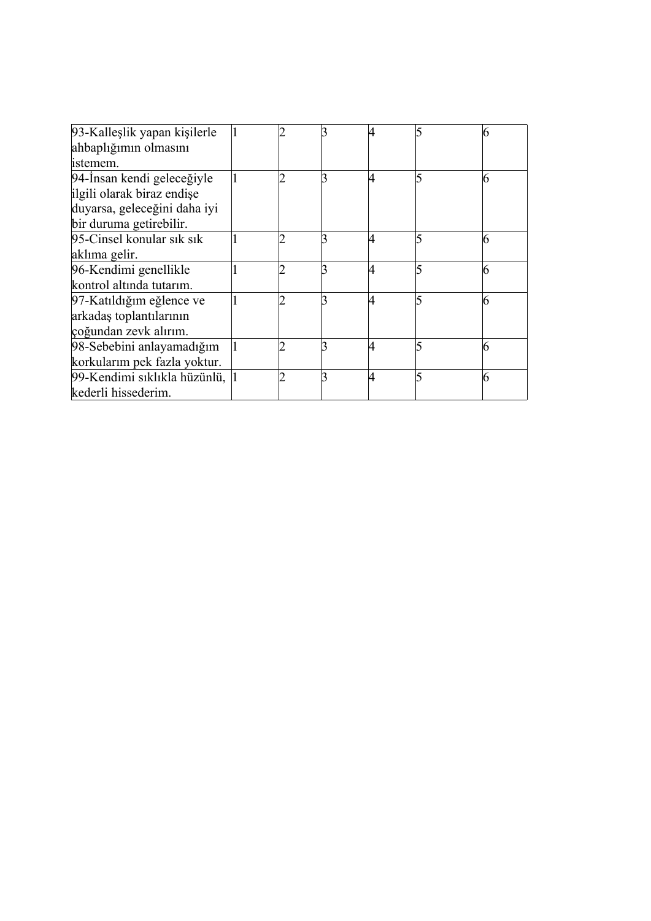| 93-Kalleşlik yapan kişilerle   |  |   |   |
|--------------------------------|--|---|---|
| ahbaplığımın olmasını          |  |   |   |
| istemem.                       |  |   |   |
| 94-İnsan kendi geleceğiyle     |  |   | 6 |
| ilgili olarak biraz endişe     |  |   |   |
| duyarsa, geleceğini daha iyi   |  |   |   |
| bir duruma getirebilir.        |  |   |   |
| 95-Cinsel konular sık sık      |  | 4 | 6 |
| aklıma gelir.                  |  |   |   |
| 96-Kendimi genellikle          |  |   | 6 |
| kontrol altında tutarım.       |  |   |   |
| 97-Katıldığım eğlence ve       |  |   |   |
| arkadaş toplantılarının        |  |   |   |
| çoğundan zevk alırım.          |  |   |   |
| 98-Sebebini anlayamadığım      |  | 4 |   |
| korkularım pek fazla yoktur.   |  |   |   |
| 99-Kendimi sıklıkla hüzünlü, 1 |  | 4 | 6 |
| kederli hissederim.            |  |   |   |